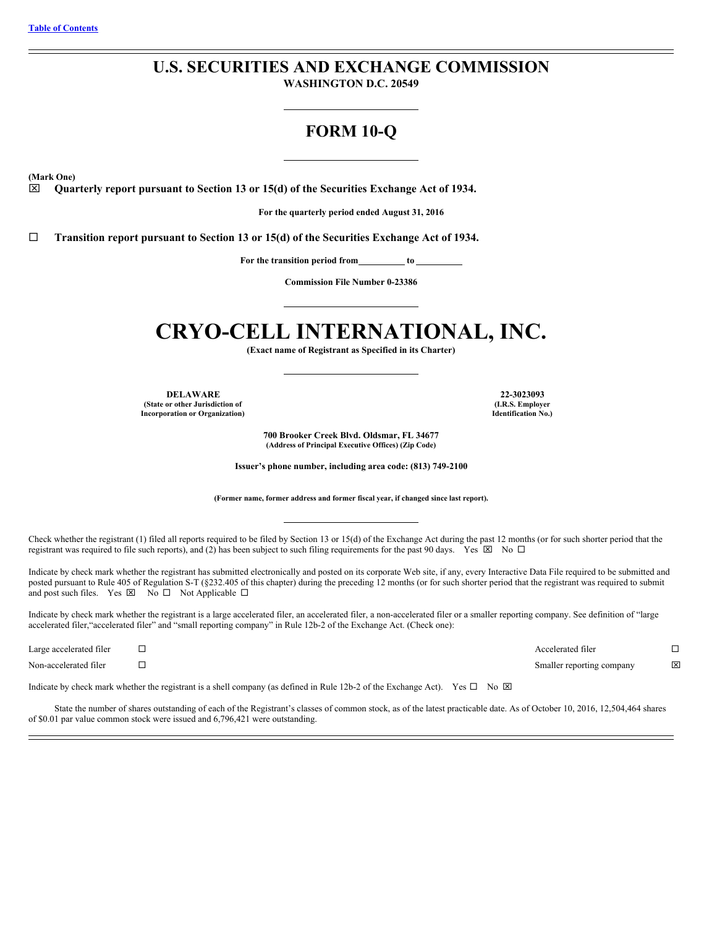## **U.S. SECURITIES AND EXCHANGE COMMISSION**

**WASHINGTON D.C. 20549**

# **FORM 10-Q**

**(Mark One)**

x **Quarterly report pursuant to Section 13 or 15(d) of the Securities Exchange Act of 1934.**

**For the quarterly period ended August 31, 2016**

¨ **Transition report pursuant to Section 13 or 15(d) of the Securities Exchange Act of 1934.**

**For the transition period from to**

**Commission File Number 0-23386**

# **CRYO-CELL INTERNATIONAL, INC.**

**(Exact name of Registrant as Specified in its Charter)**

**DELAWARE 22-3023093 (State or other Jurisdiction of Incorporation or Organization)**

**(I.R.S. Employer Identification No.)**

**700 Brooker Creek Blvd. Oldsmar, FL 34677 (Address of Principal Executive Offices) (Zip Code)**

**Issuer's phone number, including area code: (813) 749-2100**

**(Former name, former address and former fiscal year, if changed since last report).**

Check whether the registrant (1) filed all reports required to be filed by Section 13 or 15(d) of the Exchange Act during the past 12 months (or for such shorter period that the registrant was required to file such reports), and (2) has been subject to such filing requirements for the past 90 days. Yes  $\boxtimes$  No  $\Box$ 

Indicate by check mark whether the registrant has submitted electronically and posted on its corporate Web site, if any, every Interactive Data File required to be submitted and posted pursuant to Rule 405 of Regulation S-T (§232.405 of this chapter) during the preceding 12 months (or for such shorter period that the registrant was required to submit and post such files. Yes  $\boxtimes$  No  $\square$  Not Applicable  $\square$ 

Indicate by check mark whether the registrant is a large accelerated filer, an accelerated filer, a non-accelerated filer or a smaller reporting company. See definition of "large accelerated filer,"accelerated filer" and "small reporting company" in Rule 12b-2 of the Exchange Act. (Check one):

Large accelerated filer  $\Box$ Non-accelerated filer ¨ Smaller reporting company x

Indicate by check mark whether the registrant is a shell company (as defined in Rule 12b-2 of the Exchange Act). Yes  $\Box$  No  $\boxtimes$ 

State the number of shares outstanding of each of the Registrant's classes of common stock, as of the latest practicable date. As of October 10, 2016, 12,504,464 shares of \$0.01 par value common stock were issued and 6,796,421 were outstanding.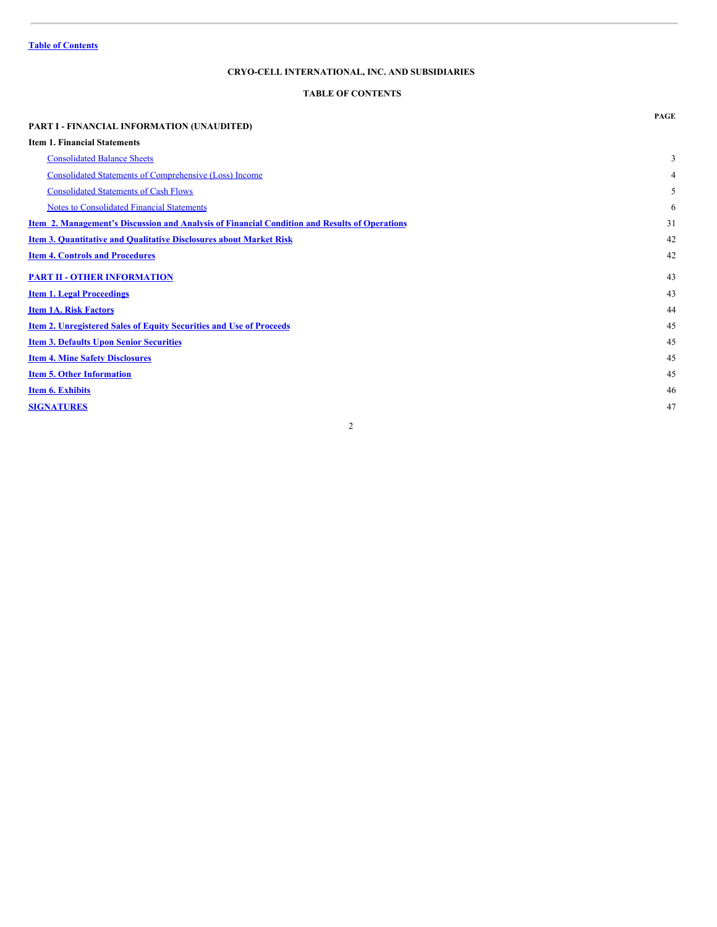## <span id="page-1-0"></span>**TABLE OF CONTENTS**

| PART I - FINANCIAL INFORMATION (UNAUDITED)                                                    | <b>PAGE</b> |
|-----------------------------------------------------------------------------------------------|-------------|
| <b>Item 1. Financial Statements</b>                                                           |             |
| <b>Consolidated Balance Sheets</b>                                                            | 3           |
| <b>Consolidated Statements of Comprehensive (Loss) Income</b>                                 | 4           |
| <b>Consolidated Statements of Cash Flows</b>                                                  | 5           |
| <b>Notes to Consolidated Financial Statements</b>                                             | 6           |
| Item 2. Management's Discussion and Analysis of Financial Condition and Results of Operations | 31          |
| <b>Item 3. Quantitative and Qualitative Disclosures about Market Risk</b>                     | 42          |
| <b>Item 4. Controls and Procedures</b>                                                        | 42          |
| <b>PART II - OTHER INFORMATION</b>                                                            | 43          |
| <b>Item 1. Legal Proceedings</b>                                                              | 43          |
| <b>Item 1A. Risk Factors</b>                                                                  | 44          |
| <b>Item 2. Unregistered Sales of Equity Securities and Use of Proceeds</b>                    | 45          |
| <b>Item 3. Defaults Upon Senior Securities</b>                                                | 45          |
| <b>Item 4. Mine Safety Disclosures</b>                                                        | 45          |
| <b>Item 5. Other Information</b>                                                              | 45          |
| <b>Item 6. Exhibits</b>                                                                       | 46          |
| <b>SIGNATURES</b>                                                                             | 47          |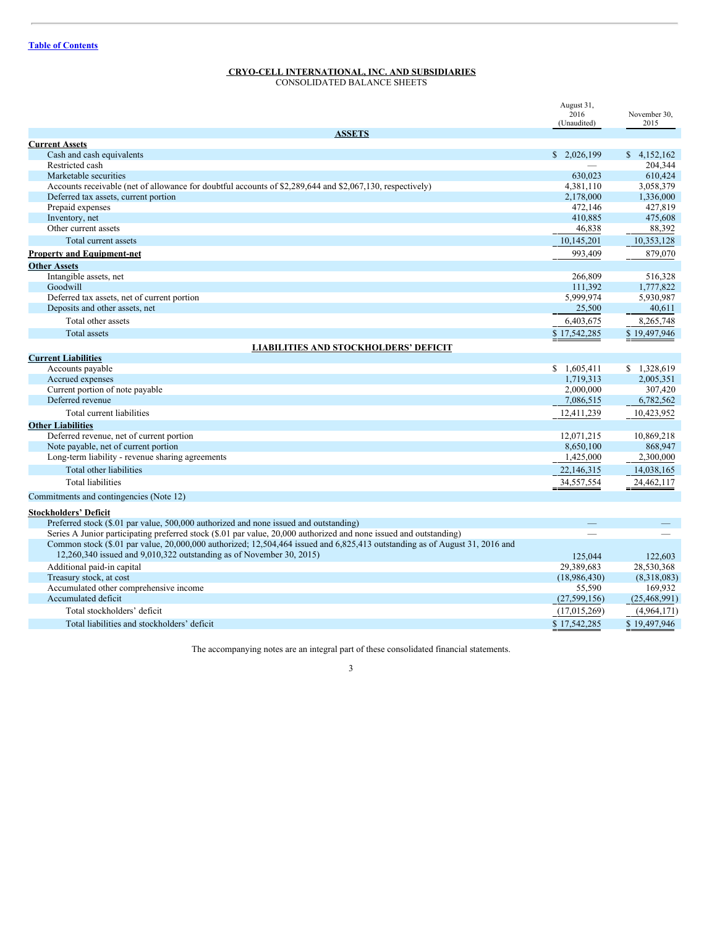<span id="page-2-0"></span>CONSOLIDATED BALANCE SHEETS

|                                                                                                                             | August 31,          |                      |
|-----------------------------------------------------------------------------------------------------------------------------|---------------------|----------------------|
|                                                                                                                             | 2016<br>(Unaudited) | November 30,<br>2015 |
| <b>ASSETS</b>                                                                                                               |                     |                      |
| <b>Current Assets</b>                                                                                                       |                     |                      |
| Cash and cash equivalents                                                                                                   | \$2,026,199         | \$4,152,162          |
| Restricted cash                                                                                                             |                     | 204,344              |
| Marketable securities                                                                                                       | 630.023             | 610.424              |
| Accounts receivable (net of allowance for doubtful accounts of \$2,289,644 and \$2,067,130, respectively)                   | 4,381,110           | 3,058,379            |
| Deferred tax assets, current portion                                                                                        | 2,178,000           | 1,336,000            |
| Prepaid expenses                                                                                                            | 472,146             | 427,819              |
| Inventory, net                                                                                                              | 410,885             | 475,608              |
| Other current assets                                                                                                        | 46,838              | 88,392               |
| Total current assets                                                                                                        | 10,145,201          | 10,353,128           |
| <b>Property and Equipment-net</b>                                                                                           | 993,409             | 879,070              |
| <b>Other Assets</b>                                                                                                         |                     |                      |
| Intangible assets, net                                                                                                      | 266,809             | 516,328              |
| Goodwill                                                                                                                    | 111,392             | 1,777,822            |
| Deferred tax assets, net of current portion                                                                                 | 5,999,974           | 5,930,987            |
| Deposits and other assets, net                                                                                              | 25,500              | 40,611               |
| Total other assets                                                                                                          | 6,403,675           | 8,265,748            |
| <b>Total assets</b>                                                                                                         | \$17,542,285        | \$19,497,946         |
|                                                                                                                             |                     |                      |
| <b>LIABILITIES AND STOCKHOLDERS' DEFICIT</b><br><b>Current Liabilities</b>                                                  |                     |                      |
| Accounts payable                                                                                                            | \$1,605,411         | \$1,328,619          |
| Accrued expenses                                                                                                            | 1,719,313           | 2,005,351            |
| Current portion of note payable                                                                                             | 2,000,000           | 307,420              |
| Deferred revenue                                                                                                            | 7,086,515           | 6,782,562            |
| Total current liabilities                                                                                                   | 12,411,239          | 10,423,952           |
| <b>Other Liabilities</b>                                                                                                    |                     |                      |
| Deferred revenue, net of current portion                                                                                    | 12,071,215          | 10,869,218           |
| Note payable, net of current portion                                                                                        | 8,650,100           | 868,947              |
| Long-term liability - revenue sharing agreements                                                                            | 1,425,000           | 2,300,000            |
|                                                                                                                             |                     |                      |
| Total other liabilities                                                                                                     | 22,146,315          | 14,038,165           |
| <b>Total liabilities</b>                                                                                                    | 34,557,554          | 24,462,117           |
| Commitments and contingencies (Note 12)                                                                                     |                     |                      |
| <b>Stockholders' Deficit</b>                                                                                                |                     |                      |
| Preferred stock (\$.01 par value, 500,000 authorized and none issued and outstanding)                                       |                     |                      |
| Series A Junior participating preferred stock (\$.01 par value, 20,000 authorized and none issued and outstanding)          |                     |                      |
| Common stock (\$.01 par value, 20,000,000 authorized; 12,504,464 issued and 6,825,413 outstanding as of August 31, 2016 and |                     |                      |
| 12,260,340 issued and 9,010,322 outstanding as of November 30, 2015)                                                        | 125,044             | 122,603              |
| Additional paid-in capital                                                                                                  | 29.389.683          | 28.530.368           |
| Treasury stock, at cost                                                                                                     | (18,986,430)        | (8,318,083)          |
| Accumulated other comprehensive income                                                                                      | 55,590              | 169,932              |
| Accumulated deficit                                                                                                         | (27, 599, 156)      | (25, 468, 991)       |
| Total stockholders' deficit                                                                                                 | (17,015,269)        | (4,964,171)          |
| Total liabilities and stockholders' deficit                                                                                 | \$17,542,285        | \$19,497,946         |
|                                                                                                                             |                     |                      |

The accompanying notes are an integral part of these consolidated financial statements.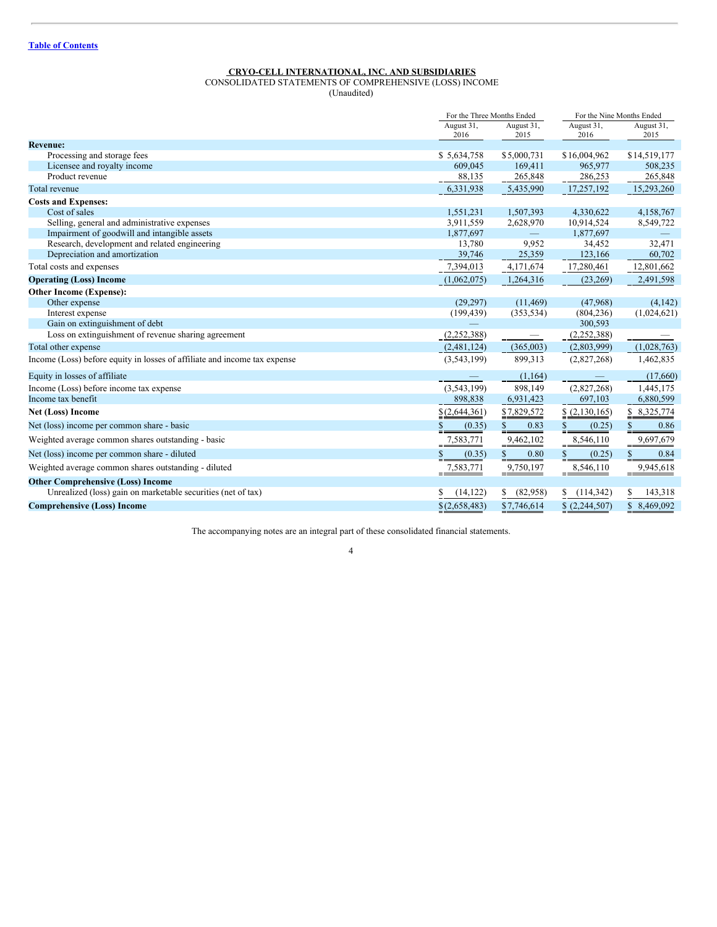<span id="page-3-0"></span>CONSOLIDATED STATEMENTS OF COMPREHENSIVE (LOSS) INCOME

(Unaudited)

|                                                                                       | For the Three Months Ended |                    | For the Nine Months Ended |                    |
|---------------------------------------------------------------------------------------|----------------------------|--------------------|---------------------------|--------------------|
|                                                                                       | August 31,<br>2016         | August 31,<br>2015 | August 31,<br>2016        | August 31,<br>2015 |
| <b>Revenue:</b>                                                                       |                            |                    |                           |                    |
| Processing and storage fees                                                           | \$5,634,758                | \$5,000,731        | \$16,004,962              | \$14,519,177       |
| Licensee and royalty income                                                           | 609,045                    | 169,411            | 965,977                   | 508,235            |
| Product revenue                                                                       | 88,135                     | 265,848            | 286,253                   | 265,848            |
| <b>Total revenue</b>                                                                  | 6,331,938                  | 5,435,990          | 17,257,192                | 15,293,260         |
| <b>Costs and Expenses:</b>                                                            |                            |                    |                           |                    |
| Cost of sales                                                                         | 1,551,231                  | 1,507,393          | 4,330,622                 | 4,158,767          |
| Selling, general and administrative expenses                                          | 3,911,559                  | 2,628,970          | 10,914,524                | 8,549,722          |
| Impairment of goodwill and intangible assets                                          | 1,877,697                  |                    | 1,877,697                 |                    |
| Research, development and related engineering<br>Depreciation and amortization        | 13,780                     | 9,952<br>25,359    | 34,452<br>123,166         | 32,471<br>60,702   |
|                                                                                       | 39,746                     |                    |                           |                    |
| Total costs and expenses                                                              | 7,394,013                  | 4,171,674          | 17,280,461                | 12,801,662         |
| <b>Operating (Loss) Income</b>                                                        | (1,062,075)                | 1,264,316          | (23,269)                  | 2,491,598          |
| Other Income (Expense):                                                               |                            |                    |                           |                    |
| Other expense                                                                         | (29, 297)                  | (11, 469)          | (47,968)                  | (4,142)            |
| Interest expense                                                                      | (199, 439)                 | (353, 534)         | (804, 236)                | (1,024,621)        |
| Gain on extinguishment of debt<br>Loss on extinguishment of revenue sharing agreement |                            |                    | 300,593                   |                    |
|                                                                                       | (2,252,388)                |                    | (2,252,388)               |                    |
| Total other expense                                                                   | (2,481,124)                | (365,003)          | (2,803,999)               | (1,028,763)        |
| Income (Loss) before equity in losses of affiliate and income tax expense             | (3,543,199)                | 899,313            | (2,827,268)               | 1,462,835          |
| Equity in losses of affiliate                                                         |                            | (1,164)            |                           | (17,660)           |
| Income (Loss) before income tax expense                                               | (3,543,199)                | 898,149            | (2,827,268)               | 1,445,175          |
| Income tax benefit                                                                    | 898,838                    | 6,931,423          | 697,103                   | 6,880,599          |
| Net (Loss) Income                                                                     | \$(2,644,361)              | \$7,829,572        | (2,130,165)               | 8,325,774<br>\$    |
| Net (loss) income per common share - basic                                            | \$<br>(0.35)               | S<br>0.83          | (0.25)                    | \$<br>0.86         |
| Weighted average common shares outstanding - basic                                    | 7,583,771                  | 9,462,102          | 8,546,110                 | 9,697,679          |
| Net (loss) income per common share - diluted                                          | (0.35)                     | 0.80               | (0.25)                    | 0.84               |
| Weighted average common shares outstanding - diluted                                  | 7,583,771                  | 9,750,197          | 8,546,110                 | 9,945,618          |
| <b>Other Comprehensive (Loss) Income</b>                                              |                            |                    |                           |                    |
| Unrealized (loss) gain on marketable securities (net of tax)                          | (14, 122)<br>S             | (82,958)           | (114, 342)                | 143,318            |
| <b>Comprehensive (Loss) Income</b>                                                    | \$(2,658,483)              | \$7,746,614        | (2,244,507)               | \$ 8,469,092       |

The accompanying notes are an integral part of these consolidated financial statements.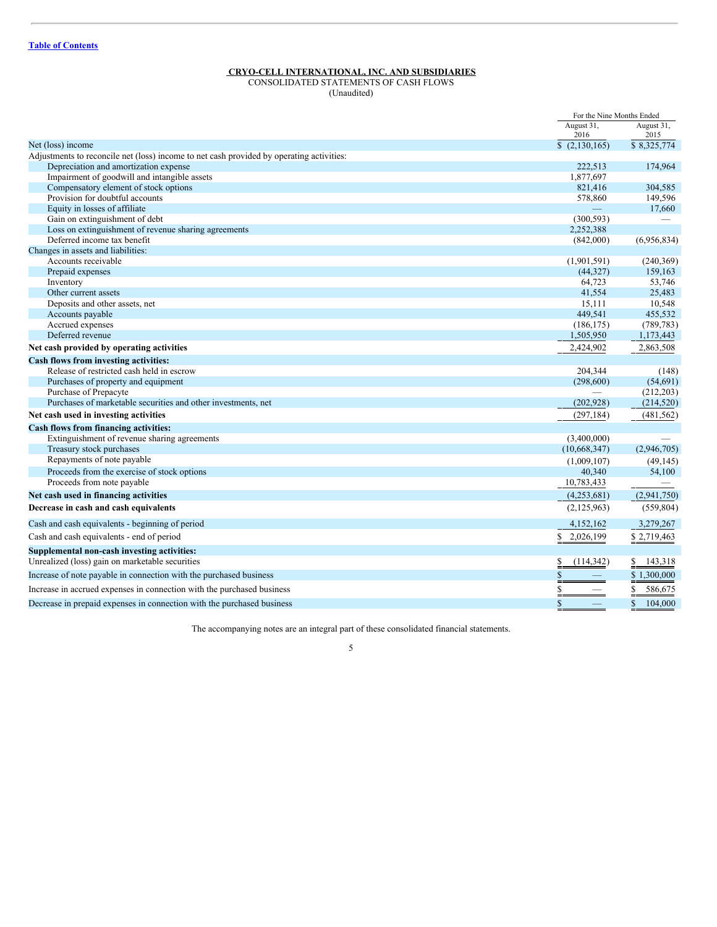<span id="page-4-0"></span>CONSOLIDATED STATEMENTS OF CASH FLOWS

(Unaudited)

|                                                                                          | For the Nine Months Ended |                                    |
|------------------------------------------------------------------------------------------|---------------------------|------------------------------------|
|                                                                                          | August 31,<br>2016        | August 31,<br>2015                 |
| Net (loss) income                                                                        | \$(2,130,165)             | \$8,325,774                        |
| Adjustments to reconcile net (loss) income to net cash provided by operating activities: |                           |                                    |
| Depreciation and amortization expense                                                    | 222.513                   | 174,964                            |
| Impairment of goodwill and intangible assets                                             | 1,877,697                 |                                    |
| Compensatory element of stock options                                                    | 821,416                   | 304,585                            |
| Provision for doubtful accounts                                                          | 578,860                   | 149,596                            |
| Equity in losses of affiliate                                                            |                           | 17,660                             |
| Gain on extinguishment of debt                                                           | (300, 593)                |                                    |
| Loss on extinguishment of revenue sharing agreements                                     | 2,252,388                 |                                    |
| Deferred income tax benefit                                                              | (842,000)                 | (6,956,834)                        |
| Changes in assets and liabilities:                                                       |                           |                                    |
| Accounts receivable                                                                      | (1,901,591)               | (240, 369)                         |
| Prepaid expenses                                                                         | (44,327)                  | 159,163                            |
| Inventory                                                                                | 64,723                    | 53,746                             |
| Other current assets                                                                     | 41,554                    | 25,483                             |
| Deposits and other assets, net                                                           | 15.111                    | 10,548                             |
| Accounts payable                                                                         | 449,541                   | 455,532                            |
| Accrued expenses                                                                         | (186, 175)                | (789, 783)                         |
| Deferred revenue                                                                         | 1,505,950                 | 1,173,443                          |
| Net cash provided by operating activities                                                | 2,424,902                 | 2,863,508                          |
| Cash flows from investing activities:                                                    |                           |                                    |
| Release of restricted cash held in escrow                                                | 204,344                   | (148)                              |
| Purchases of property and equipment                                                      | (298, 600)                | (54, 691)                          |
| Purchase of Prepacyte                                                                    | $\overline{\phantom{0}}$  | (212, 203)                         |
| Purchases of marketable securities and other investments, net                            | (202, 928)                | (214, 520)                         |
| Net cash used in investing activities                                                    | (297, 184)                | (481, 562)                         |
| Cash flows from financing activities:                                                    |                           |                                    |
| Extinguishment of revenue sharing agreements                                             | (3,400,000)               |                                    |
| Treasury stock purchases                                                                 | (10, 668, 347)            | (2,946,705)                        |
| Repayments of note payable                                                               | (1,009,107)               | (49, 145)                          |
| Proceeds from the exercise of stock options                                              | 40,340                    | 54,100                             |
| Proceeds from note payable                                                               | 10,783,433                |                                    |
| Net cash used in financing activities                                                    | (4,253,681)               | (2,941,750)                        |
| Decrease in cash and cash equivalents                                                    | (2, 125, 963)             | (559, 804)                         |
| Cash and cash equivalents - beginning of period                                          | 4,152,162                 | 3,279,267                          |
| Cash and cash equivalents - end of period                                                | 2,026,199<br>\$           | \$2,719,463                        |
| Supplemental non-cash investing activities:                                              |                           |                                    |
| Unrealized (loss) gain on marketable securities                                          | (114, 342)<br>\$          | 143,318<br>\$                      |
| Increase of note payable in connection with the purchased business                       | \$                        | \$1,300,000                        |
| Increase in accrued expenses in connection with the purchased business                   | \$                        | $\overline{\mathbb{Z}}$<br>586,675 |
| Decrease in prepaid expenses in connection with the purchased business                   | $\mathbb{S}$              | \$<br>104,000                      |

The accompanying notes are an integral part of these consolidated financial statements.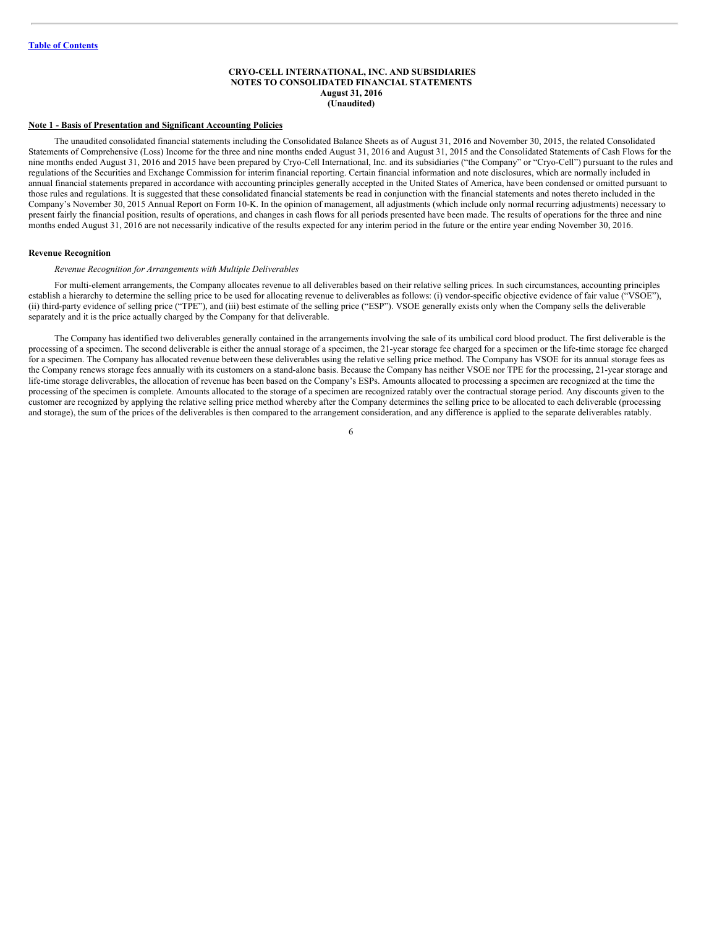## <span id="page-5-0"></span>**CRYO-CELL INTERNATIONAL, INC. AND SUBSIDIARIES NOTES TO CONSOLIDATED FINANCIAL STATEMENTS August 31, 2016 (Unaudited)**

#### **Note 1 - Basis of Presentation and Significant Accounting Policies**

The unaudited consolidated financial statements including the Consolidated Balance Sheets as of August 31, 2016 and November 30, 2015, the related Consolidated Statements of Comprehensive (Loss) Income for the three and nine months ended August 31, 2016 and August 31, 2015 and the Consolidated Statements of Cash Flows for the nine months ended August 31, 2016 and 2015 have been prepared by Cryo-Cell International, Inc. and its subsidiaries ("the Company" or "Cryo-Cell") pursuant to the rules and regulations of the Securities and Exchange Commission for interim financial reporting. Certain financial information and note disclosures, which are normally included in annual financial statements prepared in accordance with accounting principles generally accepted in the United States of America, have been condensed or omitted pursuant to those rules and regulations. It is suggested that these consolidated financial statements be read in conjunction with the financial statements and notes thereto included in the Company's November 30, 2015 Annual Report on Form 10-K. In the opinion of management, all adjustments (which include only normal recurring adjustments) necessary to present fairly the financial position, results of operations, and changes in cash flows for all periods presented have been made. The results of operations for the three and nine months ended August 31, 2016 are not necessarily indicative of the results expected for any interim period in the future or the entire year ending November 30, 2016.

#### **Revenue Recognition**

#### *Revenue Recognition for Arrangements with Multiple Deliverables*

For multi-element arrangements, the Company allocates revenue to all deliverables based on their relative selling prices. In such circumstances, accounting principles establish a hierarchy to determine the selling price to be used for allocating revenue to deliverables as follows: (i) vendor-specific objective evidence of fair value ("VSOE"), (ii) third-party evidence of selling price ("TPE"), and (iii) best estimate of the selling price ("ESP"). VSOE generally exists only when the Company sells the deliverable separately and it is the price actually charged by the Company for that deliverable.

The Company has identified two deliverables generally contained in the arrangements involving the sale of its umbilical cord blood product. The first deliverable is the processing of a specimen. The second deliverable is either the annual storage of a specimen, the 21-year storage fee charged for a specimen or the life-time storage fee charged for a specimen. The Company has allocated revenue between these deliverables using the relative selling price method. The Company has VSOE for its annual storage fees as the Company renews storage fees annually with its customers on a stand-alone basis. Because the Company has neither VSOE nor TPE for the processing, 21-year storage and life-time storage deliverables, the allocation of revenue has been based on the Company's ESPs. Amounts allocated to processing a specimen are recognized at the time the processing of the specimen is complete. Amounts allocated to the storage of a specimen are recognized ratably over the contractual storage period. Any discounts given to the customer are recognized by applying the relative selling price method whereby after the Company determines the selling price to be allocated to each deliverable (processing and storage), the sum of the prices of the deliverables is then compared to the arrangement consideration, and any difference is applied to the separate deliverables ratably.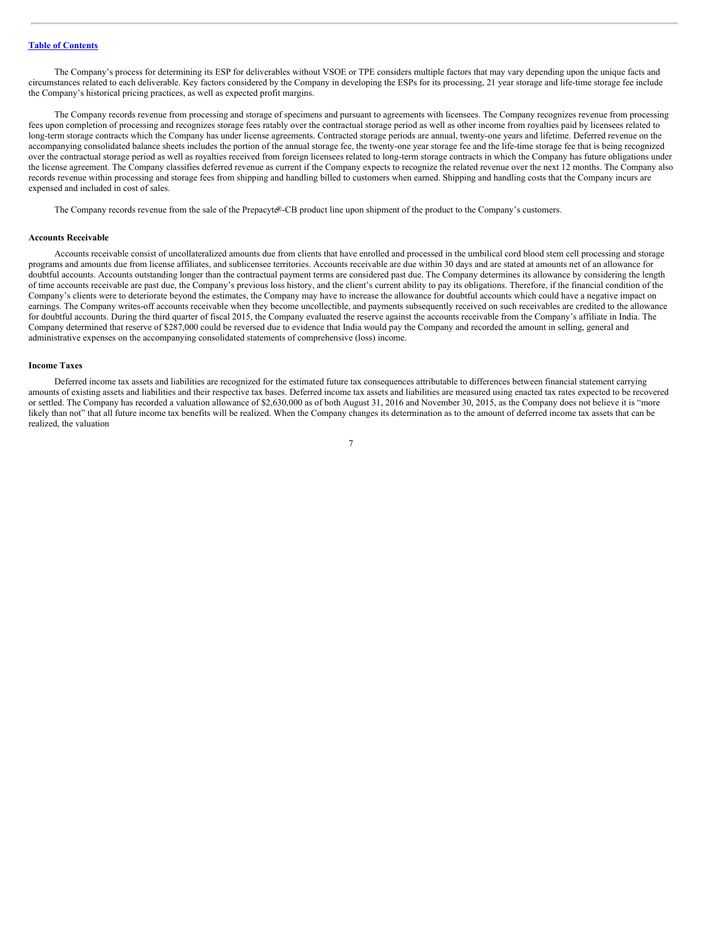The Company's process for determining its ESP for deliverables without VSOE or TPE considers multiple factors that may vary depending upon the unique facts and circumstances related to each deliverable. Key factors considered by the Company in developing the ESPs for its processing, 21 year storage and life-time storage fee include the Company's historical pricing practices, as well as expected profit margins.

The Company records revenue from processing and storage of specimens and pursuant to agreements with licensees. The Company recognizes revenue from processing fees upon completion of processing and recognizes storage fees ratably over the contractual storage period as well as other income from royalties paid by licensees related to long-term storage contracts which the Company has under license agreements. Contracted storage periods are annual, twenty-one years and lifetime. Deferred revenue on the accompanying consolidated balance sheets includes the portion of the annual storage fee, the twenty-one year storage fee and the life-time storage fee that is being recognized over the contractual storage period as well as royalties received from foreign licensees related to long-term storage contracts in which the Company has future obligations under the license agreement. The Company classifies deferred revenue as current if the Company expects to recognize the related revenue over the next 12 months. The Company also records revenue within processing and storage fees from shipping and handling billed to customers when earned. Shipping and handling costs that the Company incurs are expensed and included in cost of sales.

The Company records revenue from the sale of the Prepacyte®-CB product line upon shipment of the product to the Company's customers.

#### **Accounts Receivable**

Accounts receivable consist of uncollateralized amounts due from clients that have enrolled and processed in the umbilical cord blood stem cell processing and storage programs and amounts due from license affiliates, and sublicensee territories. Accounts receivable are due within 30 days and are stated at amounts net of an allowance for doubtful accounts. Accounts outstanding longer than the contractual payment terms are considered past due. The Company determines its allowance by considering the length of time accounts receivable are past due, the Company's previous loss history, and the client's current ability to pay its obligations. Therefore, if the financial condition of the Company's clients were to deteriorate beyond the estimates, the Company may have to increase the allowance for doubtful accounts which could have a negative impact on earnings. The Company writes-off accounts receivable when they become uncollectible, and payments subsequently received on such receivables are credited to the allowance for doubtful accounts. During the third quarter of fiscal 2015, the Company evaluated the reserve against the accounts receivable from the Company's affiliate in India. The Company determined that reserve of \$287,000 could be reversed due to evidence that India would pay the Company and recorded the amount in selling, general and administrative expenses on the accompanying consolidated statements of comprehensive (loss) income.

## **Income Taxes**

Deferred income tax assets and liabilities are recognized for the estimated future tax consequences attributable to differences between financial statement carrying amounts of existing assets and liabilities and their respective tax bases. Deferred income tax assets and liabilities are measured using enacted tax rates expected to be recovered or settled. The Company has recorded a valuation allowance of \$2,630,000 as of both August 31, 2016 and November 30, 2015, as the Company does not believe it is "more likely than not" that all future income tax benefits will be realized. When the Company changes its determination as to the amount of deferred income tax assets that can be realized, the valuation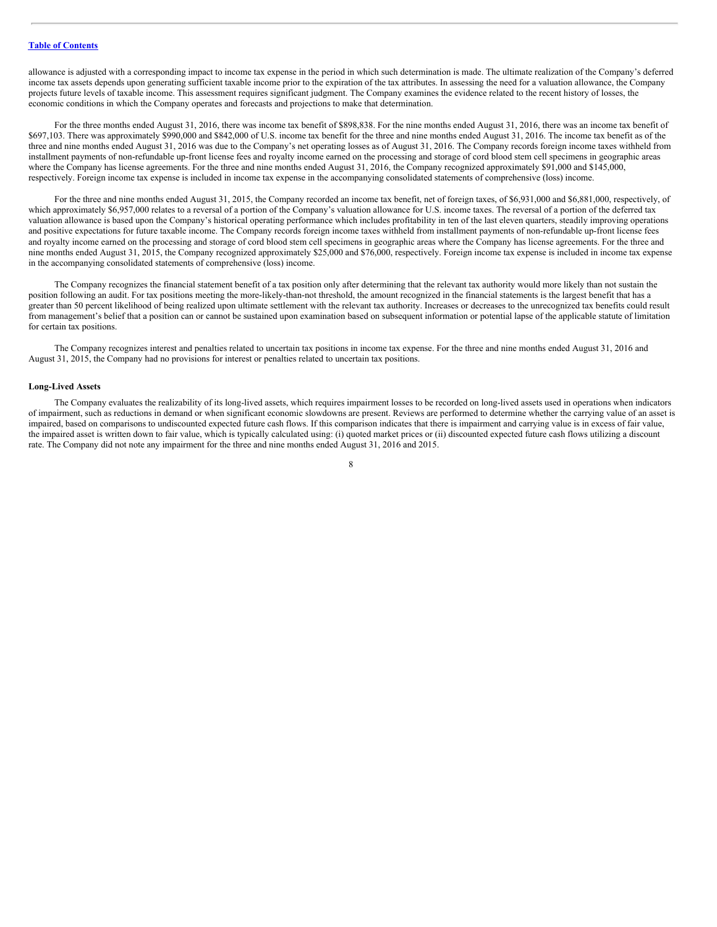allowance is adjusted with a corresponding impact to income tax expense in the period in which such determination is made. The ultimate realization of the Company's deferred income tax assets depends upon generating sufficient taxable income prior to the expiration of the tax attributes. In assessing the need for a valuation allowance, the Company projects future levels of taxable income. This assessment requires significant judgment. The Company examines the evidence related to the recent history of losses, the economic conditions in which the Company operates and forecasts and projections to make that determination.

For the three months ended August 31, 2016, there was income tax benefit of \$898,838. For the nine months ended August 31, 2016, there was an income tax benefit of \$697,103. There was approximately \$990,000 and \$842,000 of U.S. income tax benefit for the three and nine months ended August 31, 2016. The income tax benefit as of the three and nine months ended August 31, 2016 was due to the Company's net operating losses as of August 31, 2016. The Company records foreign income taxes withheld from installment payments of non-refundable up-front license fees and royalty income earned on the processing and storage of cord blood stem cell specimens in geographic areas where the Company has license agreements. For the three and nine months ended August 31, 2016, the Company recognized approximately \$91,000 and \$145,000, respectively. Foreign income tax expense is included in income tax expense in the accompanying consolidated statements of comprehensive (loss) income.

For the three and nine months ended August 31, 2015, the Company recorded an income tax benefit, net of foreign taxes, of \$6,931,000 and \$6,881,000, respectively, of which approximately \$6,957,000 relates to a reversal of a portion of the Company's valuation allowance for U.S. income taxes. The reversal of a portion of the deferred tax valuation allowance is based upon the Company's historical operating performance which includes profitability in ten of the last eleven quarters, steadily improving operations and positive expectations for future taxable income. The Company records foreign income taxes withheld from installment payments of non-refundable up-front license fees and royalty income earned on the processing and storage of cord blood stem cell specimens in geographic areas where the Company has license agreements. For the three and nine months ended August 31, 2015, the Company recognized approximately \$25,000 and \$76,000, respectively. Foreign income tax expense is included in income tax expense in the accompanying consolidated statements of comprehensive (loss) income.

The Company recognizes the financial statement benefit of a tax position only after determining that the relevant tax authority would more likely than not sustain the position following an audit. For tax positions meeting the more-likely-than-not threshold, the amount recognized in the financial statements is the largest benefit that has a greater than 50 percent likelihood of being realized upon ultimate settlement with the relevant tax authority. Increases or decreases to the unrecognized tax benefits could result from management's belief that a position can or cannot be sustained upon examination based on subsequent information or potential lapse of the applicable statute of limitation for certain tax positions.

The Company recognizes interest and penalties related to uncertain tax positions in income tax expense. For the three and nine months ended August 31, 2016 and August 31, 2015, the Company had no provisions for interest or penalties related to uncertain tax positions.

#### **Long-Lived Assets**

The Company evaluates the realizability of its long-lived assets, which requires impairment losses to be recorded on long-lived assets used in operations when indicators of impairment, such as reductions in demand or when significant economic slowdowns are present. Reviews are performed to determine whether the carrying value of an asset is impaired, based on comparisons to undiscounted expected future cash flows. If this comparison indicates that there is impairment and carrying value is in excess of fair value, the impaired asset is written down to fair value, which is typically calculated using: (i) quoted market prices or (ii) discounted expected future cash flows utilizing a discount rate. The Company did not note any impairment for the three and nine months ended August 31, 2016 and 2015.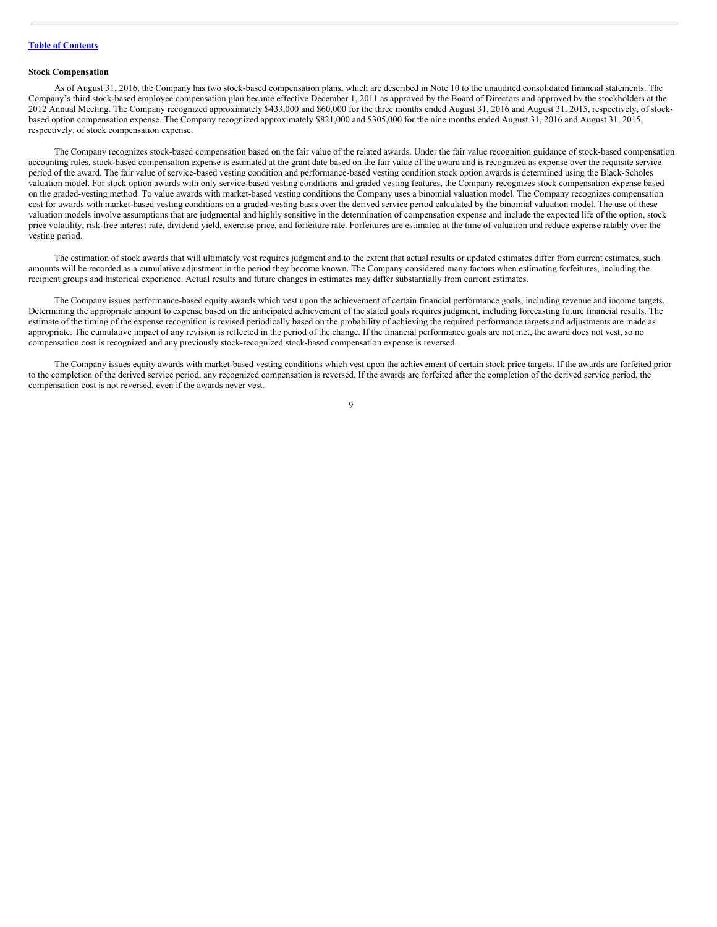#### **Stock Compensation**

As of August 31, 2016, the Company has two stock-based compensation plans, which are described in Note 10 to the unaudited consolidated financial statements. The Company's third stock-based employee compensation plan became effective December 1, 2011 as approved by the Board of Directors and approved by the stockholders at the 2012 Annual Meeting. The Company recognized approximately \$433,000 and \$60,000 for the three months ended August 31, 2016 and August 31, 2015, respectively, of stockbased option compensation expense. The Company recognized approximately \$821,000 and \$305,000 for the nine months ended August 31, 2016 and August 31, 2015, respectively, of stock compensation expense.

The Company recognizes stock-based compensation based on the fair value of the related awards. Under the fair value recognition guidance of stock-based compensation accounting rules, stock-based compensation expense is estimated at the grant date based on the fair value of the award and is recognized as expense over the requisite service period of the award. The fair value of service-based vesting condition and performance-based vesting condition stock option awards is determined using the Black-Scholes valuation model. For stock option awards with only service-based vesting conditions and graded vesting features, the Company recognizes stock compensation expense based on the graded-vesting method. To value awards with market-based vesting conditions the Company uses a binomial valuation model. The Company recognizes compensation cost for awards with market-based vesting conditions on a graded-vesting basis over the derived service period calculated by the binomial valuation model. The use of these valuation models involve assumptions that are judgmental and highly sensitive in the determination of compensation expense and include the expected life of the option, stock price volatility, risk-free interest rate, dividend yield, exercise price, and forfeiture rate. Forfeitures are estimated at the time of valuation and reduce expense ratably over the vesting period.

The estimation of stock awards that will ultimately vest requires judgment and to the extent that actual results or updated estimates differ from current estimates, such amounts will be recorded as a cumulative adjustment in the period they become known. The Company considered many factors when estimating forfeitures, including the recipient groups and historical experience. Actual results and future changes in estimates may differ substantially from current estimates.

The Company issues performance-based equity awards which vest upon the achievement of certain financial performance goals, including revenue and income targets. Determining the appropriate amount to expense based on the anticipated achievement of the stated goals requires judgment, including forecasting future financial results. The estimate of the timing of the expense recognition is revised periodically based on the probability of achieving the required performance targets and adjustments are made as appropriate. The cumulative impact of any revision is reflected in the period of the change. If the financial performance goals are not met, the award does not vest, so no compensation cost is recognized and any previously stock-recognized stock-based compensation expense is reversed.

The Company issues equity awards with market-based vesting conditions which vest upon the achievement of certain stock price targets. If the awards are forfeited prior to the completion of the derived service period, any recognized compensation is reversed. If the awards are forfeited after the completion of the derived service period, the compensation cost is not reversed, even if the awards never vest.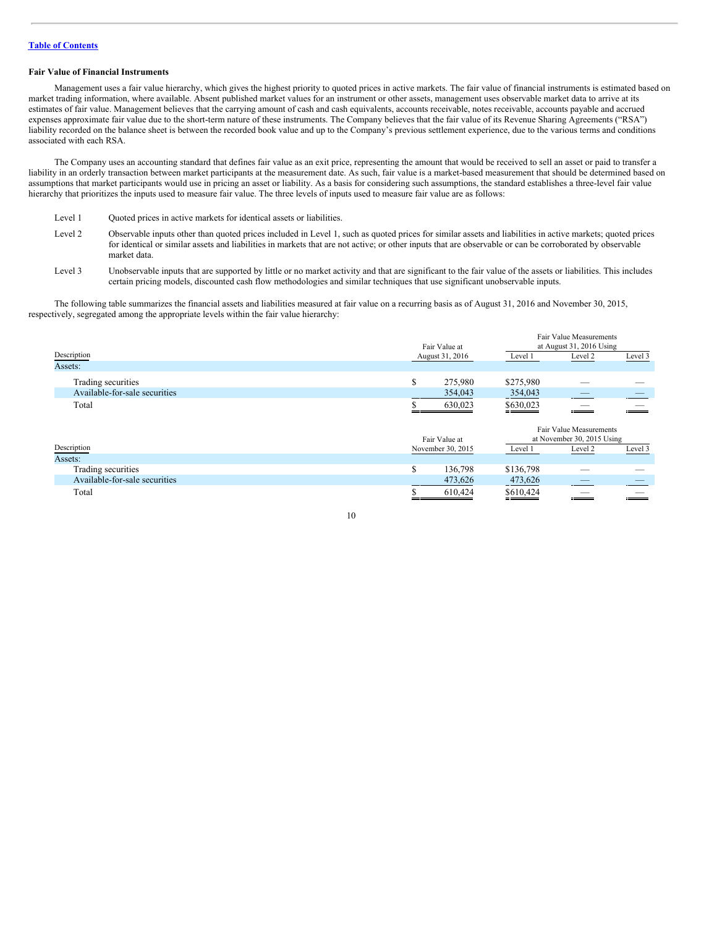## **Fair Value of Financial Instruments**

Management uses a fair value hierarchy, which gives the highest priority to quoted prices in active markets. The fair value of financial instruments is estimated based on market trading information, where available. Absent published market values for an instrument or other assets, management uses observable market data to arrive at its estimates of fair value. Management believes that the carrying amount of cash and cash equivalents, accounts receivable, notes receivable, accounts payable and accrued expenses approximate fair value due to the short-term nature of these instruments. The Company believes that the fair value of its Revenue Sharing Agreements ("RSA") liability recorded on the balance sheet is between the recorded book value and up to the Company's previous settlement experience, due to the various terms and conditions associated with each RSA.

The Company uses an accounting standard that defines fair value as an exit price, representing the amount that would be received to sell an asset or paid to transfer a liability in an orderly transaction between market participants at the measurement date. As such, fair value is a market-based measurement that should be determined based on assumptions that market participants would use in pricing an asset or liability. As a basis for considering such assumptions, the standard establishes a three-level fair value hierarchy that prioritizes the inputs used to measure fair value. The three levels of inputs used to measure fair value are as follows:

- Level 1 Quoted prices in active markets for identical assets or liabilities.
- Level 2 Observable inputs other than quoted prices included in Level 1, such as quoted prices for similar assets and liabilities in active markets; quoted prices for identical or similar assets and liabilities in markets that are not active; or other inputs that are observable or can be corroborated by observable market data.
- Level 3 Unobservable inputs that are supported by little or no market activity and that are significant to the fair value of the assets or liabilities. This includes certain pricing models, discounted cash flow methodologies and similar techniques that use significant unobservable inputs.

The following table summarizes the financial assets and liabilities measured at fair value on a recurring basis as of August 31, 2016 and November 30, 2015, respectively, segregated among the appropriate levels within the fair value hierarchy:

|                               | Fair Value at |                   | Fair Value Measurements<br>at August 31, 2016 Using   |         |         |  |
|-------------------------------|---------------|-------------------|-------------------------------------------------------|---------|---------|--|
| Description                   |               | August 31, 2016   | Level 1                                               | Level 2 | Level 3 |  |
| Assets:                       |               |                   |                                                       |         |         |  |
| Trading securities            | \$            | 275,980           | \$275,980                                             |         |         |  |
| Available-for-sale securities |               | 354,043           | 354,043                                               |         |         |  |
| Total                         |               | 630,023           | \$630,023                                             |         |         |  |
|                               |               | Fair Value at     | Fair Value Measurements<br>at November 30, 2015 Using |         |         |  |
| Description                   |               | November 30, 2015 | Level 1                                               | Level 2 | Level 3 |  |
| Assets:                       |               |                   |                                                       |         |         |  |
| Trading securities            | S             | 136,798           | \$136,798                                             |         |         |  |
| Available-for-sale securities |               | 473,626           | 473,626                                               |         |         |  |
| Total                         |               | 610,424           | \$610,424                                             |         |         |  |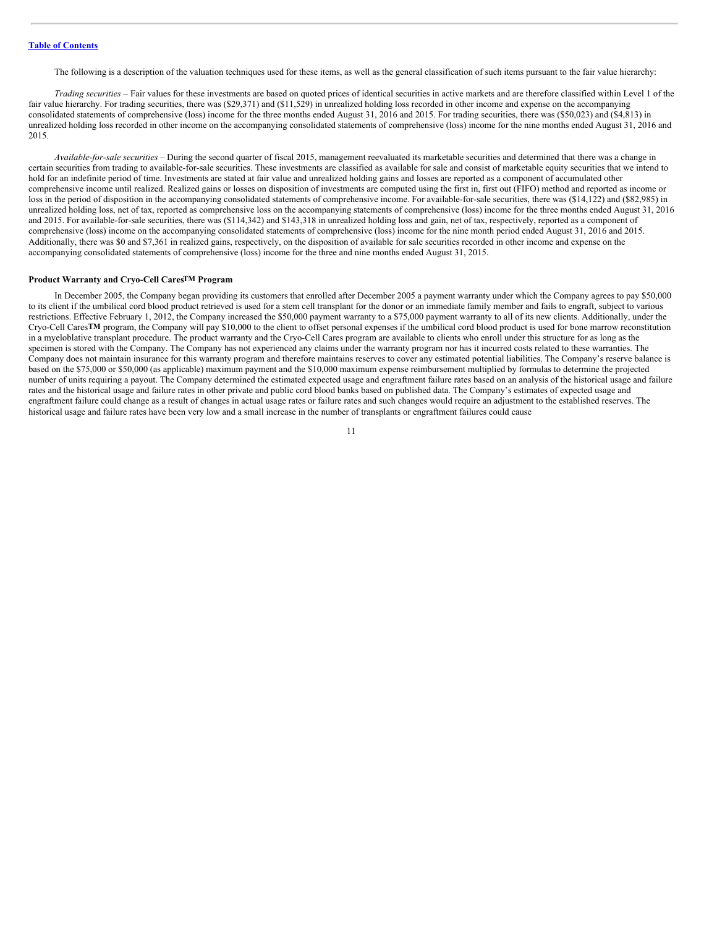The following is a description of the valuation techniques used for these items, as well as the general classification of such items pursuant to the fair value hierarchy:

*Trading securities* – Fair values for these investments are based on quoted prices of identical securities in active markets and are therefore classified within Level 1 of the fair value hierarchy. For trading securities, there was (\$29,371) and (\$11,529) in unrealized holding loss recorded in other income and expense on the accompanying consolidated statements of comprehensive (loss) income for the three months ended August 31, 2016 and 2015. For trading securities, there was (\$50,023) and (\$4,813) in unrealized holding loss recorded in other income on the accompanying consolidated statements of comprehensive (loss) income for the nine months ended August 31, 2016 and 2015.

*Available-for-sale securities –* During the second quarter of fiscal 2015, management reevaluated its marketable securities and determined that there was a change in certain securities from trading to available-for-sale securities. These investments are classified as available for sale and consist of marketable equity securities that we intend to hold for an indefinite period of time. Investments are stated at fair value and unrealized holding gains and losses are reported as a component of accumulated other comprehensive income until realized. Realized gains or losses on disposition of investments are computed using the first in, first out (FIFO) method and reported as income or loss in the period of disposition in the accompanying consolidated statements of comprehensive income. For available-for-sale securities, there was (\$14,122) and (\$82,985) in unrealized holding loss, net of tax, reported as comprehensive loss on the accompanying statements of comprehensive (loss) income for the three months ended August 31, 2016 and 2015. For available-for-sale securities, there was (\$114,342) and \$143,318 in unrealized holding loss and gain, net of tax, respectively, reported as a component of comprehensive (loss) income on the accompanying consolidated statements of comprehensive (loss) income for the nine month period ended August 31, 2016 and 2015. Additionally, there was \$0 and \$7,361 in realized gains, respectively, on the disposition of available for sale securities recorded in other income and expense on the accompanying consolidated statements of comprehensive (loss) income for the three and nine months ended August 31, 2015.

#### **Product Warranty and Cryo-Cell CaresTM Program**

In December 2005, the Company began providing its customers that enrolled after December 2005 a payment warranty under which the Company agrees to pay \$50,000 to its client if the umbilical cord blood product retrieved is used for a stem cell transplant for the donor or an immediate family member and fails to engraft, subject to various restrictions. Effective February 1, 2012, the Company increased the \$50,000 payment warranty to a \$75,000 payment warranty to all of its new clients. Additionally, under the Cryo-Cell Cares**TM** program, the Company will pay \$10,000 to the client to offset personal expenses if the umbilical cord blood product is used for bone marrow reconstitution in a myeloblative transplant procedure. The product warranty and the Cryo-Cell Cares program are available to clients who enroll under this structure for as long as the specimen is stored with the Company. The Company has not experienced any claims under the warranty program nor has it incurred costs related to these warranties. The Company does not maintain insurance for this warranty program and therefore maintains reserves to cover any estimated potential liabilities. The Company's reserve balance is based on the \$75,000 or \$50,000 (as applicable) maximum payment and the \$10,000 maximum expense reimbursement multiplied by formulas to determine the projected number of units requiring a payout. The Company determined the estimated expected usage and engraftment failure rates based on an analysis of the historical usage and failure rates and the historical usage and failure rates in other private and public cord blood banks based on published data. The Company's estimates of expected usage and engraftment failure could change as a result of changes in actual usage rates or failure rates and such changes would require an adjustment to the established reserves. The historical usage and failure rates have been very low and a small increase in the number of transplants or engraftment failures could cause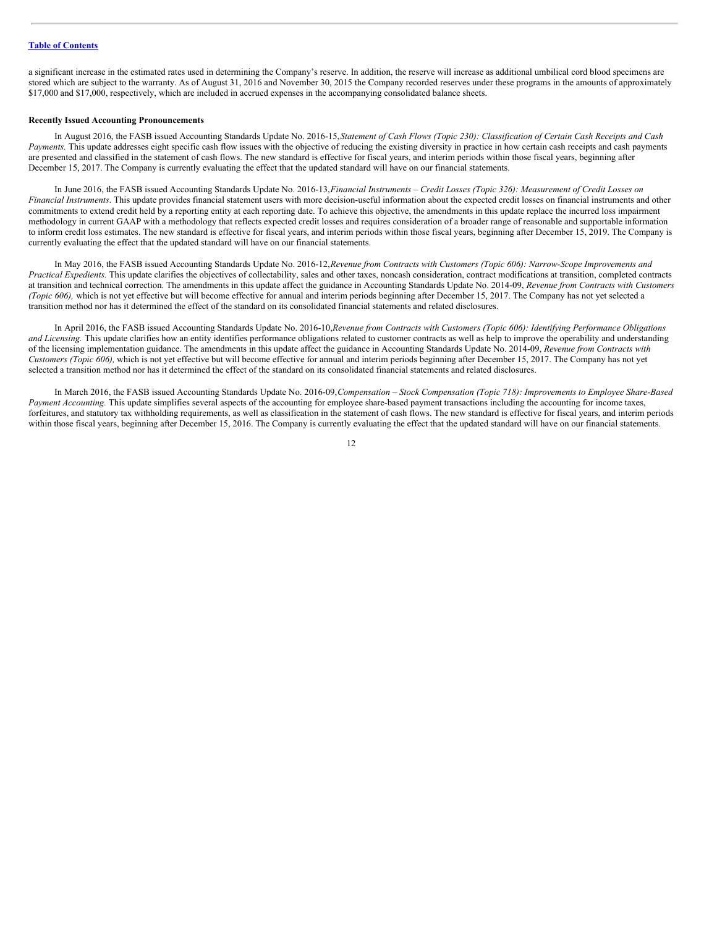a significant increase in the estimated rates used in determining the Company's reserve. In addition, the reserve will increase as additional umbilical cord blood specimens are stored which are subject to the warranty. As of August 31, 2016 and November 30, 2015 the Company recorded reserves under these programs in the amounts of approximately \$17,000 and \$17,000, respectively, which are included in accrued expenses in the accompanying consolidated balance sheets.

#### **Recently Issued Accounting Pronouncements**

In August 2016, the FASB issued Accounting Standards Update No. 2016-15, Statement of Cash Flows (Topic 230): Classification of Certain Cash Receipts and Cash *Payments.* This update addresses eight specific cash flow issues with the objective of reducing the existing diversity in practice in how certain cash receipts and cash payments are presented and classified in the statement of cash flows. The new standard is effective for fiscal years, and interim periods within those fiscal years, beginning after December 15, 2017. The Company is currently evaluating the effect that the updated standard will have on our financial statements.

In June 2016, the FASB issued Accounting Standards Update No. 2016-13, Financial Instruments - Credit Losses (Topic 326): Measurement of Credit Losses on *Financial Instruments*. This update provides financial statement users with more decision-useful information about the expected credit losses on financial instruments and other commitments to extend credit held by a reporting entity at each reporting date. To achieve this objective, the amendments in this update replace the incurred loss impairment methodology in current GAAP with a methodology that reflects expected credit losses and requires consideration of a broader range of reasonable and supportable information to inform credit loss estimates. The new standard is effective for fiscal years, and interim periods within those fiscal years, beginning after December 15, 2019. The Company is currently evaluating the effect that the updated standard will have on our financial statements.

In May 2016, the FASB issued Accounting Standards Update No. 2016-12,*Revenue from Contracts with Customers (Topic 606): Narrow-Scope Improvements and Practical Expedients.* This update clarifies the objectives of collectability, sales and other taxes, noncash consideration, contract modifications at transition, completed contracts at transition and technical correction. The amendments in this update affect the guidance in Accounting Standards Update No. 2014-09, *Revenue from Contracts with Customers (Topic 606),* which is not yet effective but will become effective for annual and interim periods beginning after December 15, 2017. The Company has not yet selected a transition method nor has it determined the effect of the standard on its consolidated financial statements and related disclosures.

In April 2016, the FASB issued Accounting Standards Update No. 2016-10, Revenue from Contracts with Customers (Topic 606): Identifying Performance Obligations *and Licensing*. This update clarifies how an entity identifies performance obligations related to customer contracts as well as help to improve the operability and understanding of the licensing implementation guidance. The amendments in this update affect the guidance in Accounting Standards Update No. 2014-09, *Revenue from Contracts with Customers (Topic 606),* which is not yet effective but will become effective for annual and interim periods beginning after December 15, 2017. The Company has not yet selected a transition method nor has it determined the effect of the standard on its consolidated financial statements and related disclosures.

In March 2016, the FASB issued Accounting Standards Update No. 2016-09,*Compensation – Stock Compensation (Topic 718): Improvements to Employee Share-Based Payment Accounting.* This update simplifies several aspects of the accounting for employee share-based payment transactions including the accounting for income taxes, forfeitures, and statutory tax withholding requirements, as well as classification in the statement of cash flows. The new standard is effective for fiscal years, and interim periods within those fiscal years, beginning after December 15, 2016. The Company is currently evaluating the effect that the updated standard will have on our financial statements.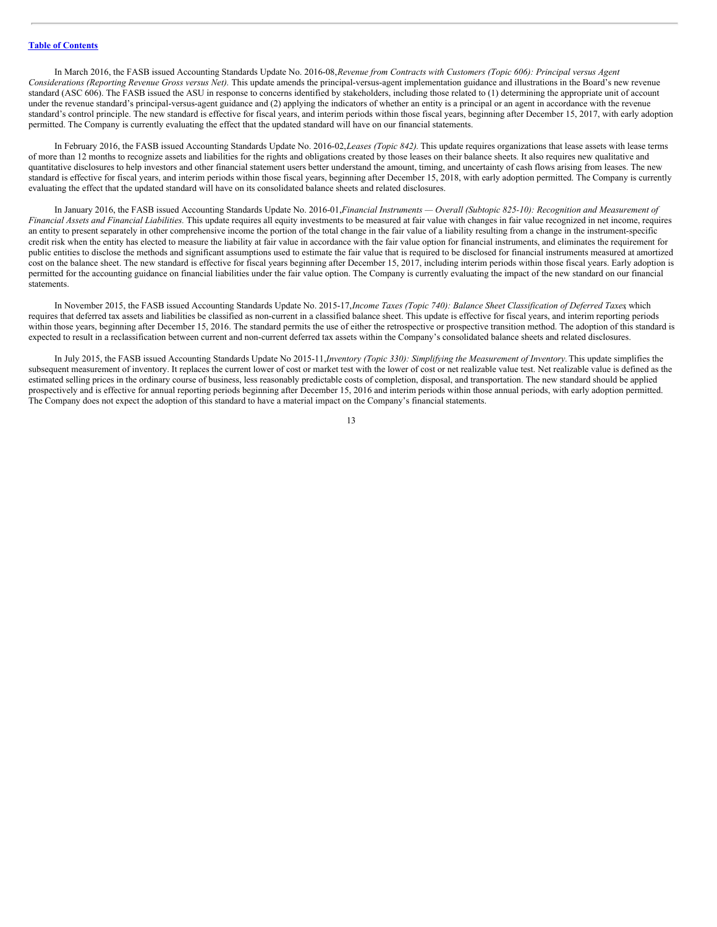In March 2016, the FASB issued Accounting Standards Update No. 2016-08,*Revenue from Contracts with Customers (Topic 606): Principal versus Agent Considerations (Reporting Revenue Gross versus Net).* This update amends the principal-versus-agent implementation guidance and illustrations in the Board's new revenue standard (ASC 606). The FASB issued the ASU in response to concerns identified by stakeholders, including those related to (1) determining the appropriate unit of account under the revenue standard's principal-versus-agent guidance and (2) applying the indicators of whether an entity is a principal or an agent in accordance with the revenue standard's control principle. The new standard is effective for fiscal years, and interim periods within those fiscal years, beginning after December 15, 2017, with early adoption permitted. The Company is currently evaluating the effect that the updated standard will have on our financial statements.

In February 2016, the FASB issued Accounting Standards Update No. 2016-02,*Leases (Topic 842).* This update requires organizations that lease assets with lease terms of more than 12 months to recognize assets and liabilities for the rights and obligations created by those leases on their balance sheets. It also requires new qualitative and quantitative disclosures to help investors and other financial statement users better understand the amount, timing, and uncertainty of cash flows arising from leases. The new standard is effective for fiscal years, and interim periods within those fiscal years, beginning after December 15, 2018, with early adoption permitted. The Company is currently evaluating the effect that the updated standard will have on its consolidated balance sheets and related disclosures.

In January 2016, the FASB issued Accounting Standards Update No. 2016-01,*Financial Instruments — Overall (Subtopic 825-10): Recognition and Measurement of Financial Assets and Financial Liabilities.* This update requires all equity investments to be measured at fair value with changes in fair value recognized in net income, requires an entity to present separately in other comprehensive income the portion of the total change in the fair value of a liability resulting from a change in the instrument-specific credit risk when the entity has elected to measure the liability at fair value in accordance with the fair value option for financial instruments, and eliminates the requirement for public entities to disclose the methods and significant assumptions used to estimate the fair value that is required to be disclosed for financial instruments measured at amortized cost on the balance sheet. The new standard is effective for fiscal years beginning after December 15, 2017, including interim periods within those fiscal years. Early adoption is permitted for the accounting guidance on financial liabilities under the fair value option. The Company is currently evaluating the impact of the new standard on our financial statements.

In November 2015, the FASB issued Accounting Standards Update No. 2015-17,*Income Taxes (Topic 740): Balance Sheet Classification of Deferred Taxes*, which requires that deferred tax assets and liabilities be classified as non-current in a classified balance sheet. This update is effective for fiscal years, and interim reporting periods within those years, beginning after December 15, 2016. The standard permits the use of either the retrospective or prospective transition method. The adoption of this standard is expected to result in a reclassification between current and non-current deferred tax assets within the Company's consolidated balance sheets and related disclosures.

In July 2015, the FASB issued Accounting Standards Update No 2015-11,*Inventory (Topic 330): Simplifying the Measurement of Inventory.*This update simplifies the subsequent measurement of inventory. It replaces the current lower of cost or market test with the lower of cost or net realizable value test. Net realizable value is defined as the estimated selling prices in the ordinary course of business, less reasonably predictable costs of completion, disposal, and transportation. The new standard should be applied prospectively and is effective for annual reporting periods beginning after December 15, 2016 and interim periods within those annual periods, with early adoption permitted. The Company does not expect the adoption of this standard to have a material impact on the Company's financial statements.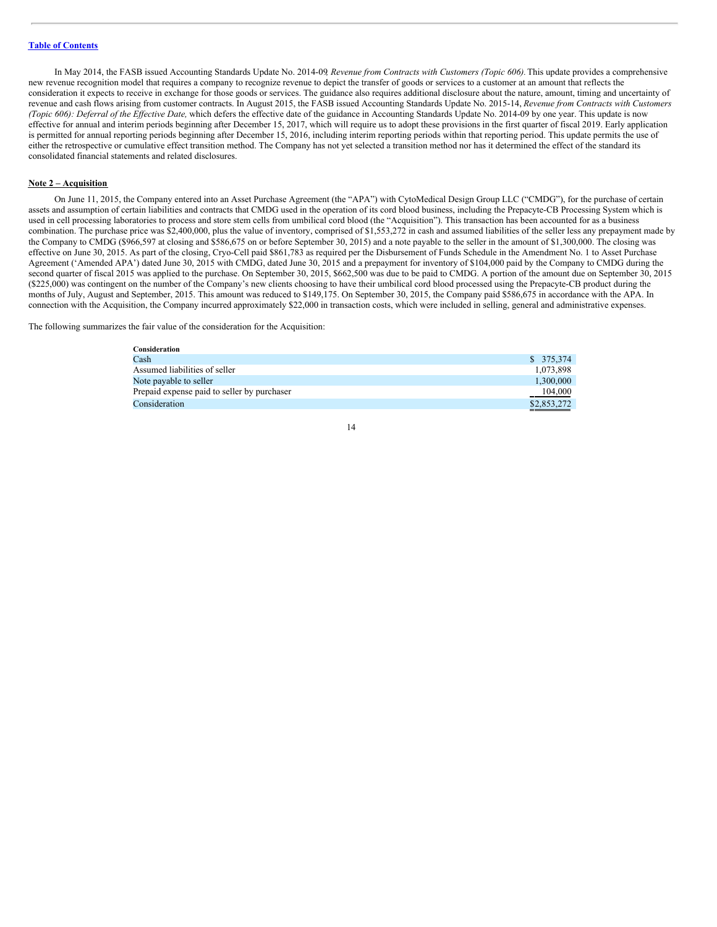In May 2014, the FASB issued Accounting Standards Update No. 2014-09*, Revenue from Contracts with Customers (Topic 606).*This update provides a comprehensive new revenue recognition model that requires a company to recognize revenue to depict the transfer of goods or services to a customer at an amount that reflects the consideration it expects to receive in exchange for those goods or services. The guidance also requires additional disclosure about the nature, amount, timing and uncertainty of revenue and cash flows arising from customer contracts. In August 2015, the FASB issued Accounting Standards Update No. 2015-14, *Revenue from Contracts with Customers (Topic 606): Deferral of the Ef ective Date,* which defers the effective date of the guidance in Accounting Standards Update No. 2014-09 by one year. This update is now effective for annual and interim periods beginning after December 15, 2017, which will require us to adopt these provisions in the first quarter of fiscal 2019. Early application is permitted for annual reporting periods beginning after December 15, 2016, including interim reporting periods within that reporting period. This update permits the use of either the retrospective or cumulative effect transition method. The Company has not yet selected a transition method nor has it determined the effect of the standard its consolidated financial statements and related disclosures.

#### **Note 2 – Acquisition**

On June 11, 2015, the Company entered into an Asset Purchase Agreement (the "APA") with CytoMedical Design Group LLC ("CMDG"), for the purchase of certain assets and assumption of certain liabilities and contracts that CMDG used in the operation of its cord blood business, including the Prepacyte-CB Processing System which is used in cell processing laboratories to process and store stem cells from umbilical cord blood (the "Acquisition"). This transaction has been accounted for as a business combination. The purchase price was \$2,400,000, plus the value of inventory, comprised of \$1,553,272 in cash and assumed liabilities of the seller less any prepayment made by the Company to CMDG (\$966,597 at closing and \$586,675 on or before September 30, 2015) and a note payable to the seller in the amount of \$1,300,000. The closing was effective on June 30, 2015. As part of the closing, Cryo-Cell paid \$861,783 as required per the Disbursement of Funds Schedule in the Amendment No. 1 to Asset Purchase Agreement ('Amended APA') dated June 30, 2015 with CMDG, dated June 30, 2015 and a prepayment for inventory of \$104,000 paid by the Company to CMDG during the second quarter of fiscal 2015 was applied to the purchase. On September 30, 2015, \$662,500 was due to be paid to CMDG. A portion of the amount due on September 30, 2015 (\$225,000) was contingent on the number of the Company's new clients choosing to have their umbilical cord blood processed using the Prepacyte-CB product during the months of July, August and September, 2015. This amount was reduced to \$149,175. On September 30, 2015, the Company paid \$586,675 in accordance with the APA. In connection with the Acquisition, the Company incurred approximately \$22,000 in transaction costs, which were included in selling, general and administrative expenses.

The following summarizes the fair value of the consideration for the Acquisition:

| Consideration                               |             |
|---------------------------------------------|-------------|
| Cash                                        | \$ 375,374  |
| Assumed liabilities of seller               | 1,073,898   |
| Note payable to seller                      | 1.300,000   |
| Prepaid expense paid to seller by purchaser | 104,000     |
| Consideration                               | \$2,853,272 |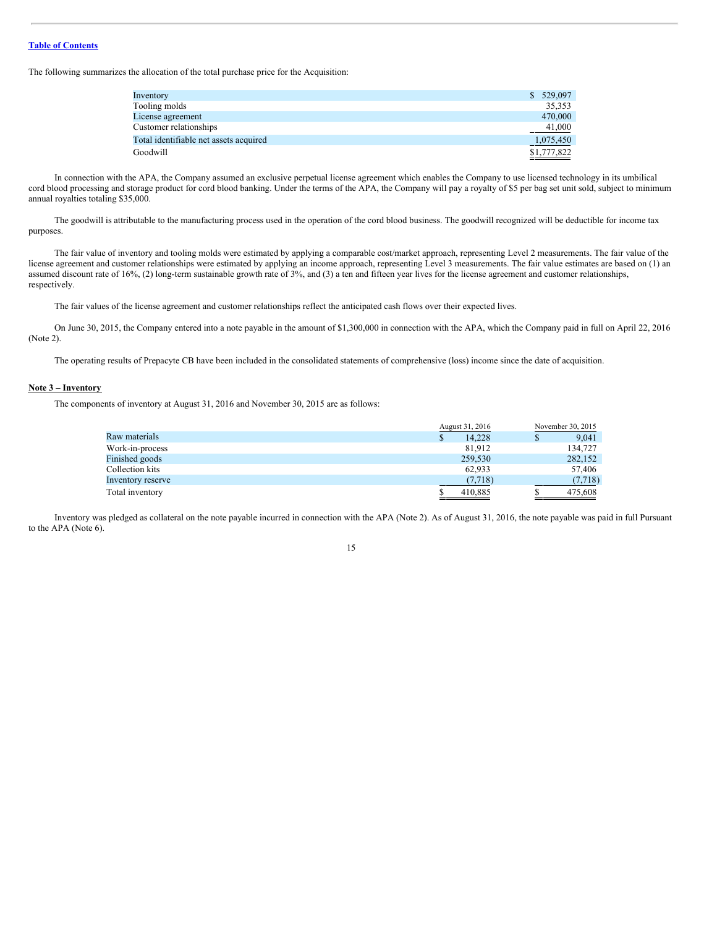The following summarizes the allocation of the total purchase price for the Acquisition:

| Inventory                              | \$529,097   |
|----------------------------------------|-------------|
| Tooling molds                          | 35,353      |
| License agreement                      | 470,000     |
| Customer relationships                 | 41,000      |
| Total identifiable net assets acquired | 1,075,450   |
| Goodwill                               | \$1,777,822 |

In connection with the APA, the Company assumed an exclusive perpetual license agreement which enables the Company to use licensed technology in its umbilical cord blood processing and storage product for cord blood banking. Under the terms of the APA, the Company will pay a royalty of \$5 per bag set unit sold, subject to minimum annual royalties totaling \$35,000.

The goodwill is attributable to the manufacturing process used in the operation of the cord blood business. The goodwill recognized will be deductible for income tax purposes.

The fair value of inventory and tooling molds were estimated by applying a comparable cost/market approach, representing Level 2 measurements. The fair value of the license agreement and customer relationships were estimated by applying an income approach, representing Level 3 measurements. The fair value estimates are based on (1) an assumed discount rate of 16%, (2) long-term sustainable growth rate of 3%, and (3) a ten and fifteen year lives for the license agreement and customer relationships, respectively.

The fair values of the license agreement and customer relationships reflect the anticipated cash flows over their expected lives.

On June 30, 2015, the Company entered into a note payable in the amount of \$1,300,000 in connection with the APA, which the Company paid in full on April 22, 2016 (Note 2).

The operating results of Prepacyte CB have been included in the consolidated statements of comprehensive (loss) income since the date of acquisition.

## **Note 3 – Inventory**

The components of inventory at August 31, 2016 and November 30, 2015 are as follows:

|                   | August 31, 2016 | November 30, 2015 |
|-------------------|-----------------|-------------------|
| Raw materials     | 14.228<br>Ф     | 9.041             |
| Work-in-process   | 81.912          | 134.727           |
| Finished goods    | 259,530         | 282,152           |
| Collection kits   | 62.933          | 57,406            |
| Inventory reserve | (7, 718)        | (7, 718)          |
| Total inventory   | 410,885         | 475,608           |

Inventory was pledged as collateral on the note payable incurred in connection with the APA (Note 2). As of August 31, 2016, the note payable was paid in full Pursuant to the APA (Note 6).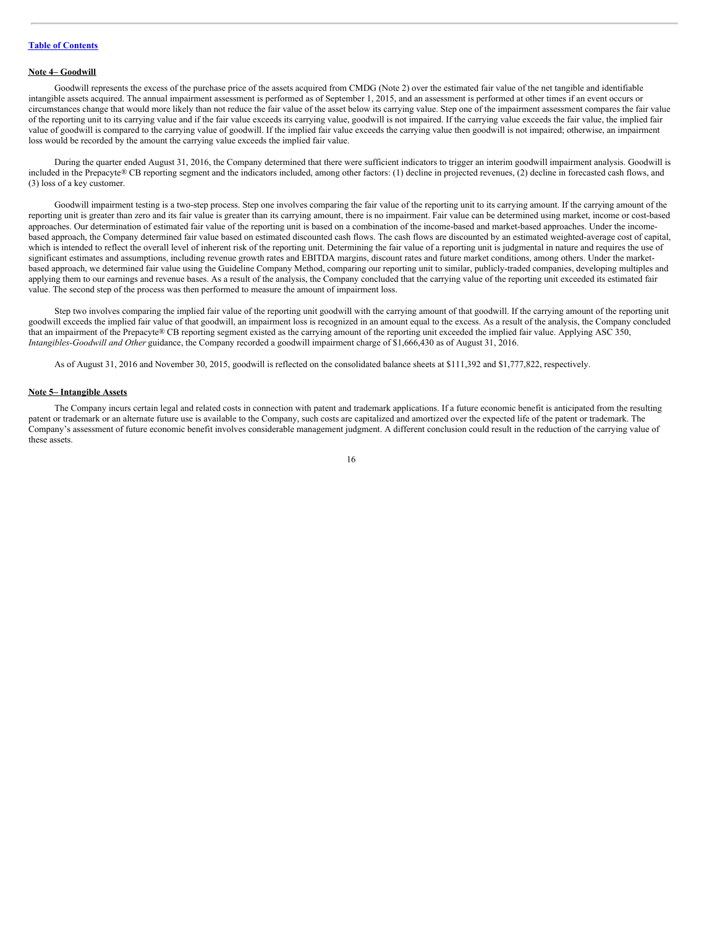## **Note 4– Goodwill**

Goodwill represents the excess of the purchase price of the assets acquired from CMDG (Note 2) over the estimated fair value of the net tangible and identifiable intangible assets acquired. The annual impairment assessment is performed as of September 1, 2015, and an assessment is performed at other times if an event occurs or circumstances change that would more likely than not reduce the fair value of the asset below its carrying value. Step one of the impairment assessment compares the fair value of the reporting unit to its carrying value and if the fair value exceeds its carrying value, goodwill is not impaired. If the carrying value exceeds the fair value, the implied fair value of goodwill is compared to the carrying value of goodwill. If the implied fair value exceeds the carrying value then goodwill is not impaired; otherwise, an impairment loss would be recorded by the amount the carrying value exceeds the implied fair value.

During the quarter ended August 31, 2016, the Company determined that there were sufficient indicators to trigger an interim goodwill impairment analysis. Goodwill is included in the Prepacyte® CB reporting segment and the indicators included, among other factors: (1) decline in projected revenues, (2) decline in forecasted cash flows, and (3) loss of a key customer.

Goodwill impairment testing is a two-step process. Step one involves comparing the fair value of the reporting unit to its carrying amount. If the carrying amount of the reporting unit is greater than zero and its fair value is greater than its carrying amount, there is no impairment. Fair value can be determined using market, income or cost-based approaches. Our determination of estimated fair value of the reporting unit is based on a combination of the income-based and market-based approaches. Under the incomebased approach, the Company determined fair value based on estimated discounted cash flows. The cash flows are discounted by an estimated weighted-average cost of capital, which is intended to reflect the overall level of inherent risk of the reporting unit. Determining the fair value of a reporting unit is judgmental in nature and requires the use of significant estimates and assumptions, including revenue growth rates and EBITDA margins, discount rates and future market conditions, among others. Under the marketbased approach, we determined fair value using the Guideline Company Method, comparing our reporting unit to similar, publicly-traded companies, developing multiples and applying them to our earnings and revenue bases. As a result of the analysis, the Company concluded that the carrying value of the reporting unit exceeded its estimated fair value. The second step of the process was then performed to measure the amount of impairment loss.

Step two involves comparing the implied fair value of the reporting unit goodwill with the carrying amount of that goodwill. If the carrying amount of the reporting unit goodwill exceeds the implied fair value of that goodwill, an impairment loss is recognized in an amount equal to the excess. As a result of the analysis, the Company concluded that an impairment of the Prepacyte® CB reporting segment existed as the carrying amount of the reporting unit exceeded the implied fair value. Applying ASC 350, *Intangibles-Goodwill and Other* guidance, the Company recorded a goodwill impairment charge of \$1,666,430 as of August 31, 2016.

As of August 31, 2016 and November 30, 2015, goodwill is reflected on the consolidated balance sheets at \$111,392 and \$1,777,822, respectively.

#### **Note 5– Intangible Assets**

The Company incurs certain legal and related costs in connection with patent and trademark applications. If a future economic benefit is anticipated from the resulting patent or trademark or an alternate future use is available to the Company, such costs are capitalized and amortized over the expected life of the patent or trademark. The Company's assessment of future economic benefit involves considerable management judgment. A different conclusion could result in the reduction of the carrying value of these assets.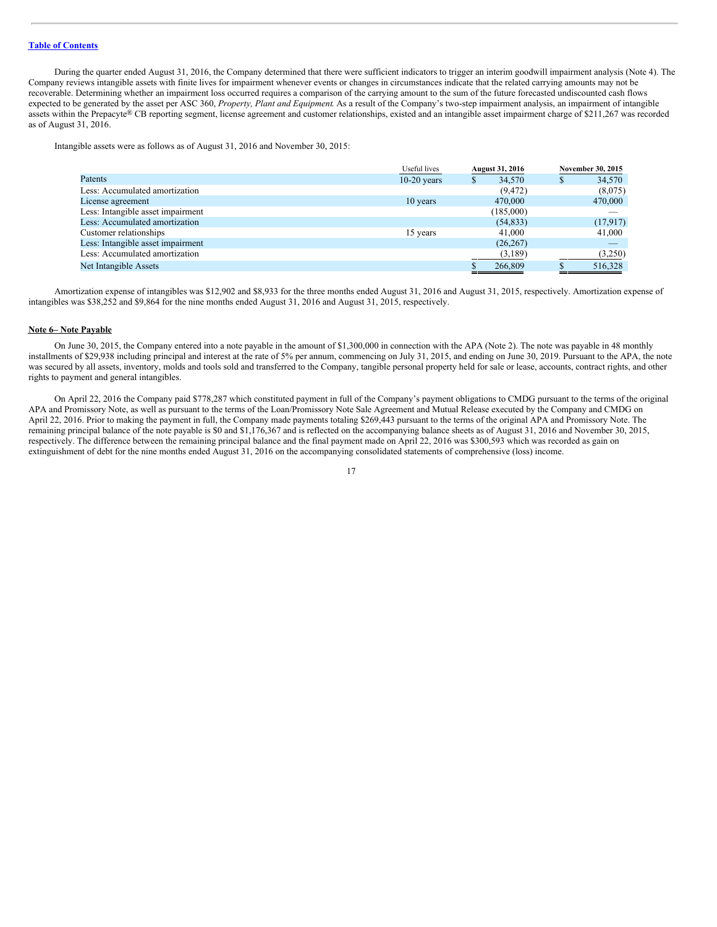During the quarter ended August 31, 2016, the Company determined that there were sufficient indicators to trigger an interim goodwill impairment analysis (Note 4). The Company reviews intangible assets with finite lives for impairment whenever events or changes in circumstances indicate that the related carrying amounts may not be recoverable. Determining whether an impairment loss occurred requires a comparison of the carrying amount to the sum of the future forecasted undiscounted cash flows expected to be generated by the asset per ASC 360, *Property, Plant and Equipment*. As a result of the Company's two-step impairment analysis, an impairment of intangible assets within the Prepacyte® CB reporting segment, license agreement and customer relationships, existed and an intangible asset impairment charge of \$211,267 was recorded as of August 31, 2016.

Intangible assets were as follows as of August 31, 2016 and November 30, 2015:

|                                   | Useful lives  | <b>August 31, 2016</b> | <b>November 30, 2015</b> |
|-----------------------------------|---------------|------------------------|--------------------------|
| Patents                           | $10-20$ years | 34,570<br>D            | 34,570                   |
| Less: Accumulated amortization    |               | (9, 472)               | (8,075)                  |
| License agreement                 | 10 years      | 470,000                | 470,000                  |
| Less: Intangible asset impairment |               | (185,000)              |                          |
| Less: Accumulated amortization    |               | (54, 833)              | (17,917)                 |
| Customer relationships            | 15 years      | 41,000                 | 41,000                   |
| Less: Intangible asset impairment |               | (26, 267)              |                          |
| Less: Accumulated amortization    |               | (3,189)                | (3,250)                  |
| Net Intangible Assets             |               | 266,809                | 516,328                  |

Amortization expense of intangibles was \$12,902 and \$8,933 for the three months ended August 31, 2016 and August 31, 2015, respectively. Amortization expense of intangibles was \$38,252 and \$9,864 for the nine months ended August 31, 2016 and August 31, 2015, respectively.

#### **Note 6– Note Payable**

On June 30, 2015, the Company entered into a note payable in the amount of \$1,300,000 in connection with the APA (Note 2). The note was payable in 48 monthly installments of \$29,938 including principal and interest at the rate of 5% per annum, commencing on July 31, 2015, and ending on June 30, 2019. Pursuant to the APA, the note was secured by all assets, inventory, molds and tools sold and transferred to the Company, tangible personal property held for sale or lease, accounts, contract rights, and other rights to payment and general intangibles.

On April 22, 2016 the Company paid \$778,287 which constituted payment in full of the Company's payment obligations to CMDG pursuant to the terms of the original APA and Promissory Note, as well as pursuant to the terms of the Loan/Promissory Note Sale Agreement and Mutual Release executed by the Company and CMDG on April 22, 2016. Prior to making the payment in full, the Company made payments totaling \$269,443 pursuant to the terms of the original APA and Promissory Note. The remaining principal balance of the note payable is \$0 and \$1,176,367 and is reflected on the accompanying balance sheets as of August 31, 2016 and November 30, 2015, respectively. The difference between the remaining principal balance and the final payment made on April 22, 2016 was \$300,593 which was recorded as gain on extinguishment of debt for the nine months ended August 31, 2016 on the accompanying consolidated statements of comprehensive (loss) income.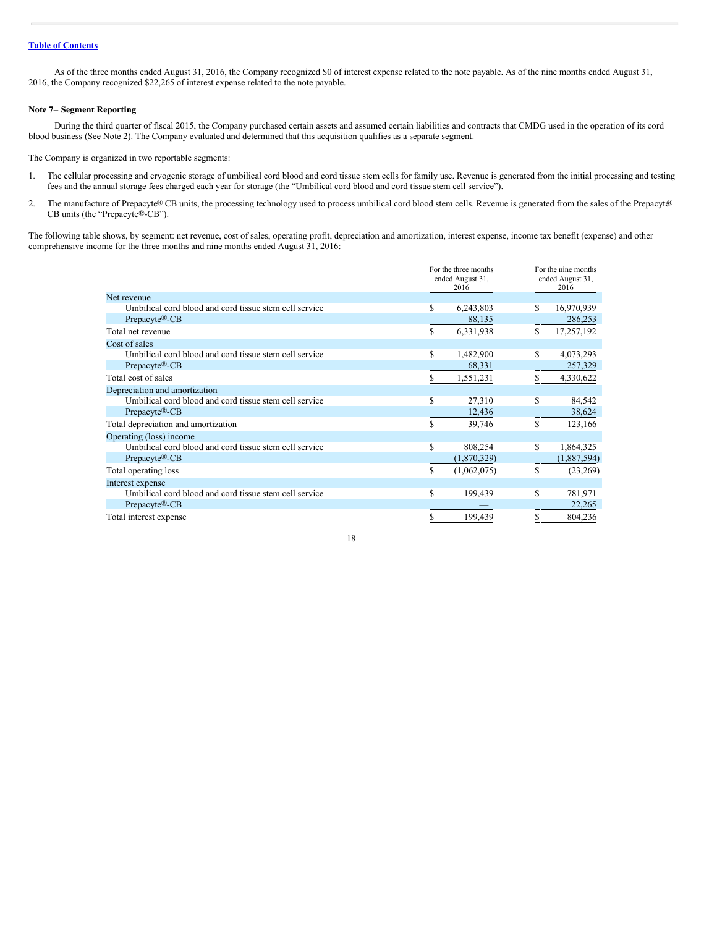As of the three months ended August 31, 2016, the Company recognized \$0 of interest expense related to the note payable. As of the nine months ended August 31, 2016, the Company recognized \$22,265 of interest expense related to the note payable.

## **Note 7**– **Segment Reporting**

During the third quarter of fiscal 2015, the Company purchased certain assets and assumed certain liabilities and contracts that CMDG used in the operation of its cord blood business (See Note 2). The Company evaluated and determined that this acquisition qualifies as a separate segment.

The Company is organized in two reportable segments:

- 1. The cellular processing and cryogenic storage of umbilical cord blood and cord tissue stem cells for family use. Revenue is generated from the initial processing and testing fees and the annual storage fees charged each year for storage (the "Umbilical cord blood and cord tissue stem cell service").
- 2. The manufacture of Prepacyte® CB units, the processing technology used to process umbilical cord blood stem cells. Revenue is generated from the sales of the Prepacyt® CB units (the "Prepacyte®-CB").

The following table shows, by segment: net revenue, cost of sales, operating profit, depreciation and amortization, interest expense, income tax benefit (expense) and other comprehensive income for the three months and nine months ended August 31, 2016:

|                                                        | For the three months<br>ended August 31,<br>2016 | For the nine months<br>ended August 31,<br>2016 |  |
|--------------------------------------------------------|--------------------------------------------------|-------------------------------------------------|--|
| Net revenue                                            |                                                  |                                                 |  |
| Umbilical cord blood and cord tissue stem cell service | \$<br>6,243,803                                  | 16,970,939<br>S.                                |  |
| Prepacyte®-CB                                          | 88,135                                           | 286,253                                         |  |
| Total net revenue                                      | \$<br>6,331,938                                  | 17,257,192                                      |  |
| Cost of sales                                          |                                                  |                                                 |  |
| Umbilical cord blood and cord tissue stem cell service | \$<br>1,482,900                                  | \$<br>4,073,293                                 |  |
| Prepacyte <sup>®</sup> -CB                             | 68,331                                           | 257,329                                         |  |
| Total cost of sales                                    | 1,551,231                                        | 4,330,622                                       |  |
| Depreciation and amortization                          |                                                  |                                                 |  |
| Umbilical cord blood and cord tissue stem cell service | \$<br>27,310                                     | 84,542<br>S                                     |  |
| Prepacyte <sup>®</sup> -CB                             | 12,436                                           | 38,624                                          |  |
| Total depreciation and amortization                    | \$<br>39,746                                     | 123,166                                         |  |
| Operating (loss) income                                |                                                  |                                                 |  |
| Umbilical cord blood and cord tissue stem cell service | \$<br>808,254                                    | S<br>1,864,325                                  |  |
| Prepacyte <sup>®</sup> -CB                             | (1,870,329)                                      | (1,887,594)                                     |  |
| Total operating loss                                   | (1,062,075)                                      | (23,269)                                        |  |
| Interest expense                                       |                                                  |                                                 |  |
| Umbilical cord blood and cord tissue stem cell service | \$<br>199,439                                    | S<br>781,971                                    |  |
| Prepacyte <sup>®</sup> -CB                             |                                                  | 22,265                                          |  |
| Total interest expense                                 | \$<br>199,439                                    | \$<br>804,236                                   |  |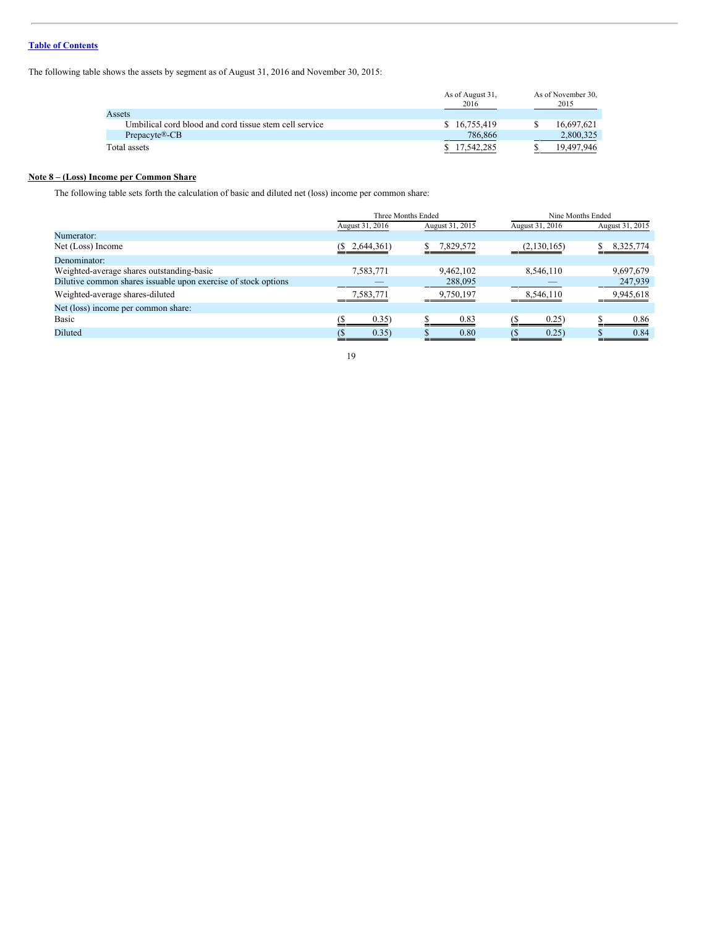The following table shows the assets by segment as of August 31, 2016 and November 30, 2015:

|                                                        | As of August 31,<br>2016 | As of November 30,<br>2015 |
|--------------------------------------------------------|--------------------------|----------------------------|
| Assets                                                 |                          |                            |
| Umbilical cord blood and cord tissue stem cell service | \$16,755,419             | 16.697.621                 |
| Prepacyte <sup>®</sup> -CB                             | 786,866                  | 2,800,325                  |
| Total assets                                           | \$17.542.285             | 19.497.946                 |

## **Note 8 – (Loss) Income per Common Share**

The following table sets forth the calculation of basic and diluted net (loss) income per common share:

|                                                                | Three Months Ended |                 | Nine Months Ended |                 |
|----------------------------------------------------------------|--------------------|-----------------|-------------------|-----------------|
|                                                                | August 31, 2016    | August 31, 2015 | August 31, 2016   | August 31, 2015 |
| Numerator:                                                     |                    |                 |                   |                 |
| Net (Loss) Income                                              | 2,644,361)         | 7,829,572       | (2,130,165)       | 8,325,774       |
| Denominator:                                                   |                    |                 |                   |                 |
| Weighted-average shares outstanding-basic                      | 7,583,771          | 9,462,102       | 8,546,110         | 9,697,679       |
| Dilutive common shares issuable upon exercise of stock options |                    | 288,095         | _                 | 247,939         |
| Weighted-average shares-diluted                                | 7,583,771          | 9,750,197       | 8,546,110         | 9,945,618       |
| Net (loss) income per common share:                            |                    |                 |                   |                 |
| Basic                                                          | (0.35)             | 0.83            | 0.25)             | 0.86            |
| Diluted                                                        | (0.35)             | 0.80            | 0.25)             | 0.84            |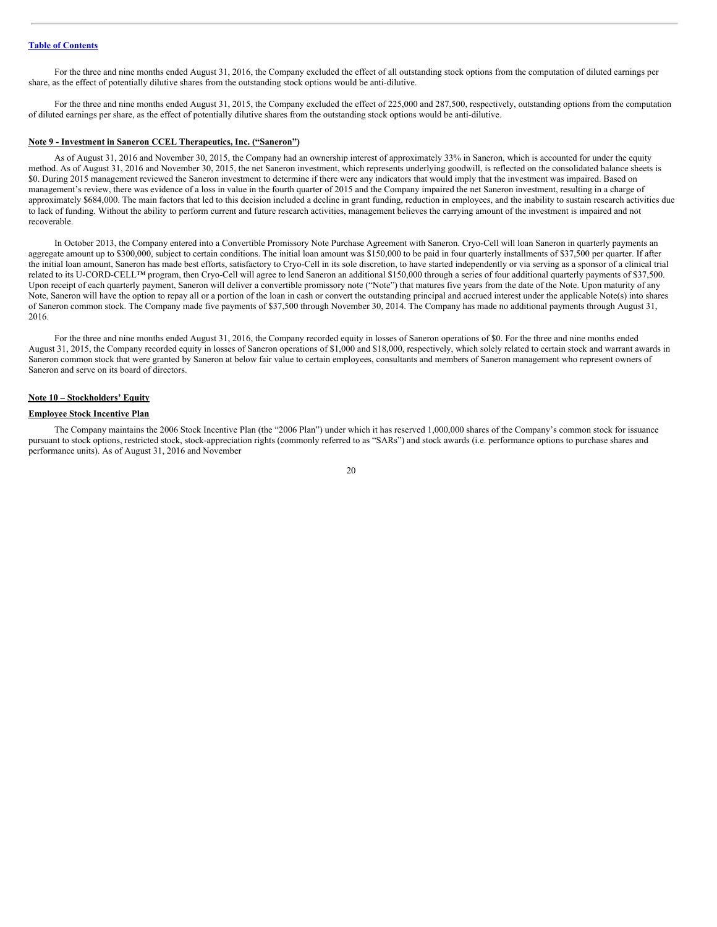For the three and nine months ended August 31, 2016, the Company excluded the effect of all outstanding stock options from the computation of diluted earnings per share, as the effect of potentially dilutive shares from the outstanding stock options would be anti-dilutive.

For the three and nine months ended August 31, 2015, the Company excluded the effect of 225,000 and 287,500, respectively, outstanding options from the computation of diluted earnings per share, as the effect of potentially dilutive shares from the outstanding stock options would be anti-dilutive.

## **Note 9 - Investment in Saneron CCEL Therapeutics, Inc. ("Saneron")**

As of August 31, 2016 and November 30, 2015, the Company had an ownership interest of approximately 33% in Saneron, which is accounted for under the equity method. As of August 31, 2016 and November 30, 2015, the net Saneron investment, which represents underlying goodwill, is reflected on the consolidated balance sheets is \$0. During 2015 management reviewed the Saneron investment to determine if there were any indicators that would imply that the investment was impaired. Based on management's review, there was evidence of a loss in value in the fourth quarter of 2015 and the Company impaired the net Saneron investment, resulting in a charge of approximately \$684,000. The main factors that led to this decision included a decline in grant funding, reduction in employees, and the inability to sustain research activities due to lack of funding. Without the ability to perform current and future research activities, management believes the carrying amount of the investment is impaired and not recoverable.

In October 2013, the Company entered into a Convertible Promissory Note Purchase Agreement with Saneron. Cryo-Cell will loan Saneron in quarterly payments an aggregate amount up to \$300,000, subject to certain conditions. The initial loan amount was \$150,000 to be paid in four quarterly installments of \$37,500 per quarter. If after the initial loan amount, Saneron has made best efforts, satisfactory to Cryo-Cell in its sole discretion, to have started independently or via serving as a sponsor of a clinical trial related to its U-CORD-CELL™ program, then Cryo-Cell will agree to lend Saneron an additional \$150,000 through a series of four additional quarterly payments of \$37,500. Upon receipt of each quarterly payment, Saneron will deliver a convertible promissory note ("Note") that matures five years from the date of the Note. Upon maturity of any Note, Saneron will have the option to repay all or a portion of the loan in cash or convert the outstanding principal and accrued interest under the applicable Note(s) into shares of Saneron common stock. The Company made five payments of \$37,500 through November 30, 2014. The Company has made no additional payments through August 31, 2016.

For the three and nine months ended August 31, 2016, the Company recorded equity in losses of Saneron operations of \$0. For the three and nine months ended August 31, 2015, the Company recorded equity in losses of Saneron operations of \$1,000 and \$18,000, respectively, which solely related to certain stock and warrant awards in Saneron common stock that were granted by Saneron at below fair value to certain employees, consultants and members of Saneron management who represent owners of Saneron and serve on its board of directors.

## **Note 10 – Stockholders' Equity**

#### **Employee Stock Incentive Plan**

The Company maintains the 2006 Stock Incentive Plan (the "2006 Plan") under which it has reserved 1,000,000 shares of the Company's common stock for issuance pursuant to stock options, restricted stock, stock-appreciation rights (commonly referred to as "SARs") and stock awards (i.e. performance options to purchase shares and performance units). As of August 31, 2016 and November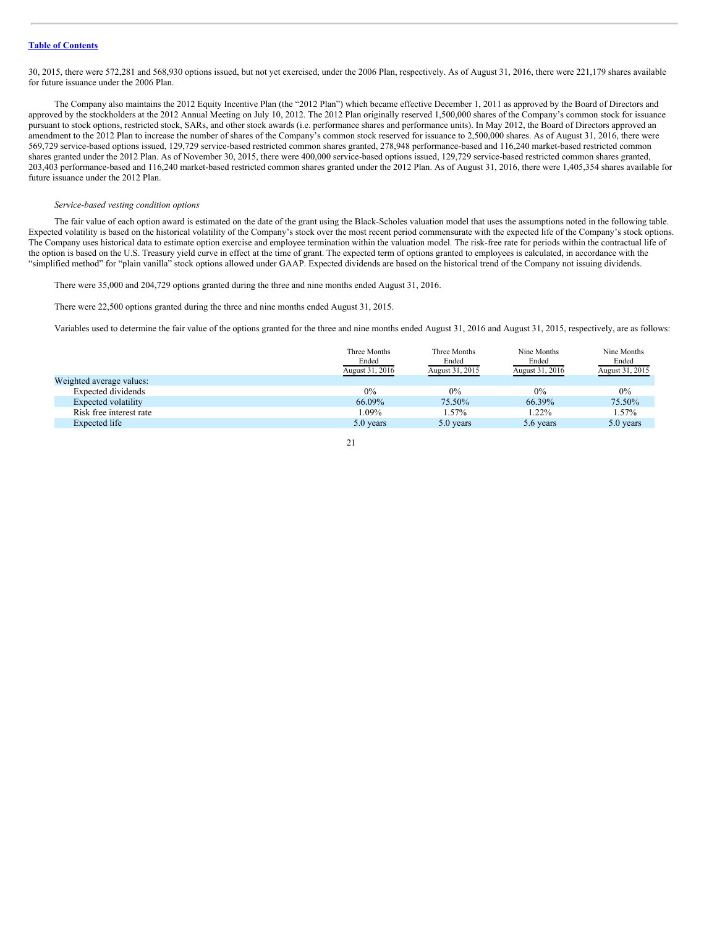30, 2015, there were 572,281 and 568,930 options issued, but not yet exercised, under the 2006 Plan, respectively. As of August 31, 2016, there were 221,179 shares available for future issuance under the 2006 Plan.

The Company also maintains the 2012 Equity Incentive Plan (the "2012 Plan") which became effective December 1, 2011 as approved by the Board of Directors and approved by the stockholders at the 2012 Annual Meeting on July 10, 2012. The 2012 Plan originally reserved 1,500,000 shares of the Company's common stock for issuance pursuant to stock options, restricted stock, SARs, and other stock awards (i.e. performance shares and performance units). In May 2012, the Board of Directors approved an amendment to the 2012 Plan to increase the number of shares of the Company's common stock reserved for issuance to 2,500,000 shares. As of August 31, 2016, there were 569,729 service-based options issued, 129,729 service-based restricted common shares granted, 278,948 performance-based and 116,240 market-based restricted common shares granted under the 2012 Plan. As of November 30, 2015, there were 400,000 service-based options issued, 129,729 service-based restricted common shares granted, 203,403 performance-based and 116,240 market-based restricted common shares granted under the 2012 Plan. As of August 31, 2016, there were 1,405,354 shares available for future issuance under the 2012 Plan.

## *Service-based vesting condition options*

The fair value of each option award is estimated on the date of the grant using the Black-Scholes valuation model that uses the assumptions noted in the following table. Expected volatility is based on the historical volatility of the Company's stock over the most recent period commensurate with the expected life of the Company's stock options. The Company uses historical data to estimate option exercise and employee termination within the valuation model. The risk-free rate for periods within the contractual life of the option is based on the U.S. Treasury yield curve in effect at the time of grant. The expected term of options granted to employees is calculated, in accordance with the "simplified method" for "plain vanilla" stock options allowed under GAAP. Expected dividends are based on the historical trend of the Company not issuing dividends.

There were 35,000 and 204,729 options granted during the three and nine months ended August 31, 2016.

There were 22,500 options granted during the three and nine months ended August 31, 2015.

Variables used to determine the fair value of the options granted for the three and nine months ended August 31, 2016 and August 31, 2015, respectively, are as follows:

|                          | Three Months<br>Ended<br>August 31, 2016 | Three Months<br>Ended<br>August 31, 2015 | Nine Months<br>Ended<br>August 31, 2016 | Nine Months<br>Ended<br>August 31, 2015 |
|--------------------------|------------------------------------------|------------------------------------------|-----------------------------------------|-----------------------------------------|
| Weighted average values: |                                          |                                          |                                         |                                         |
| Expected dividends       | 0%                                       | 0%                                       | $0\%$                                   | $0\%$                                   |
| Expected volatility      | 66.09%                                   | 75.50%                                   | 66.39%                                  | 75.50%                                  |
| Risk free interest rate  | 1.09%                                    | 1.57%                                    | 1.22%                                   | 1.57%                                   |
| Expected life            | 5.0 years                                | 5.0 years                                | 5.6 years                               | 5.0 years                               |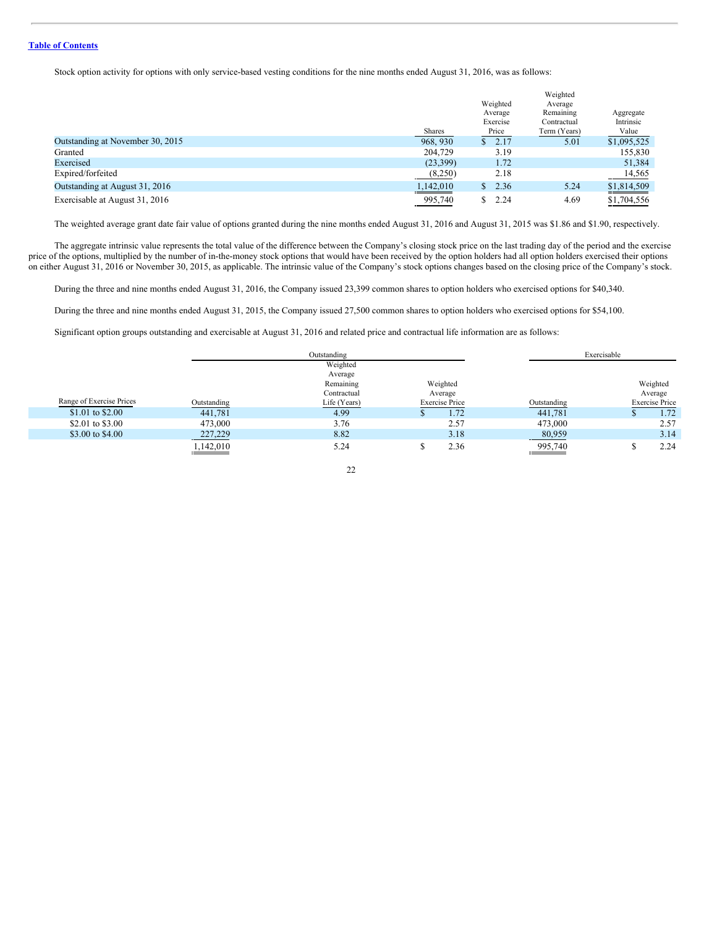Stock option activity for options with only service-based vesting conditions for the nine months ended August 31, 2016, was as follows:

|                                  |               | Weighted<br>Average<br>Exercise | Weighted<br>Average<br>Remaining<br>Contractual | Aggregate<br>Intrinsic |
|----------------------------------|---------------|---------------------------------|-------------------------------------------------|------------------------|
|                                  | <b>Shares</b> | Price                           | Term (Years)                                    | Value                  |
| Outstanding at November 30, 2015 | 968, 930      | \$2.17                          | 5.01                                            | \$1,095,525            |
| Granted                          | 204,729       | 3.19                            |                                                 | 155,830                |
| Exercised                        | (23, 399)     | 1.72                            |                                                 | 51,384                 |
| Expired/forfeited                | (8,250)       | 2.18                            |                                                 | 14,565                 |
| Outstanding at August 31, 2016   | 1,142,010     | \$2.36                          | 5.24                                            | \$1,814,509            |
| Exercisable at August 31, 2016   | 995,740       | \$2.24                          | 4.69                                            | \$1,704,556            |

The weighted average grant date fair value of options granted during the nine months ended August 31, 2016 and August 31, 2015 was \$1.86 and \$1.90, respectively.

The aggregate intrinsic value represents the total value of the difference between the Company's closing stock price on the last trading day of the period and the exercise price of the options, multiplied by the number of in-the-money stock options that would have been received by the option holders had all option holders exercised their options on either August 31, 2016 or November 30, 2015, as applicable. The intrinsic value of the Company's stock options changes based on the closing price of the Company's stock.

During the three and nine months ended August 31, 2016, the Company issued 23,399 common shares to option holders who exercised options for \$40,340.

During the three and nine months ended August 31, 2015, the Company issued 27,500 common shares to option holders who exercised options for \$54,100.

Significant option groups outstanding and exercisable at August 31, 2016 and related price and contractual life information are as follows:

|                          |             | Outstanding  |                       |      |                     | Exercisable |                       |
|--------------------------|-------------|--------------|-----------------------|------|---------------------|-------------|-----------------------|
|                          |             | Weighted     |                       |      |                     |             |                       |
|                          |             | Average      |                       |      |                     |             |                       |
|                          |             | Remaining    | Weighted              |      |                     |             | Weighted              |
|                          |             | Contractual  | Average               |      |                     |             | Average               |
| Range of Exercise Prices | Outstanding | Life (Years) | <b>Exercise Price</b> |      | Outstanding         |             | <b>Exercise Price</b> |
| \$1.01 to \$2.00         | 441,781     | 4.99         |                       | 1.72 | 441,781             |             | 1.72                  |
| \$2.01 to \$3.00         | 473,000     | 3.76         |                       | 2.57 | 473,000             |             | 2.57                  |
| \$3.00 to \$4.00         | 227,229     | 8.82         |                       | 3.18 | 80,959              |             | 3.14                  |
|                          | 1,142,010   | 5.24         |                       | 2.36 | $\frac{995,740}{2}$ |             | 2.24                  |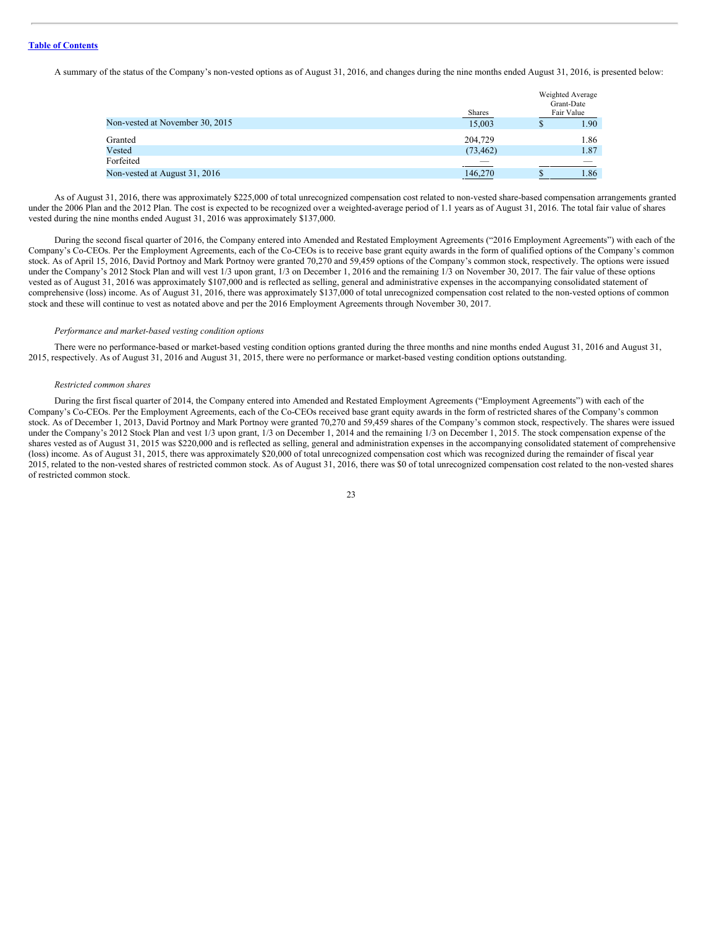A summary of the status of the Company's non-vested options as of August 31, 2016, and changes during the nine months ended August 31, 2016, is presented below:

|                                 | Shares    | Weighted Average<br>Grant-Date<br>Fair Value |
|---------------------------------|-----------|----------------------------------------------|
| Non-vested at November 30, 2015 | 15,003    | 1.90                                         |
| Granted                         | 204,729   | 1.86                                         |
| Vested                          | (73, 462) | 1.87                                         |
| Forfeited                       |           |                                              |
| Non-vested at August 31, 2016   | 146,270   | 1.86                                         |

As of August 31, 2016, there was approximately \$225,000 of total unrecognized compensation cost related to non-vested share-based compensation arrangements granted under the 2006 Plan and the 2012 Plan. The cost is expected to be recognized over a weighted-average period of 1.1 years as of August 31, 2016. The total fair value of shares vested during the nine months ended August 31, 2016 was approximately \$137,000.

During the second fiscal quarter of 2016, the Company entered into Amended and Restated Employment Agreements ("2016 Employment Agreements") with each of the Company's Co-CEOs. Per the Employment Agreements, each of the Co-CEOs is to receive base grant equity awards in the form of qualified options of the Company's common stock. As of April 15, 2016, David Portnoy and Mark Portnoy were granted 70,270 and 59,459 options of the Company's common stock, respectively. The options were issued under the Company's 2012 Stock Plan and will vest 1/3 upon grant, 1/3 on December 1, 2016 and the remaining 1/3 on November 30, 2017. The fair value of these options vested as of August 31, 2016 was approximately \$107,000 and is reflected as selling, general and administrative expenses in the accompanying consolidated statement of comprehensive (loss) income. As of August 31, 2016, there was approximately \$137,000 of total unrecognized compensation cost related to the non-vested options of common stock and these will continue to vest as notated above and per the 2016 Employment Agreements through November 30, 2017.

#### *Performance and market-based vesting condition options*

There were no performance-based or market-based vesting condition options granted during the three months and nine months ended August 31, 2016 and August 31, 2015, respectively. As of August 31, 2016 and August 31, 2015, there were no performance or market-based vesting condition options outstanding.

#### *Restricted common shares*

During the first fiscal quarter of 2014, the Company entered into Amended and Restated Employment Agreements ("Employment Agreements") with each of the Company's Co-CEOs. Per the Employment Agreements, each of the Co-CEOs received base grant equity awards in the form of restricted shares of the Company's common stock. As of December 1, 2013, David Portnoy and Mark Portnoy were granted 70,270 and 59,459 shares of the Company's common stock, respectively. The shares were issued under the Company's 2012 Stock Plan and vest 1/3 upon grant, 1/3 on December 1, 2014 and the remaining 1/3 on December 1, 2015. The stock compensation expense of the shares vested as of August 31, 2015 was \$220,000 and is reflected as selling, general and administration expenses in the accompanying consolidated statement of comprehensive (loss) income. As of August 31, 2015, there was approximately \$20,000 of total unrecognized compensation cost which was recognized during the remainder of fiscal year 2015, related to the non-vested shares of restricted common stock. As of August 31, 2016, there was \$0 of total unrecognized compensation cost related to the non-vested shares of restricted common stock.

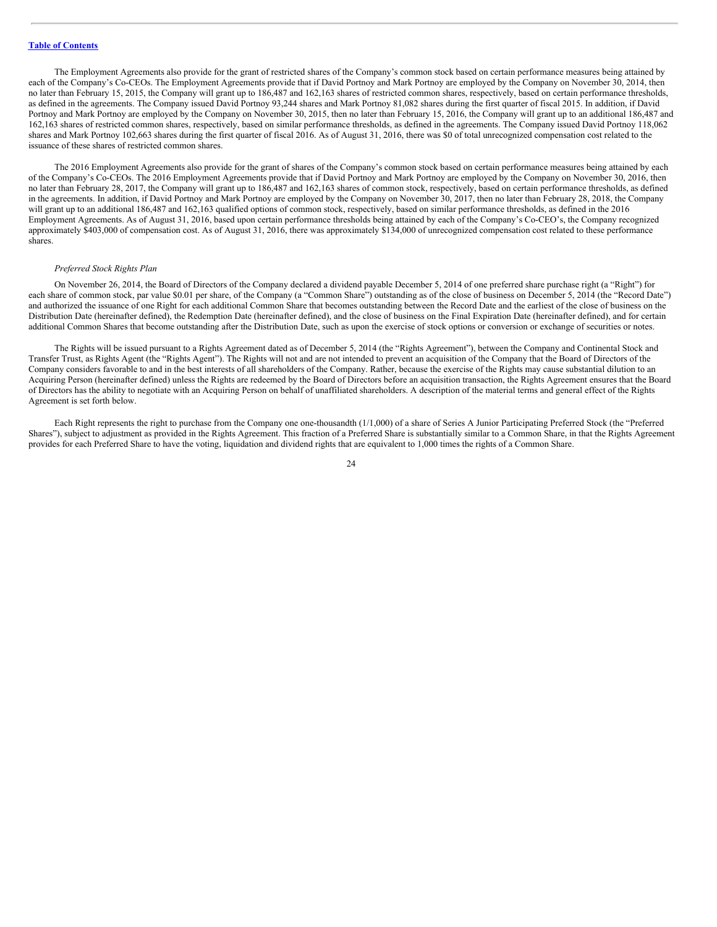The Employment Agreements also provide for the grant of restricted shares of the Company's common stock based on certain performance measures being attained by each of the Company's Co-CEOs. The Employment Agreements provide that if David Portnoy and Mark Portnoy are employed by the Company on November 30, 2014, then no later than February 15, 2015, the Company will grant up to 186,487 and 162,163 shares of restricted common shares, respectively, based on certain performance thresholds, as defined in the agreements. The Company issued David Portnoy 93,244 shares and Mark Portnoy 81,082 shares during the first quarter of fiscal 2015. In addition, if David Portnoy and Mark Portnoy are employed by the Company on November 30, 2015, then no later than February 15, 2016, the Company will grant up to an additional 186,487 and 162,163 shares of restricted common shares, respectively, based on similar performance thresholds, as defined in the agreements. The Company issued David Portnoy 118,062 shares and Mark Portnoy 102,663 shares during the first quarter of fiscal 2016. As of August 31, 2016, there was \$0 of total unrecognized compensation cost related to the issuance of these shares of restricted common shares.

The 2016 Employment Agreements also provide for the grant of shares of the Company's common stock based on certain performance measures being attained by each of the Company's Co-CEOs. The 2016 Employment Agreements provide that if David Portnoy and Mark Portnoy are employed by the Company on November 30, 2016, then no later than February 28, 2017, the Company will grant up to 186,487 and 162,163 shares of common stock, respectively, based on certain performance thresholds, as defined in the agreements. In addition, if David Portnoy and Mark Portnoy are employed by the Company on November 30, 2017, then no later than February 28, 2018, the Company will grant up to an additional 186,487 and 162,163 qualified options of common stock, respectively, based on similar performance thresholds, as defined in the 2016 Employment Agreements. As of August 31, 2016, based upon certain performance thresholds being attained by each of the Company's Co-CEO's, the Company recognized approximately \$403,000 of compensation cost. As of August 31, 2016, there was approximately \$134,000 of unrecognized compensation cost related to these performance shares.

## *Preferred Stock Rights Plan*

On November 26, 2014, the Board of Directors of the Company declared a dividend payable December 5, 2014 of one preferred share purchase right (a "Right") for each share of common stock, par value \$0.01 per share, of the Company (a "Common Share") outstanding as of the close of business on December 5, 2014 (the "Record Date") and authorized the issuance of one Right for each additional Common Share that becomes outstanding between the Record Date and the earliest of the close of business on the Distribution Date (hereinafter defined), the Redemption Date (hereinafter defined), and the close of business on the Final Expiration Date (hereinafter defined), and for certain additional Common Shares that become outstanding after the Distribution Date, such as upon the exercise of stock options or conversion or exchange of securities or notes.

The Rights will be issued pursuant to a Rights Agreement dated as of December 5, 2014 (the "Rights Agreement"), between the Company and Continental Stock and Transfer Trust, as Rights Agent (the "Rights Agent"). The Rights will not and are not intended to prevent an acquisition of the Company that the Board of Directors of the Company considers favorable to and in the best interests of all shareholders of the Company. Rather, because the exercise of the Rights may cause substantial dilution to an Acquiring Person (hereinafter defined) unless the Rights are redeemed by the Board of Directors before an acquisition transaction, the Rights Agreement ensures that the Board of Directors has the ability to negotiate with an Acquiring Person on behalf of unaffiliated shareholders. A description of the material terms and general effect of the Rights Agreement is set forth below.

Each Right represents the right to purchase from the Company one one-thousandth (1/1,000) of a share of Series A Junior Participating Preferred Stock (the "Preferred Shares"), subject to adjustment as provided in the Rights Agreement. This fraction of a Preferred Share is substantially similar to a Common Share, in that the Rights Agreement provides for each Preferred Share to have the voting, liquidation and dividend rights that are equivalent to 1,000 times the rights of a Common Share.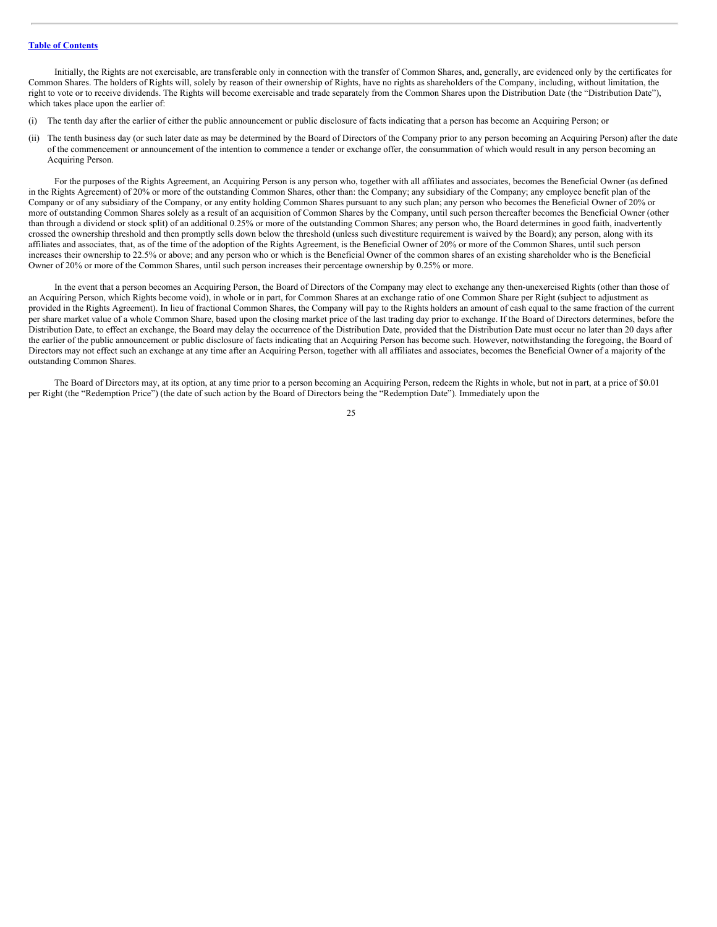Initially, the Rights are not exercisable, are transferable only in connection with the transfer of Common Shares, and, generally, are evidenced only by the certificates for Common Shares. The holders of Rights will, solely by reason of their ownership of Rights, have no rights as shareholders of the Company, including, without limitation, the right to vote or to receive dividends. The Rights will become exercisable and trade separately from the Common Shares upon the Distribution Date (the "Distribution Date"), which takes place upon the earlier of:

- (i) The tenth day after the earlier of either the public announcement or public disclosure of facts indicating that a person has become an Acquiring Person; or
- (ii) The tenth business day (or such later date as may be determined by the Board of Directors of the Company prior to any person becoming an Acquiring Person) after the date of the commencement or announcement of the intention to commence a tender or exchange offer, the consummation of which would result in any person becoming an Acquiring Person.

For the purposes of the Rights Agreement, an Acquiring Person is any person who, together with all affiliates and associates, becomes the Beneficial Owner (as defined in the Rights Agreement) of 20% or more of the outstanding Common Shares, other than: the Company; any subsidiary of the Company; any employee benefit plan of the Company or of any subsidiary of the Company, or any entity holding Common Shares pursuant to any such plan; any person who becomes the Beneficial Owner of 20% or more of outstanding Common Shares solely as a result of an acquisition of Common Shares by the Company, until such person thereafter becomes the Beneficial Owner (other than through a dividend or stock split) of an additional 0.25% or more of the outstanding Common Shares; any person who, the Board determines in good faith, inadvertently crossed the ownership threshold and then promptly sells down below the threshold (unless such divestiture requirement is waived by the Board); any person, along with its affiliates and associates, that, as of the time of the adoption of the Rights Agreement, is the Beneficial Owner of 20% or more of the Common Shares, until such person increases their ownership to 22.5% or above; and any person who or which is the Beneficial Owner of the common shares of an existing shareholder who is the Beneficial Owner of 20% or more of the Common Shares, until such person increases their percentage ownership by 0.25% or more.

In the event that a person becomes an Acquiring Person, the Board of Directors of the Company may elect to exchange any then-unexercised Rights (other than those of an Acquiring Person, which Rights become void), in whole or in part, for Common Shares at an exchange ratio of one Common Share per Right (subject to adjustment as provided in the Rights Agreement). In lieu of fractional Common Shares, the Company will pay to the Rights holders an amount of cash equal to the same fraction of the current per share market value of a whole Common Share, based upon the closing market price of the last trading day prior to exchange. If the Board of Directors determines, before the Distribution Date, to effect an exchange, the Board may delay the occurrence of the Distribution Date, provided that the Distribution Date must occur no later than 20 days after the earlier of the public announcement or public disclosure of facts indicating that an Acquiring Person has become such. However, notwithstanding the foregoing, the Board of Directors may not effect such an exchange at any time after an Acquiring Person, together with all affiliates and associates, becomes the Beneficial Owner of a majority of the outstanding Common Shares.

The Board of Directors may, at its option, at any time prior to a person becoming an Acquiring Person, redeem the Rights in whole, but not in part, at a price of \$0.01 per Right (the "Redemption Price") (the date of such action by the Board of Directors being the "Redemption Date"). Immediately upon the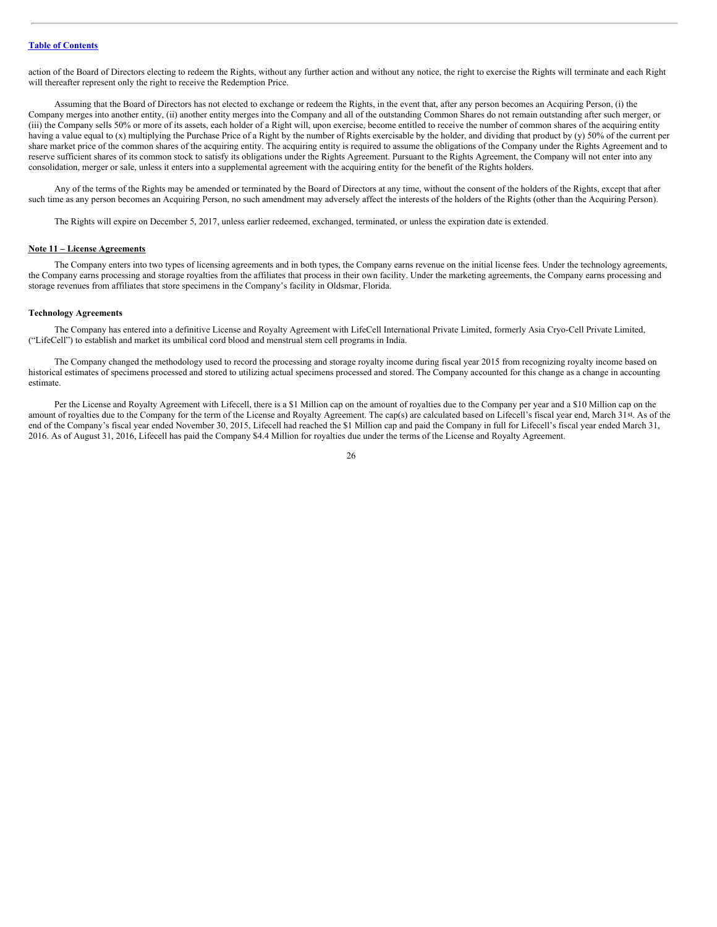action of the Board of Directors electing to redeem the Rights, without any further action and without any notice, the right to exercise the Rights will terminate and each Right will thereafter represent only the right to receive the Redemption Price.

Assuming that the Board of Directors has not elected to exchange or redeem the Rights, in the event that, after any person becomes an Acquiring Person, (i) the Company merges into another entity, (ii) another entity merges into the Company and all of the outstanding Common Shares do not remain outstanding after such merger, or (iii) the Company sells 50% or more of its assets, each holder of a Right will, upon exercise, become entitled to receive the number of common shares of the acquiring entity having a value equal to (x) multiplying the Purchase Price of a Right by the number of Rights exercisable by the holder, and dividing that product by (y) 50% of the current per share market price of the common shares of the acquiring entity. The acquiring entity is required to assume the obligations of the Company under the Rights Agreement and to reserve sufficient shares of its common stock to satisfy its obligations under the Rights Agreement. Pursuant to the Rights Agreement, the Company will not enter into any consolidation, merger or sale, unless it enters into a supplemental agreement with the acquiring entity for the benefit of the Rights holders.

Any of the terms of the Rights may be amended or terminated by the Board of Directors at any time, without the consent of the holders of the Rights, except that after such time as any person becomes an Acquiring Person, no such amendment may adversely affect the interests of the holders of the Rights (other than the Acquiring Person).

The Rights will expire on December 5, 2017, unless earlier redeemed, exchanged, terminated, or unless the expiration date is extended.

#### **Note 11 – License Agreements**

The Company enters into two types of licensing agreements and in both types, the Company earns revenue on the initial license fees. Under the technology agreements, the Company earns processing and storage royalties from the affiliates that process in their own facility. Under the marketing agreements, the Company earns processing and storage revenues from affiliates that store specimens in the Company's facility in Oldsmar, Florida.

#### **Technology Agreements**

The Company has entered into a definitive License and Royalty Agreement with LifeCell International Private Limited, formerly Asia Cryo-Cell Private Limited, ("LifeCell") to establish and market its umbilical cord blood and menstrual stem cell programs in India.

The Company changed the methodology used to record the processing and storage royalty income during fiscal year 2015 from recognizing royalty income based on historical estimates of specimens processed and stored to utilizing actual specimens processed and stored. The Company accounted for this change as a change in accounting estimate.

Per the License and Royalty Agreement with Lifecell, there is a \$1 Million cap on the amount of royalties due to the Company per year and a \$10 Million cap on the amount of royalties due to the Company for the term of the License and Royalty Agreement. The cap(s) are calculated based on Lifecell's fiscal year end, March 31st. As of the end of the Company's fiscal year ended November 30, 2015, Lifecell had reached the \$1 Million cap and paid the Company in full for Lifecell's fiscal year ended March 31, 2016. As of August 31, 2016, Lifecell has paid the Company \$4.4 Million for royalties due under the terms of the License and Royalty Agreement.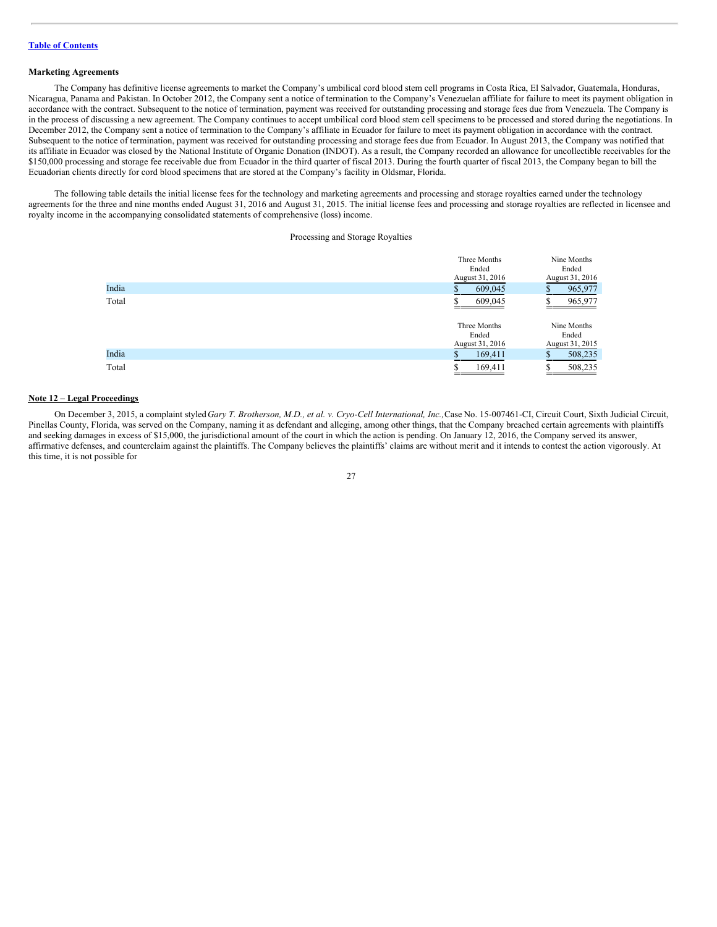#### **Marketing Agreements**

The Company has definitive license agreements to market the Company's umbilical cord blood stem cell programs in Costa Rica, El Salvador, Guatemala, Honduras, Nicaragua, Panama and Pakistan. In October 2012, the Company sent a notice of termination to the Company's Venezuelan affiliate for failure to meet its payment obligation in accordance with the contract. Subsequent to the notice of termination, payment was received for outstanding processing and storage fees due from Venezuela. The Company is in the process of discussing a new agreement. The Company continues to accept umbilical cord blood stem cell specimens to be processed and stored during the negotiations. In December 2012, the Company sent a notice of termination to the Company's affiliate in Ecuador for failure to meet its payment obligation in accordance with the contract. Subsequent to the notice of termination, payment was received for outstanding processing and storage fees due from Ecuador. In August 2013, the Company was notified that its affiliate in Ecuador was closed by the National Institute of Organic Donation (INDOT). As a result, the Company recorded an allowance for uncollectible receivables for the \$150,000 processing and storage fee receivable due from Ecuador in the third quarter of fiscal 2013. During the fourth quarter of fiscal 2013, the Company began to bill the Ecuadorian clients directly for cord blood specimens that are stored at the Company's facility in Oldsmar, Florida.

The following table details the initial license fees for the technology and marketing agreements and processing and storage royalties earned under the technology agreements for the three and nine months ended August 31, 2016 and August 31, 2015. The initial license fees and processing and storage royalties are reflected in licensee and royalty income in the accompanying consolidated statements of comprehensive (loss) income.

## Processing and Storage Royalties

|       | Three Months<br>Ended<br>August 31, 2016 | Nine Months<br>Ended<br>August 31, 2016 |
|-------|------------------------------------------|-----------------------------------------|
| India | 609,045                                  | 965,977<br>Φ                            |
| Total | 609,045                                  | 965,977<br>σ                            |
|       | Three Months<br>Ended<br>August 31, 2016 | Nine Months<br>Ended<br>August 31, 2015 |
| India | 169,411                                  | 508,235<br>S                            |
| Total | 169,411                                  | 508,235<br>Φ                            |

## **Note 12 – Legal Proceedings**

On December 3, 2015, a complaint styled Gary T. Brotherson, M.D., et al. v. Cryo-Cell International, Inc., Case No. 15-007461-CI, Circuit Court, Sixth Judicial Circuit, Pinellas County, Florida, was served on the Company, naming it as defendant and alleging, among other things, that the Company breached certain agreements with plaintiffs and seeking damages in excess of \$15,000, the jurisdictional amount of the court in which the action is pending. On January 12, 2016, the Company served its answer, affirmative defenses, and counterclaim against the plaintiffs. The Company believes the plaintiffs' claims are without merit and it intends to contest the action vigorously. At this time, it is not possible for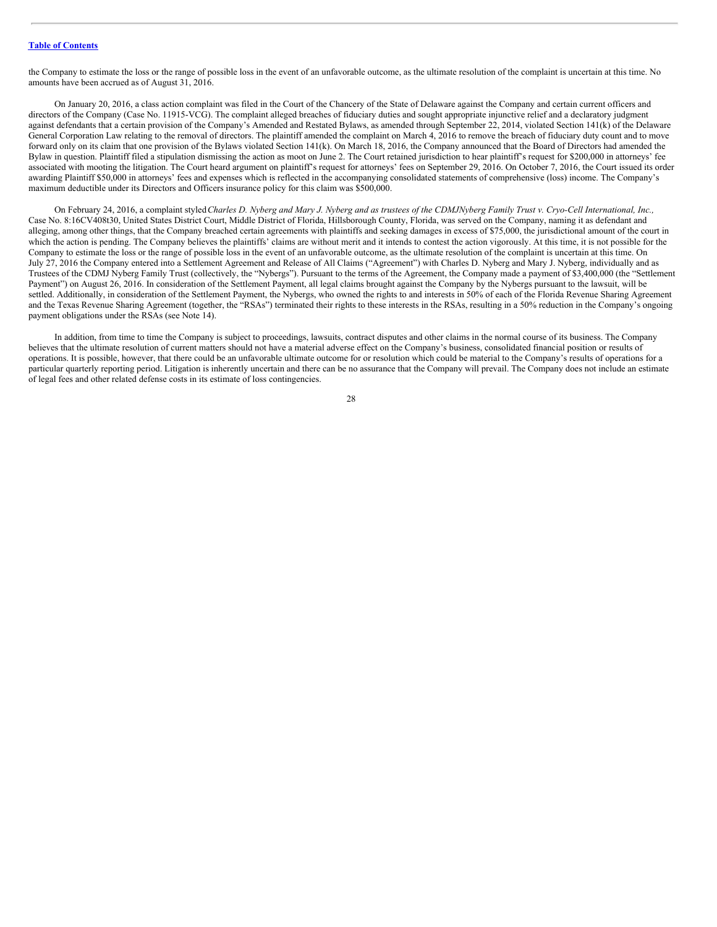the Company to estimate the loss or the range of possible loss in the event of an unfavorable outcome, as the ultimate resolution of the complaint is uncertain at this time. No amounts have been accrued as of August 31, 2016.

On January 20, 2016, a class action complaint was filed in the Court of the Chancery of the State of Delaware against the Company and certain current officers and directors of the Company (Case No. 11915-VCG). The complaint alleged breaches of fiduciary duties and sought appropriate injunctive relief and a declaratory judgment against defendants that a certain provision of the Company's Amended and Restated Bylaws, as amended through September 22, 2014, violated Section 141(k) of the Delaware General Corporation Law relating to the removal of directors. The plaintiff amended the complaint on March 4, 2016 to remove the breach of fiduciary duty count and to move forward only on its claim that one provision of the Bylaws violated Section 141(k). On March 18, 2016, the Company announced that the Board of Directors had amended the Bylaw in question. Plaintiff filed a stipulation dismissing the action as moot on June 2. The Court retained jurisdiction to hear plaintiff's request for \$200,000 in attorneys' fee associated with mooting the litigation. The Court heard argument on plaintiff's request for attorneys' fees on September 29, 2016. On October 7, 2016, the Court issued its order awarding Plaintiff \$50,000 in attorneys' fees and expenses which is reflected in the accompanying consolidated statements of comprehensive (loss) income. The Company's maximum deductible under its Directors and Officers insurance policy for this claim was \$500,000.

On February 24, 2016, a complaint styled Charles D. Nyberg and Mary J. Nyberg and as trustees of the CDMJNyberg Family Trust v. Cryo-Cell International, Inc., Case No. 8:16CV408t30, United States District Court, Middle District of Florida, Hillsborough County, Florida, was served on the Company, naming it as defendant and alleging, among other things, that the Company breached certain agreements with plaintiffs and seeking damages in excess of \$75,000, the jurisdictional amount of the court in which the action is pending. The Company believes the plaintiffs' claims are without merit and it intends to contest the action vigorously. At this time, it is not possible for the Company to estimate the loss or the range of possible loss in the event of an unfavorable outcome, as the ultimate resolution of the complaint is uncertain at this time. On July 27, 2016 the Company entered into a Settlement Agreement and Release of All Claims ("Agreement") with Charles D. Nyberg and Mary J. Nyberg, individually and as Trustees of the CDMJ Nyberg Family Trust (collectively, the "Nybergs"). Pursuant to the terms of the Agreement, the Company made a payment of \$3,400,000 (the "Settlement Payment") on August 26, 2016. In consideration of the Settlement Payment, all legal claims brought against the Company by the Nybergs pursuant to the lawsuit, will be settled. Additionally, in consideration of the Settlement Payment, the Nybergs, who owned the rights to and interests in 50% of each of the Florida Revenue Sharing Agreement and the Texas Revenue Sharing Agreement (together, the "RSAs") terminated their rights to these interests in the RSAs, resulting in a 50% reduction in the Company's ongoing payment obligations under the RSAs (see Note 14).

In addition, from time to time the Company is subject to proceedings, lawsuits, contract disputes and other claims in the normal course of its business. The Company believes that the ultimate resolution of current matters should not have a material adverse effect on the Company's business, consolidated financial position or results of operations. It is possible, however, that there could be an unfavorable ultimate outcome for or resolution which could be material to the Company's results of operations for a particular quarterly reporting period. Litigation is inherently uncertain and there can be no assurance that the Company will prevail. The Company does not include an estimate of legal fees and other related defense costs in its estimate of loss contingencies.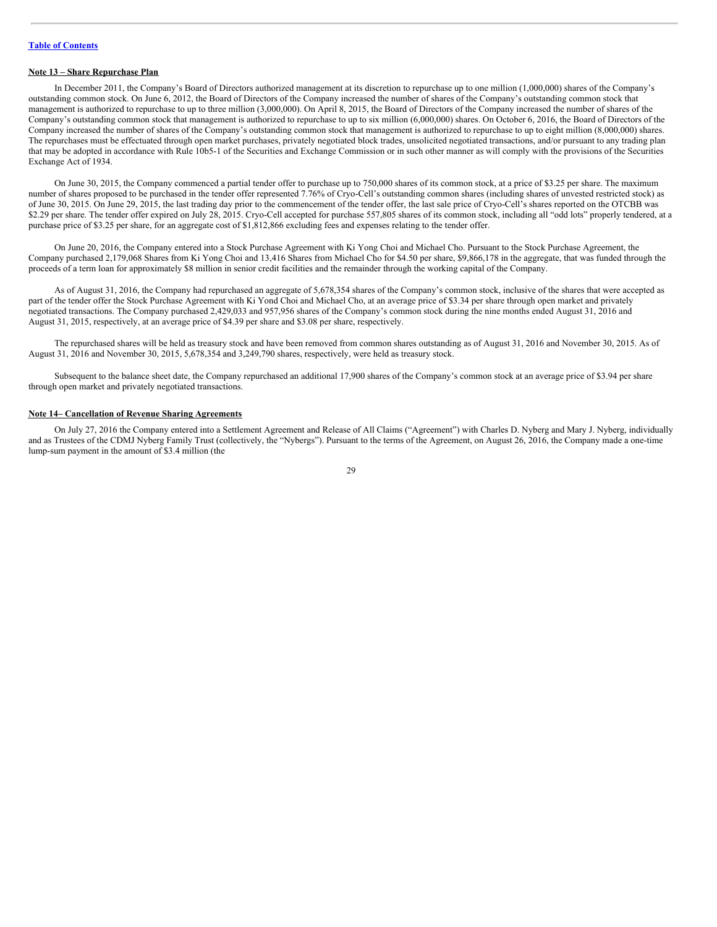## **Note 13 – Share Repurchase Plan**

In December 2011, the Company's Board of Directors authorized management at its discretion to repurchase up to one million (1,000,000) shares of the Company's outstanding common stock. On June 6, 2012, the Board of Directors of the Company increased the number of shares of the Company's outstanding common stock that management is authorized to repurchase to up to three million (3,000,000). On April 8, 2015, the Board of Directors of the Company increased the number of shares of the Company's outstanding common stock that management is authorized to repurchase to up to six million (6,000,000) shares. On October 6, 2016, the Board of Directors of the Company increased the number of shares of the Company's outstanding common stock that management is authorized to repurchase to up to eight million (8,000,000) shares. The repurchases must be effectuated through open market purchases, privately negotiated block trades, unsolicited negotiated transactions, and/or pursuant to any trading plan that may be adopted in accordance with Rule 10b5-1 of the Securities and Exchange Commission or in such other manner as will comply with the provisions of the Securities Exchange Act of 1934.

On June 30, 2015, the Company commenced a partial tender offer to purchase up to 750,000 shares of its common stock, at a price of \$3.25 per share. The maximum number of shares proposed to be purchased in the tender offer represented 7.76% of Cryo-Cell's outstanding common shares (including shares of unvested restricted stock) as of June 30, 2015. On June 29, 2015, the last trading day prior to the commencement of the tender offer, the last sale price of Cryo-Cell's shares reported on the OTCBB was \$2.29 per share. The tender offer expired on July 28, 2015. Cryo-Cell accepted for purchase 557,805 shares of its common stock, including all "odd lots" properly tendered, at a purchase price of \$3.25 per share, for an aggregate cost of \$1,812,866 excluding fees and expenses relating to the tender offer.

On June 20, 2016, the Company entered into a Stock Purchase Agreement with Ki Yong Choi and Michael Cho. Pursuant to the Stock Purchase Agreement, the Company purchased 2,179,068 Shares from Ki Yong Choi and 13,416 Shares from Michael Cho for \$4.50 per share, \$9,866,178 in the aggregate, that was funded through the proceeds of a term loan for approximately \$8 million in senior credit facilities and the remainder through the working capital of the Company.

As of August 31, 2016, the Company had repurchased an aggregate of 5,678,354 shares of the Company's common stock, inclusive of the shares that were accepted as part of the tender offer the Stock Purchase Agreement with Ki Yond Choi and Michael Cho, at an average price of \$3.34 per share through open market and privately negotiated transactions. The Company purchased 2,429,033 and 957,956 shares of the Company's common stock during the nine months ended August 31, 2016 and August 31, 2015, respectively, at an average price of \$4.39 per share and \$3.08 per share, respectively.

The repurchased shares will be held as treasury stock and have been removed from common shares outstanding as of August 31, 2016 and November 30, 2015. As of August 31, 2016 and November 30, 2015, 5,678,354 and 3,249,790 shares, respectively, were held as treasury stock.

Subsequent to the balance sheet date, the Company repurchased an additional 17,900 shares of the Company's common stock at an average price of \$3.94 per share through open market and privately negotiated transactions.

#### **Note 14– Cancellation of Revenue Sharing Agreements**

On July 27, 2016 the Company entered into a Settlement Agreement and Release of All Claims ("Agreement") with Charles D. Nyberg and Mary J. Nyberg, individually and as Trustees of the CDMJ Nyberg Family Trust (collectively, the "Nybergs"). Pursuant to the terms of the Agreement, on August 26, 2016, the Company made a one-time lump-sum payment in the amount of \$3.4 million (the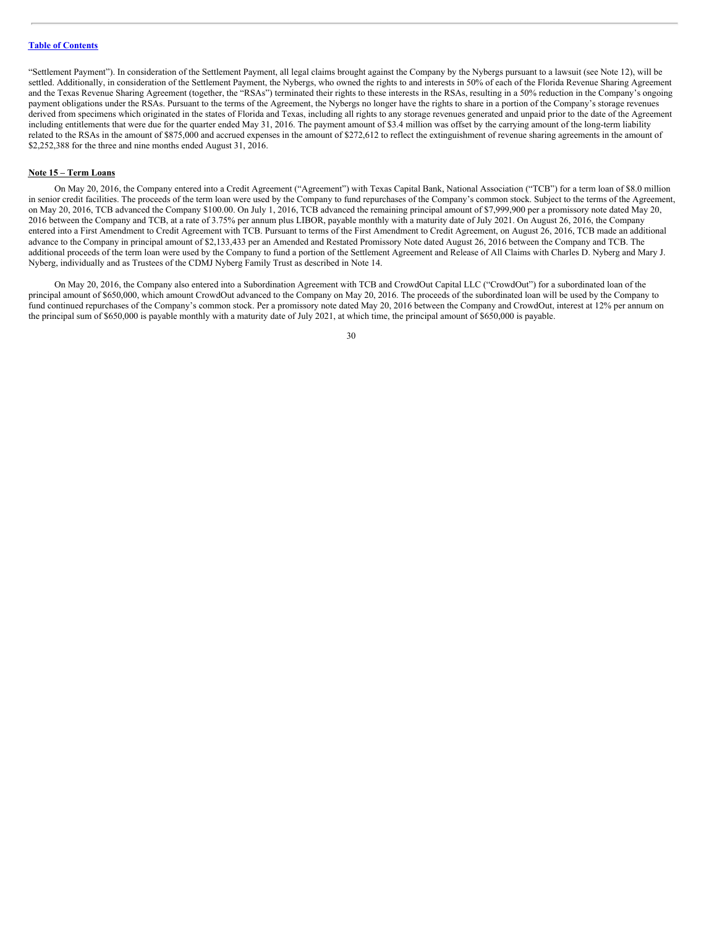"Settlement Payment"). In consideration of the Settlement Payment, all legal claims brought against the Company by the Nybergs pursuant to a lawsuit (see Note 12), will be settled. Additionally, in consideration of the Settlement Payment, the Nybergs, who owned the rights to and interests in 50% of each of the Florida Revenue Sharing Agreement and the Texas Revenue Sharing Agreement (together, the "RSAs") terminated their rights to these interests in the RSAs, resulting in a 50% reduction in the Company's ongoing payment obligations under the RSAs. Pursuant to the terms of the Agreement, the Nybergs no longer have the rights to share in a portion of the Company's storage revenues derived from specimens which originated in the states of Florida and Texas, including all rights to any storage revenues generated and unpaid prior to the date of the Agreement including entitlements that were due for the quarter ended May 31, 2016. The payment amount of \$3.4 million was offset by the carrying amount of the long-term liability related to the RSAs in the amount of \$875,000 and accrued expenses in the amount of \$272,612 to reflect the extinguishment of revenue sharing agreements in the amount of \$2,252,388 for the three and nine months ended August 31, 2016.

## **Note 15 – Term Loans**

On May 20, 2016, the Company entered into a Credit Agreement ("Agreement") with Texas Capital Bank, National Association ("TCB") for a term loan of \$8.0 million in senior credit facilities. The proceeds of the term loan were used by the Company to fund repurchases of the Company's common stock. Subject to the terms of the Agreement, on May 20, 2016, TCB advanced the Company \$100.00. On July 1, 2016, TCB advanced the remaining principal amount of \$7,999,900 per a promissory note dated May 20, 2016 between the Company and TCB, at a rate of 3.75% per annum plus LIBOR, payable monthly with a maturity date of July 2021. On August 26, 2016, the Company entered into a First Amendment to Credit Agreement with TCB. Pursuant to terms of the First Amendment to Credit Agreement, on August 26, 2016, TCB made an additional advance to the Company in principal amount of \$2,133,433 per an Amended and Restated Promissory Note dated August 26, 2016 between the Company and TCB. The additional proceeds of the term loan were used by the Company to fund a portion of the Settlement Agreement and Release of All Claims with Charles D. Nyberg and Mary J. Nyberg, individually and as Trustees of the CDMJ Nyberg Family Trust as described in Note 14.

On May 20, 2016, the Company also entered into a Subordination Agreement with TCB and CrowdOut Capital LLC ("CrowdOut") for a subordinated loan of the principal amount of \$650,000, which amount CrowdOut advanced to the Company on May 20, 2016. The proceeds of the subordinated loan will be used by the Company to fund continued repurchases of the Company's common stock. Per a promissory note dated May 20, 2016 between the Company and CrowdOut, interest at 12% per annum on the principal sum of \$650,000 is payable monthly with a maturity date of July 2021, at which time, the principal amount of \$650,000 is payable.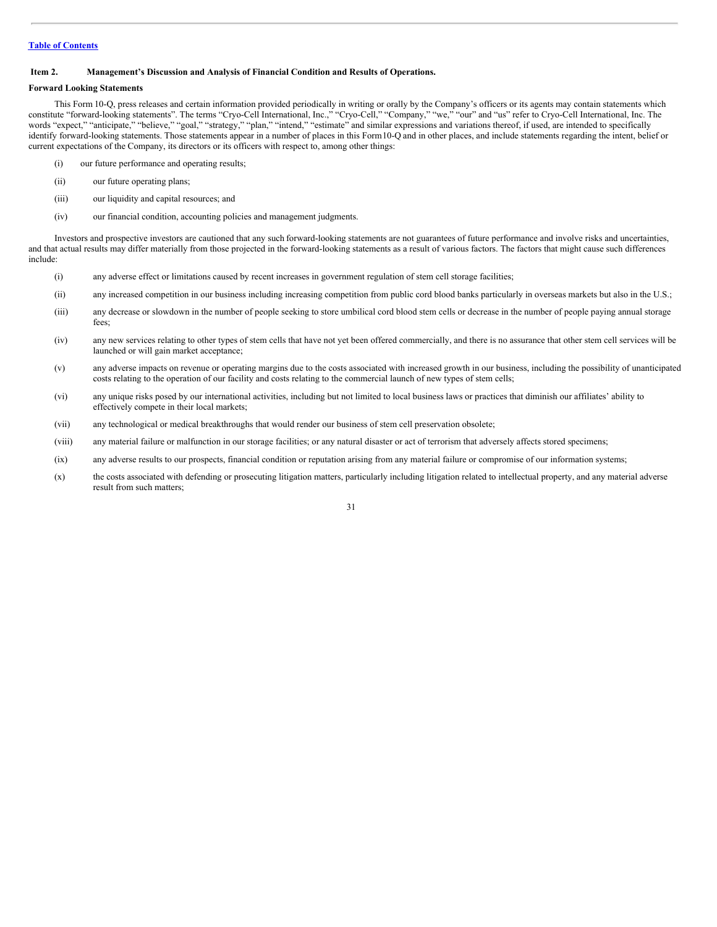## <span id="page-30-0"></span>**Item 2. Management's Discussion and Analysis of Financial Condition and Results of Operations.**

#### **Forward Looking Statements**

This Form 10-Q, press releases and certain information provided periodically in writing or orally by the Company's officers or its agents may contain statements which constitute "forward-looking statements". The terms "Cryo-Cell International, Inc.," "Cryo-Cell," "Company," "we," "our" and "us" refer to Cryo-Cell International, Inc. The words "expect," "anticipate," "believe," "goal," "strategy," "plan," "intend," "estimate" and similar expressions and variations thereof, if used, are intended to specifically identify forward-looking statements. Those statements appear in a number of places in this Form10-Q and in other places, and include statements regarding the intent, belief or current expectations of the Company, its directors or its officers with respect to, among other things:

- (i) our future performance and operating results;
- (ii) our future operating plans;
- (iii) our liquidity and capital resources; and
- (iv) our financial condition, accounting policies and management judgments.

Investors and prospective investors are cautioned that any such forward-looking statements are not guarantees of future performance and involve risks and uncertainties, and that actual results may differ materially from those projected in the forward-looking statements as a result of various factors. The factors that might cause such differences include:

- (i) any adverse effect or limitations caused by recent increases in government regulation of stem cell storage facilities;
- (ii) any increased competition in our business including increasing competition from public cord blood banks particularly in overseas markets but also in the U.S.;
- (iii) any decrease or slowdown in the number of people seeking to store umbilical cord blood stem cells or decrease in the number of people paying annual storage fees;
- (iv) any new services relating to other types of stem cells that have not yet been offered commercially, and there is no assurance that other stem cell services will be launched or will gain market acceptance;
- (v) any adverse impacts on revenue or operating margins due to the costs associated with increased growth in our business, including the possibility of unanticipated costs relating to the operation of our facility and costs relating to the commercial launch of new types of stem cells;
- (vi) any unique risks posed by our international activities, including but not limited to local business laws or practices that diminish our affiliates' ability to effectively compete in their local markets;
- (vii) any technological or medical breakthroughs that would render our business of stem cell preservation obsolete;
- (viii) any material failure or malfunction in our storage facilities; or any natural disaster or act of terrorism that adversely affects stored specimens;
- (ix) any adverse results to our prospects, financial condition or reputation arising from any material failure or compromise of our information systems;
- (x) the costs associated with defending or prosecuting litigation matters, particularly including litigation related to intellectual property, and any material adverse result from such matters;

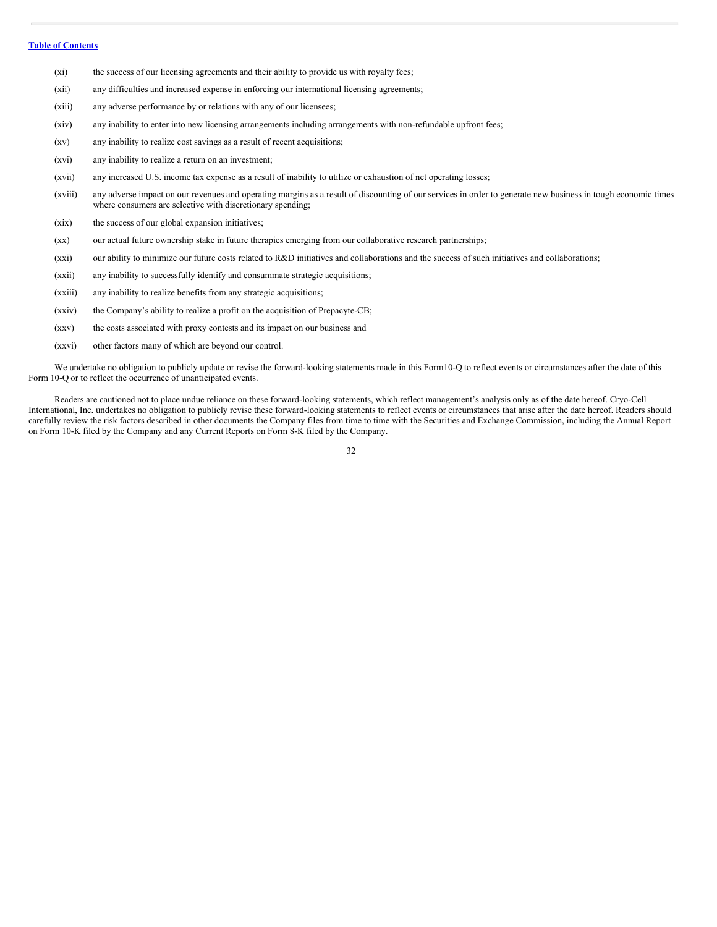- (xi) the success of our licensing agreements and their ability to provide us with royalty fees;
- (xii) any difficulties and increased expense in enforcing our international licensing agreements;
- (xiii) any adverse performance by or relations with any of our licensees;
- (xiv) any inability to enter into new licensing arrangements including arrangements with non-refundable upfront fees;
- (xv) any inability to realize cost savings as a result of recent acquisitions;
- (xvi) any inability to realize a return on an investment;
- (xvii) any increased U.S. income tax expense as a result of inability to utilize or exhaustion of net operating losses;
- (xviii) any adverse impact on our revenues and operating margins as a result of discounting of our services in order to generate new business in tough economic times where consumers are selective with discretionary spending;
- (xix) the success of our global expansion initiatives;
- (xx) our actual future ownership stake in future therapies emerging from our collaborative research partnerships;
- (xxi) our ability to minimize our future costs related to R&D initiatives and collaborations and the success of such initiatives and collaborations;
- (xxii) any inability to successfully identify and consummate strategic acquisitions;
- (xxiii) any inability to realize benefits from any strategic acquisitions;
- (xxiv) the Company's ability to realize a profit on the acquisition of Prepacyte-CB;
- (xxv) the costs associated with proxy contests and its impact on our business and
- (xxvi) other factors many of which are beyond our control.

We undertake no obligation to publicly update or revise the forward-looking statements made in this Form10-Q to reflect events or circumstances after the date of this Form 10-Q or to reflect the occurrence of unanticipated events.

Readers are cautioned not to place undue reliance on these forward-looking statements, which reflect management's analysis only as of the date hereof. Cryo-Cell International, Inc. undertakes no obligation to publicly revise these forward-looking statements to reflect events or circumstances that arise after the date hereof. Readers should carefully review the risk factors described in other documents the Company files from time to time with the Securities and Exchange Commission, including the Annual Report on Form 10-K filed by the Company and any Current Reports on Form 8-K filed by the Company.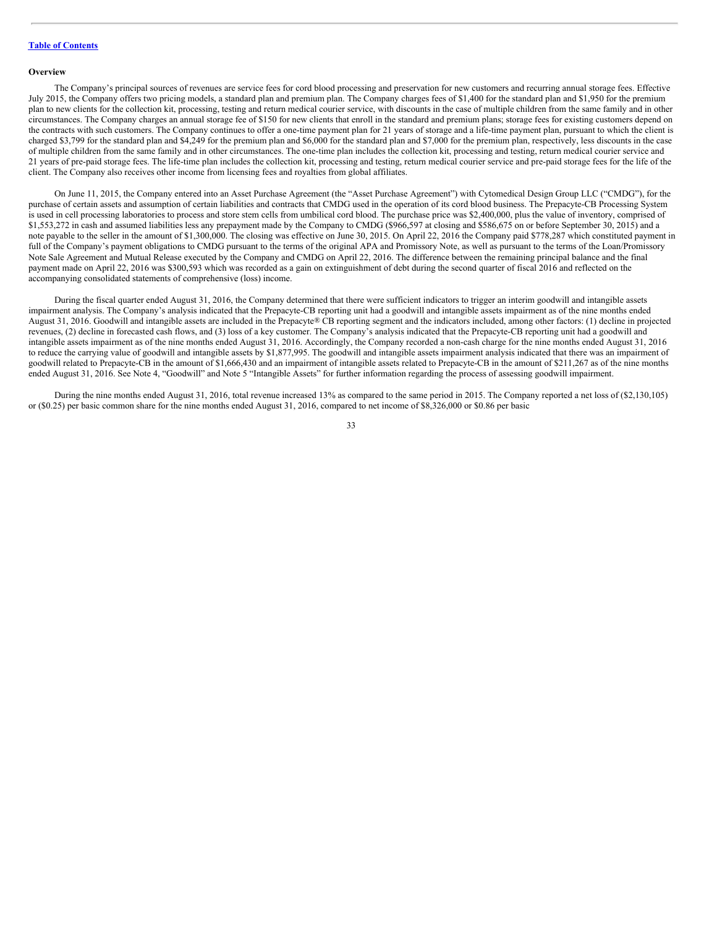#### **Overview**

The Company's principal sources of revenues are service fees for cord blood processing and preservation for new customers and recurring annual storage fees. Effective July 2015, the Company offers two pricing models, a standard plan and premium plan. The Company charges fees of \$1,400 for the standard plan and \$1,950 for the premium plan to new clients for the collection kit, processing, testing and return medical courier service, with discounts in the case of multiple children from the same family and in other circumstances. The Company charges an annual storage fee of \$150 for new clients that enroll in the standard and premium plans; storage fees for existing customers depend on the contracts with such customers. The Company continues to offer a one-time payment plan for 21 years of storage and a life-time payment plan, pursuant to which the client is charged \$3,799 for the standard plan and \$4,249 for the premium plan and \$6,000 for the standard plan and \$7,000 for the premium plan, respectively, less discounts in the case of multiple children from the same family and in other circumstances. The one-time plan includes the collection kit, processing and testing, return medical courier service and 21 years of pre-paid storage fees. The life-time plan includes the collection kit, processing and testing, return medical courier service and pre-paid storage fees for the life of the client. The Company also receives other income from licensing fees and royalties from global affiliates.

On June 11, 2015, the Company entered into an Asset Purchase Agreement (the "Asset Purchase Agreement") with Cytomedical Design Group LLC ("CMDG"), for the purchase of certain assets and assumption of certain liabilities and contracts that CMDG used in the operation of its cord blood business. The Prepacyte-CB Processing System is used in cell processing laboratories to process and store stem cells from umbilical cord blood. The purchase price was \$2,400,000, plus the value of inventory, comprised of \$1,553,272 in cash and assumed liabilities less any prepayment made by the Company to CMDG (\$966,597 at closing and \$586,675 on or before September 30, 2015) and a note payable to the seller in the amount of \$1,300,000. The closing was effective on June 30, 2015. On April 22, 2016 the Company paid \$778,287 which constituted payment in full of the Company's payment obligations to CMDG pursuant to the terms of the original APA and Promissory Note, as well as pursuant to the terms of the Loan/Promissory Note Sale Agreement and Mutual Release executed by the Company and CMDG on April 22, 2016. The difference between the remaining principal balance and the final payment made on April 22, 2016 was \$300,593 which was recorded as a gain on extinguishment of debt during the second quarter of fiscal 2016 and reflected on the accompanying consolidated statements of comprehensive (loss) income.

During the fiscal quarter ended August 31, 2016, the Company determined that there were sufficient indicators to trigger an interim goodwill and intangible assets impairment analysis. The Company's analysis indicated that the Prepacyte-CB reporting unit had a goodwill and intangible assets impairment as of the nine months ended August 31, 2016. Goodwill and intangible assets are included in the Prepacyte® CB reporting segment and the indicators included, among other factors: (1) decline in projected revenues, (2) decline in forecasted cash flows, and (3) loss of a key customer. The Company's analysis indicated that the Prepacyte-CB reporting unit had a goodwill and intangible assets impairment as of the nine months ended August 31, 2016. Accordingly, the Company recorded a non-cash charge for the nine months ended August 31, 2016 to reduce the carrying value of goodwill and intangible assets by \$1,877,995. The goodwill and intangible assets impairment analysis indicated that there was an impairment of goodwill related to Prepacyte-CB in the amount of \$1,666,430 and an impairment of intangible assets related to Prepacyte-CB in the amount of \$211,267 as of the nine months ended August 31, 2016. See Note 4, "Goodwill" and Note 5 "Intangible Assets" for further information regarding the process of assessing goodwill impairment.

During the nine months ended August 31, 2016, total revenue increased 13% as compared to the same period in 2015. The Company reported a net loss of (\$2,130,105) or (\$0.25) per basic common share for the nine months ended August 31, 2016, compared to net income of \$8,326,000 or \$0.86 per basic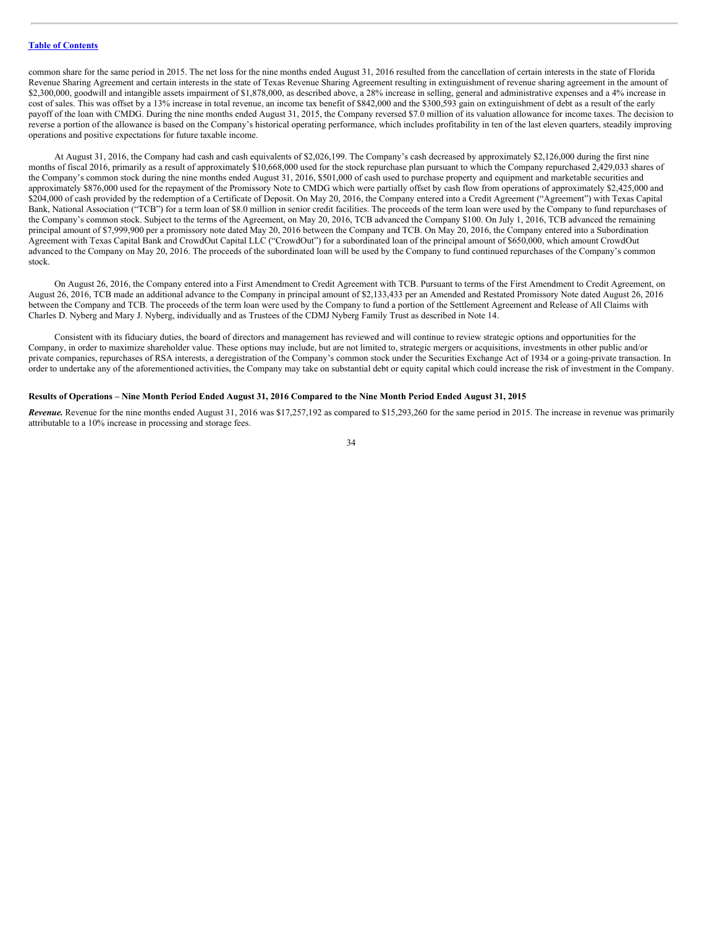common share for the same period in 2015. The net loss for the nine months ended August 31, 2016 resulted from the cancellation of certain interests in the state of Florida Revenue Sharing Agreement and certain interests in the state of Texas Revenue Sharing Agreement resulting in extinguishment of revenue sharing agreement in the amount of \$2,300,000, goodwill and intangible assets impairment of \$1,878,000, as described above, a 28% increase in selling, general and administrative expenses and a 4% increase in cost of sales. This was offset by a 13% increase in total revenue, an income tax benefit of \$842,000 and the \$300,593 gain on extinguishment of debt as a result of the early payoff of the loan with CMDG. During the nine months ended August 31, 2015, the Company reversed \$7.0 million of its valuation allowance for income taxes. The decision to reverse a portion of the allowance is based on the Company's historical operating performance, which includes profitability in ten of the last eleven quarters, steadily improving operations and positive expectations for future taxable income.

At August 31, 2016, the Company had cash and cash equivalents of \$2,026,199. The Company's cash decreased by approximately \$2,126,000 during the first nine months of fiscal 2016, primarily as a result of approximately \$10,668,000 used for the stock repurchase plan pursuant to which the Company repurchased 2,429,033 shares of the Company's common stock during the nine months ended August 31, 2016, \$501,000 of cash used to purchase property and equipment and marketable securities and approximately \$876,000 used for the repayment of the Promissory Note to CMDG which were partially offset by cash flow from operations of approximately \$2,425,000 and \$204,000 of cash provided by the redemption of a Certificate of Deposit. On May 20, 2016, the Company entered into a Credit Agreement ("Agreement") with Texas Capital Bank, National Association ("TCB") for a term loan of \$8.0 million in senior credit facilities. The proceeds of the term loan were used by the Company to fund repurchases of the Company's common stock. Subject to the terms of the Agreement, on May 20, 2016, TCB advanced the Company \$100. On July 1, 2016, TCB advanced the remaining principal amount of \$7,999,900 per a promissory note dated May 20, 2016 between the Company and TCB. On May 20, 2016, the Company entered into a Subordination Agreement with Texas Capital Bank and CrowdOut Capital LLC ("CrowdOut") for a subordinated loan of the principal amount of \$650,000, which amount CrowdOut advanced to the Company on May 20, 2016. The proceeds of the subordinated loan will be used by the Company to fund continued repurchases of the Company's common stock.

On August 26, 2016, the Company entered into a First Amendment to Credit Agreement with TCB. Pursuant to terms of the First Amendment to Credit Agreement, on August 26, 2016, TCB made an additional advance to the Company in principal amount of \$2,133,433 per an Amended and Restated Promissory Note dated August 26, 2016 between the Company and TCB. The proceeds of the term loan were used by the Company to fund a portion of the Settlement Agreement and Release of All Claims with Charles D. Nyberg and Mary J. Nyberg, individually and as Trustees of the CDMJ Nyberg Family Trust as described in Note 14.

Consistent with its fiduciary duties, the board of directors and management has reviewed and will continue to review strategic options and opportunities for the Company, in order to maximize shareholder value. These options may include, but are not limited to, strategic mergers or acquisitions, investments in other public and/or private companies, repurchases of RSA interests, a deregistration of the Company's common stock under the Securities Exchange Act of 1934 or a going-private transaction. In order to undertake any of the aforementioned activities, the Company may take on substantial debt or equity capital which could increase the risk of investment in the Company.

## Results of Operations - Nine Month Period Ended August 31, 2016 Compared to the Nine Month Period Ended August 31, 2015

*Revenue.* Revenue for the nine months ended August 31, 2016 was \$17,257,192 as compared to \$15,293,260 for the same period in 2015. The increase in revenue was primarily attributable to a 10% increase in processing and storage fees.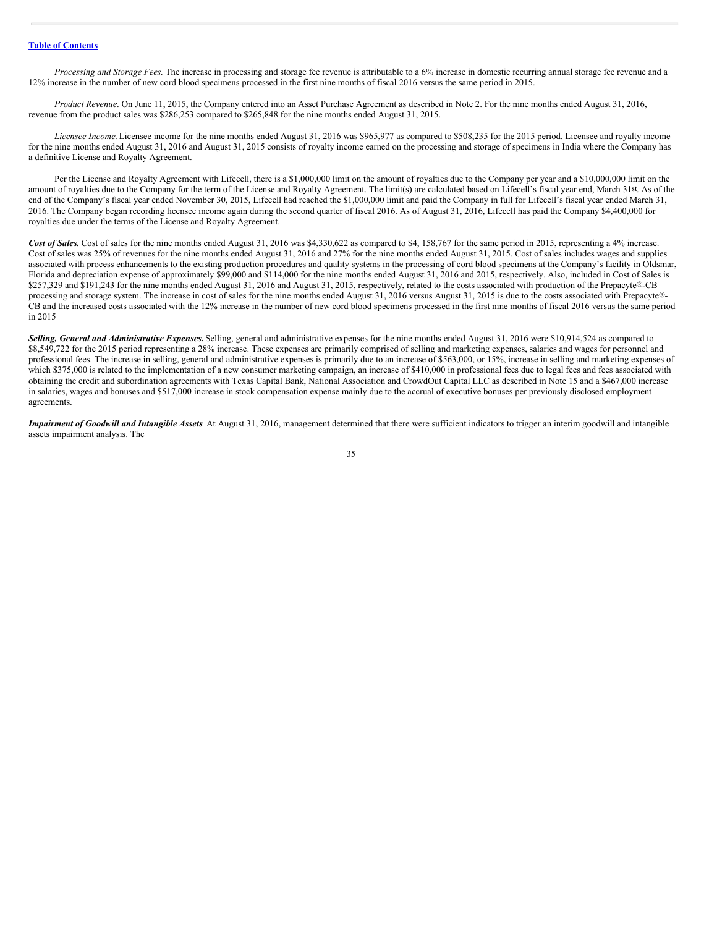*Processing and Storage Fees.* The increase in processing and storage fee revenue is attributable to a 6% increase in domestic recurring annual storage fee revenue and a 12% increase in the number of new cord blood specimens processed in the first nine months of fiscal 2016 versus the same period in 2015.

*Product Revenue*. On June 11, 2015, the Company entered into an Asset Purchase Agreement as described in Note 2. For the nine months ended August 31, 2016, revenue from the product sales was \$286,253 compared to \$265,848 for the nine months ended August 31, 2015.

*Licensee Income.*Licensee income for the nine months ended August 31, 2016 was \$965,977 as compared to \$508,235 for the 2015 period. Licensee and royalty income for the nine months ended August 31, 2016 and August 31, 2015 consists of royalty income earned on the processing and storage of specimens in India where the Company has a definitive License and Royalty Agreement.

Per the License and Royalty Agreement with Lifecell, there is a \$1,000,000 limit on the amount of royalties due to the Company per year and a \$10,000,000 limit on the amount of royalties due to the Company for the term of the License and Royalty Agreement. The limit(s) are calculated based on Lifecell's fiscal year end, March 31st. As of the end of the Company's fiscal year ended November 30, 2015, Lifecell had reached the \$1,000,000 limit and paid the Company in full for Lifecell's fiscal year ended March 31, 2016. The Company began recording licensee income again during the second quarter of fiscal 2016. As of August 31, 2016, Lifecell has paid the Company \$4,400,000 for royalties due under the terms of the License and Royalty Agreement.

Cost of Sales. Cost of sales for the nine months ended August 31, 2016 was \$4,330,622 as compared to \$4, 158,767 for the same period in 2015, representing a 4% increase. Cost of sales was 25% of revenues for the nine months ended August 31, 2016 and 27% for the nine months ended August 31, 2015. Cost of sales includes wages and supplies associated with process enhancements to the existing production procedures and quality systems in the processing of cord blood specimens at the Company's facility in Oldsmar, Florida and depreciation expense of approximately \$99,000 and \$114,000 for the nine months ended August 31, 2016 and 2015, respectively. Also, included in Cost of Sales is \$257,329 and \$191,243 for the nine months ended August 31, 2016 and August 31, 2015, respectively, related to the costs associated with production of the Prepacyte®-CB processing and storage system. The increase in cost of sales for the nine months ended August 31, 2016 versus August 31, 2015 is due to the costs associated with Prepacyte®- CB and the increased costs associated with the 12% increase in the number of new cord blood specimens processed in the first nine months of fiscal 2016 versus the same period in 2015

*Selling, General and Administrative Expenses.* Selling, general and administrative expenses for the nine months ended August 31, 2016 were \$10,914,524 as compared to \$8,549,722 for the 2015 period representing a 28% increase. These expenses are primarily comprised of selling and marketing expenses, salaries and wages for personnel and professional fees. The increase in selling, general and administrative expenses is primarily due to an increase of \$563,000, or 15%, increase in selling and marketing expenses of which \$375,000 is related to the implementation of a new consumer marketing campaign, an increase of \$410,000 in professional fees due to legal fees and fees associated with obtaining the credit and subordination agreements with Texas Capital Bank, National Association and CrowdOut Capital LLC as described in Note 15 and a \$467,000 increase in salaries, wages and bonuses and \$517,000 increase in stock compensation expense mainly due to the accrual of executive bonuses per previously disclosed employment agreements.

*Impairment of Goodwill and Intangible Assets*. At August 31, 2016, management determined that there were sufficient indicators to trigger an interim goodwill and intangible assets impairment analysis. The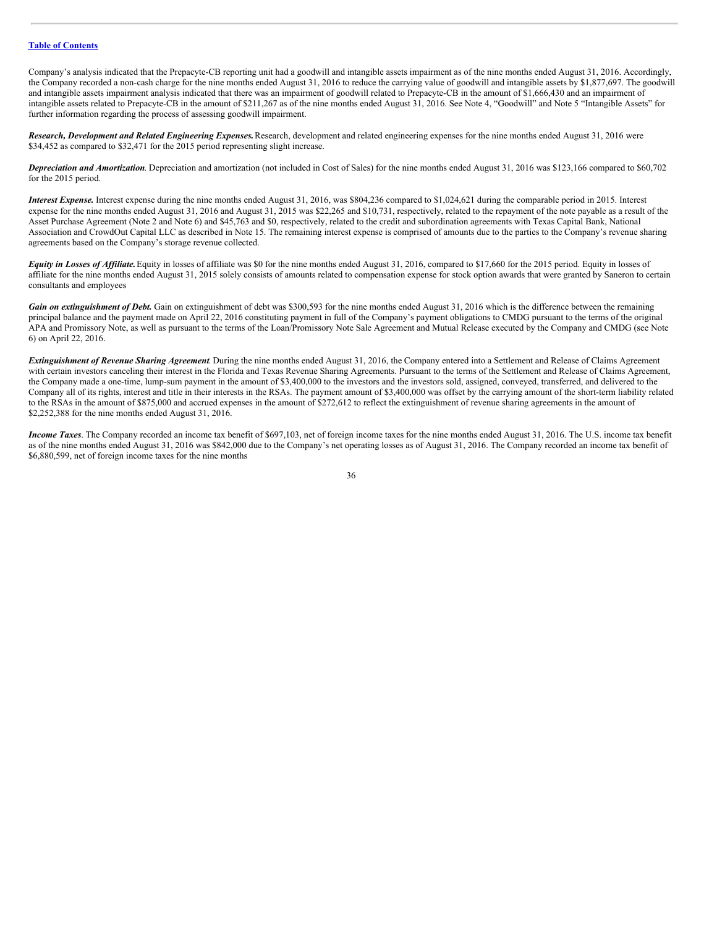Company's analysis indicated that the Prepacyte-CB reporting unit had a goodwill and intangible assets impairment as of the nine months ended August 31, 2016. Accordingly, the Company recorded a non-cash charge for the nine months ended August 31, 2016 to reduce the carrying value of goodwill and intangible assets by \$1,877,697. The goodwill and intangible assets impairment analysis indicated that there was an impairment of goodwill related to Prepacyte-CB in the amount of \$1,666,430 and an impairment of intangible assets related to Prepacyte-CB in the amount of \$211,267 as of the nine months ended August 31, 2016. See Note 4, "Goodwill" and Note 5 "Intangible Assets" for further information regarding the process of assessing goodwill impairment.

*Research, Development and Related Engineering Expenses.*Research, development and related engineering expenses for the nine months ended August 31, 2016 were \$34,452 as compared to \$32,471 for the 2015 period representing slight increase.

*Depreciation and Amortization*. Depreciation and amortization (not included in Cost of Sales) for the nine months ended August 31, 2016 was \$123,166 compared to \$60,702 for the 2015 period.

*Interest Expense.* Interest expense during the nine months ended August 31, 2016, was \$804,236 compared to \$1,024,621 during the comparable period in 2015. Interest expense for the nine months ended August 31, 2016 and August 31, 2015 was \$22,265 and \$10,731, respectively, related to the repayment of the note payable as a result of the Asset Purchase Agreement (Note 2 and Note 6) and \$45,763 and \$0, respectively, related to the credit and subordination agreements with Texas Capital Bank, National Association and CrowdOut Capital LLC as described in Note 15. The remaining interest expense is comprised of amounts due to the parties to the Company's revenue sharing agreements based on the Company's storage revenue collected.

*Equity in Losses of Affiliate*. Equity in losses of affiliate was \$0 for the nine months ended August 31, 2016, compared to \$17,660 for the 2015 period. Equity in losses of affiliate for the nine months ended August 31, 2015 solely consists of amounts related to compensation expense for stock option awards that were granted by Saneron to certain consultants and employees

*Gain on extinguishment of Debt.* Gain on extinguishment of debt was \$300,593 for the nine months ended August 31, 2016 which is the difference between the remaining principal balance and the payment made on April 22, 2016 constituting payment in full of the Company's payment obligations to CMDG pursuant to the terms of the original APA and Promissory Note, as well as pursuant to the terms of the Loan/Promissory Note Sale Agreement and Mutual Release executed by the Company and CMDG (see Note 6) on April 22, 2016.

*Extinguishment of Revenue Sharing Agreement*. During the nine months ended August 31, 2016, the Company entered into a Settlement and Release of Claims Agreement with certain investors canceling their interest in the Florida and Texas Revenue Sharing Agreements. Pursuant to the terms of the Settlement and Release of Claims Agreement, the Company made a one-time, lump-sum payment in the amount of \$3,400,000 to the investors and the investors sold, assigned, conveyed, transferred, and delivered to the Company all of its rights, interest and title in their interests in the RSAs. The payment amount of \$3,400,000 was offset by the carrying amount of the short-term liability related to the RSAs in the amount of \$875,000 and accrued expenses in the amount of \$272,612 to reflect the extinguishment of revenue sharing agreements in the amount of \$2,252,388 for the nine months ended August 31, 2016.

*Income Taxes*. The Company recorded an income tax benefit of \$697,103, net of foreign income taxes for the nine months ended August 31, 2016. The U.S. income tax benefit as of the nine months ended August 31, 2016 was \$842,000 due to the Company's net operating losses as of August 31, 2016. The Company recorded an income tax benefit of \$6,880,599, net of foreign income taxes for the nine months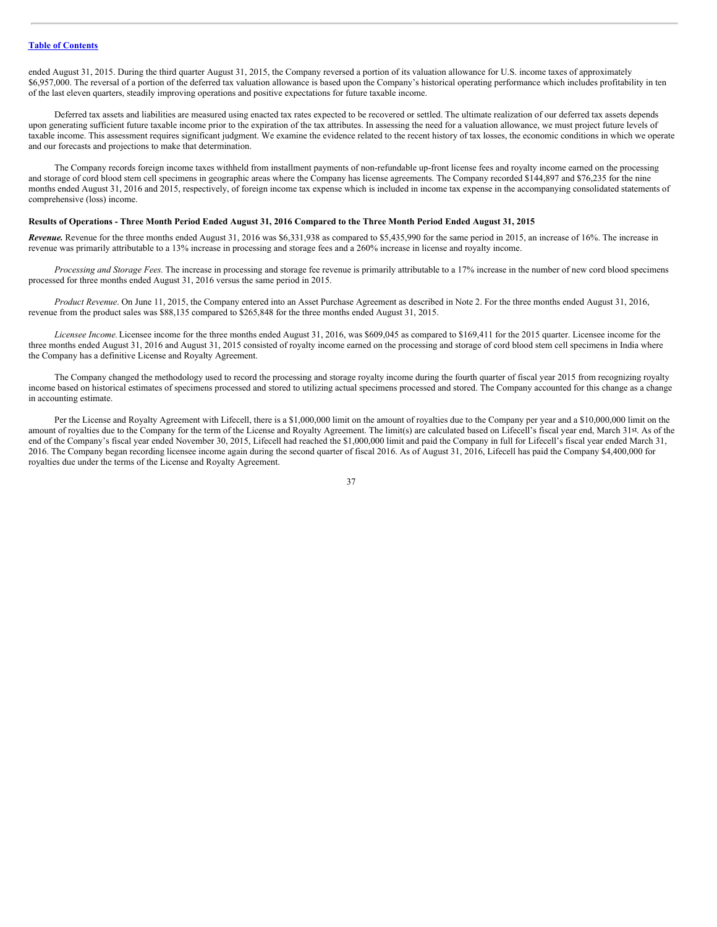ended August 31, 2015. During the third quarter August 31, 2015, the Company reversed a portion of its valuation allowance for U.S. income taxes of approximately \$6,957,000. The reversal of a portion of the deferred tax valuation allowance is based upon the Company's historical operating performance which includes profitability in ten of the last eleven quarters, steadily improving operations and positive expectations for future taxable income.

Deferred tax assets and liabilities are measured using enacted tax rates expected to be recovered or settled. The ultimate realization of our deferred tax assets depends upon generating sufficient future taxable income prior to the expiration of the tax attributes. In assessing the need for a valuation allowance, we must project future levels of taxable income. This assessment requires significant judgment. We examine the evidence related to the recent history of tax losses, the economic conditions in which we operate and our forecasts and projections to make that determination.

The Company records foreign income taxes withheld from installment payments of non-refundable up-front license fees and royalty income earned on the processing and storage of cord blood stem cell specimens in geographic areas where the Company has license agreements. The Company recorded \$144,897 and \$76,235 for the nine months ended August 31, 2016 and 2015, respectively, of foreign income tax expense which is included in income tax expense in the accompanying consolidated statements of comprehensive (loss) income.

#### Results of Operations - Three Month Period Ended August 31, 2016 Compared to the Three Month Period Ended August 31, 2015

Revenue. Revenue for the three months ended August 31, 2016 was \$6,331,938 as compared to \$5,435,990 for the same period in 2015, an increase of 16%. The increase in revenue was primarily attributable to a 13% increase in processing and storage fees and a 260% increase in license and royalty income.

*Processing and Storage Fees.* The increase in processing and storage fee revenue is primarily attributable to a 17% increase in the number of new cord blood specimens processed for three months ended August 31, 2016 versus the same period in 2015.

*Product Revenue*. On June 11, 2015, the Company entered into an Asset Purchase Agreement as described in Note 2. For the three months ended August 31, 2016, revenue from the product sales was \$88,135 compared to \$265,848 for the three months ended August 31, 2015.

*Licensee Income.*Licensee income for the three months ended August 31, 2016, was \$609,045 as compared to \$169,411 for the 2015 quarter. Licensee income for the three months ended August 31, 2016 and August 31, 2015 consisted of royalty income earned on the processing and storage of cord blood stem cell specimens in India where the Company has a definitive License and Royalty Agreement.

The Company changed the methodology used to record the processing and storage royalty income during the fourth quarter of fiscal year 2015 from recognizing royalty income based on historical estimates of specimens processed and stored to utilizing actual specimens processed and stored. The Company accounted for this change as a change in accounting estimate.

Per the License and Royalty Agreement with Lifecell, there is a \$1,000,000 limit on the amount of royalties due to the Company per year and a \$10,000,000 limit on the amount of royalties due to the Company for the term of the License and Royalty Agreement. The limit(s) are calculated based on Lifecell's fiscal year end, March 31st. As of the end of the Company's fiscal year ended November 30, 2015, Lifecell had reached the \$1,000,000 limit and paid the Company in full for Lifecell's fiscal year ended March 31, 2016. The Company began recording licensee income again during the second quarter of fiscal 2016. As of August 31, 2016, Lifecell has paid the Company \$4,400,000 for royalties due under the terms of the License and Royalty Agreement.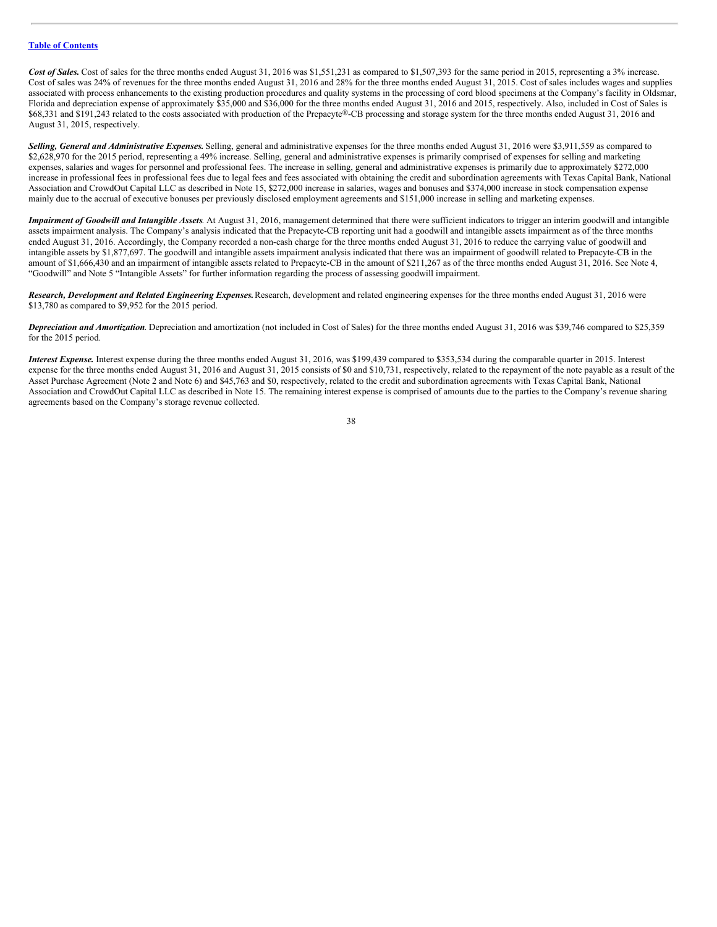Cost of Sales. Cost of sales for the three months ended August 31, 2016 was \$1,551,231 as compared to \$1,507,393 for the same period in 2015, representing a 3% increase. Cost of sales was 24% of revenues for the three months ended August 31, 2016 and 28% for the three months ended August 31, 2015. Cost of sales includes wages and supplies associated with process enhancements to the existing production procedures and quality systems in the processing of cord blood specimens at the Company's facility in Oldsmar, Florida and depreciation expense of approximately \$35,000 and \$36,000 for the three months ended August 31, 2016 and 2015, respectively. Also, included in Cost of Sales is \$68,331 and \$191,243 related to the costs associated with production of the Prepacyte®-CB processing and storage system for the three months ended August 31, 2016 and August 31, 2015, respectively.

*Selling, General and Administrative Expenses.* Selling, general and administrative expenses for the three months ended August 31, 2016 were \$3,911,559 as compared to \$2,628,970 for the 2015 period, representing a 49% increase. Selling, general and administrative expenses is primarily comprised of expenses for selling and marketing expenses, salaries and wages for personnel and professional fees. The increase in selling, general and administrative expenses is primarily due to approximately \$272,000 increase in professional fees in professional fees due to legal fees and fees associated with obtaining the credit and subordination agreements with Texas Capital Bank, National Association and CrowdOut Capital LLC as described in Note 15, \$272,000 increase in salaries, wages and bonuses and \$374,000 increase in stock compensation expense mainly due to the accrual of executive bonuses per previously disclosed employment agreements and \$151,000 increase in selling and marketing expenses.

*Impairment of Goodwill and Intangible Assets*. At August 31, 2016, management determined that there were sufficient indicators to trigger an interim goodwill and intangible assets impairment analysis. The Company's analysis indicated that the Prepacyte-CB reporting unit had a goodwill and intangible assets impairment as of the three months ended August 31, 2016. Accordingly, the Company recorded a non-cash charge for the three months ended August 31, 2016 to reduce the carrying value of goodwill and intangible assets by \$1,877,697. The goodwill and intangible assets impairment analysis indicated that there was an impairment of goodwill related to Prepacyte-CB in the amount of \$1,666,430 and an impairment of intangible assets related to Prepacyte-CB in the amount of \$211,267 as of the three months ended August 31, 2016. See Note 4, "Goodwill" and Note 5 "Intangible Assets" for further information regarding the process of assessing goodwill impairment.

*Research, Development and Related Engineering Expenses.*Research, development and related engineering expenses for the three months ended August 31, 2016 were \$13,780 as compared to \$9,952 for the 2015 period.

*Depreciation and Amortization*. Depreciation and amortization (not included in Cost of Sales) for the three months ended August 31, 2016 was \$39,746 compared to \$25,359 for the 2015 period.

*Interest Expense.* Interest expense during the three months ended August 31, 2016, was \$199,439 compared to \$353,534 during the comparable quarter in 2015. Interest expense for the three months ended August 31, 2016 and August 31, 2015 consists of \$0 and \$10,731, respectively, related to the repayment of the note payable as a result of the Asset Purchase Agreement (Note 2 and Note 6) and \$45,763 and \$0, respectively, related to the credit and subordination agreements with Texas Capital Bank, National Association and CrowdOut Capital LLC as described in Note 15. The remaining interest expense is comprised of amounts due to the parties to the Company's revenue sharing agreements based on the Company's storage revenue collected.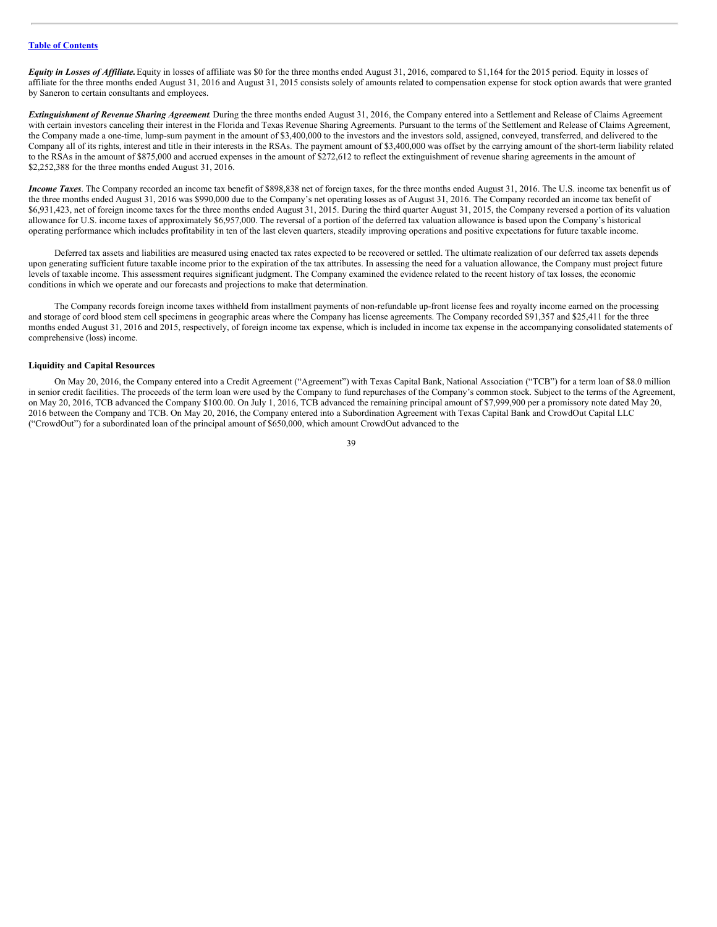*Equity in Losses of Affiliate.* Equity in losses of affiliate was \$0 for the three months ended August 31, 2016, compared to \$1,164 for the 2015 period. Equity in losses of affiliate for the three months ended August 31, 2016 and August 31, 2015 consists solely of amounts related to compensation expense for stock option awards that were granted by Saneron to certain consultants and employees.

*Extinguishment of Revenue Sharing Agreement*. During the three months ended August 31, 2016, the Company entered into a Settlement and Release of Claims Agreement with certain investors canceling their interest in the Florida and Texas Revenue Sharing Agreements. Pursuant to the terms of the Settlement and Release of Claims Agreement, the Company made a one-time, lump-sum payment in the amount of \$3,400,000 to the investors and the investors sold, assigned, conveyed, transferred, and delivered to the Company all of its rights, interest and title in their interests in the RSAs. The payment amount of \$3,400,000 was offset by the carrying amount of the short-term liability related to the RSAs in the amount of \$875,000 and accrued expenses in the amount of \$272,612 to reflect the extinguishment of revenue sharing agreements in the amount of \$2,252,388 for the three months ended August 31, 2016.

*Income Taxes*. The Company recorded an income tax benefit of \$898,838 net of foreign taxes, for the three months ended August 31, 2016. The U.S. income tax benenfit us of the three months ended August 31, 2016 was \$990,000 due to the Company's net operating losses as of August 31, 2016. The Company recorded an income tax benefit of \$6,931,423, net of foreign income taxes for the three months ended August 31, 2015. During the third quarter August 31, 2015, the Company reversed a portion of its valuation allowance for U.S. income taxes of approximately \$6,957,000. The reversal of a portion of the deferred tax valuation allowance is based upon the Company's historical operating performance which includes profitability in ten of the last eleven quarters, steadily improving operations and positive expectations for future taxable income.

Deferred tax assets and liabilities are measured using enacted tax rates expected to be recovered or settled. The ultimate realization of our deferred tax assets depends upon generating sufficient future taxable income prior to the expiration of the tax attributes. In assessing the need for a valuation allowance, the Company must project future levels of taxable income. This assessment requires significant judgment. The Company examined the evidence related to the recent history of tax losses, the economic conditions in which we operate and our forecasts and projections to make that determination.

The Company records foreign income taxes withheld from installment payments of non-refundable up-front license fees and royalty income earned on the processing and storage of cord blood stem cell specimens in geographic areas where the Company has license agreements. The Company recorded \$91,357 and \$25,411 for the three months ended August 31, 2016 and 2015, respectively, of foreign income tax expense, which is included in income tax expense in the accompanying consolidated statements of comprehensive (loss) income.

## **Liquidity and Capital Resources**

On May 20, 2016, the Company entered into a Credit Agreement ("Agreement") with Texas Capital Bank, National Association ("TCB") for a term loan of \$8.0 million in senior credit facilities. The proceeds of the term loan were used by the Company to fund repurchases of the Company's common stock. Subject to the terms of the Agreement, on May 20, 2016, TCB advanced the Company \$100.00. On July 1, 2016, TCB advanced the remaining principal amount of \$7,999,900 per a promissory note dated May 20, 2016 between the Company and TCB. On May 20, 2016, the Company entered into a Subordination Agreement with Texas Capital Bank and CrowdOut Capital LLC ("CrowdOut") for a subordinated loan of the principal amount of \$650,000, which amount CrowdOut advanced to the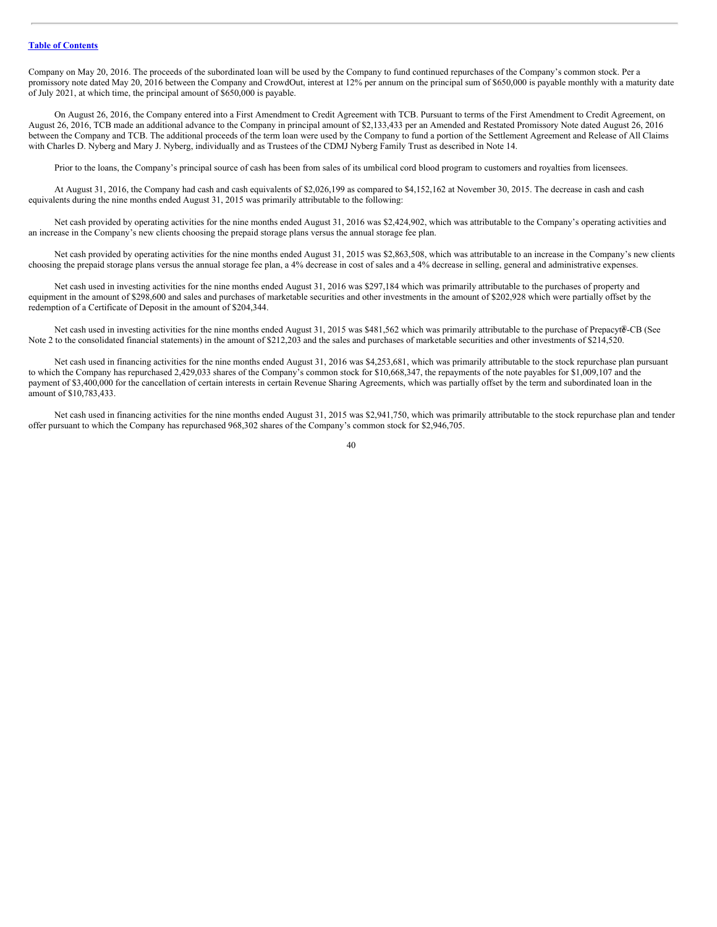Company on May 20, 2016. The proceeds of the subordinated loan will be used by the Company to fund continued repurchases of the Company's common stock. Per a promissory note dated May 20, 2016 between the Company and CrowdOut, interest at 12% per annum on the principal sum of \$650,000 is payable monthly with a maturity date of July 2021, at which time, the principal amount of \$650,000 is payable.

On August 26, 2016, the Company entered into a First Amendment to Credit Agreement with TCB. Pursuant to terms of the First Amendment to Credit Agreement, on August 26, 2016, TCB made an additional advance to the Company in principal amount of \$2,133,433 per an Amended and Restated Promissory Note dated August 26, 2016 between the Company and TCB. The additional proceeds of the term loan were used by the Company to fund a portion of the Settlement Agreement and Release of All Claims with Charles D. Nyberg and Mary J. Nyberg, individually and as Trustees of the CDMJ Nyberg Family Trust as described in Note 14.

Prior to the loans, the Company's principal source of cash has been from sales of its umbilical cord blood program to customers and royalties from licensees.

At August 31, 2016, the Company had cash and cash equivalents of \$2,026,199 as compared to \$4,152,162 at November 30, 2015. The decrease in cash and cash equivalents during the nine months ended August 31, 2015 was primarily attributable to the following:

Net cash provided by operating activities for the nine months ended August 31, 2016 was \$2,424,902, which was attributable to the Company's operating activities and an increase in the Company's new clients choosing the prepaid storage plans versus the annual storage fee plan.

Net cash provided by operating activities for the nine months ended August 31, 2015 was \$2,863,508, which was attributable to an increase in the Company's new clients choosing the prepaid storage plans versus the annual storage fee plan, a 4% decrease in cost of sales and a 4% decrease in selling, general and administrative expenses.

Net cash used in investing activities for the nine months ended August 31, 2016 was \$297,184 which was primarily attributable to the purchases of property and equipment in the amount of \$298,600 and sales and purchases of marketable securities and other investments in the amount of \$202,928 which were partially offset by the redemption of a Certificate of Deposit in the amount of \$204,344.

Net cash used in investing activities for the nine months ended August 31, 2015 was \$481,562 which was primarily attributable to the purchase of Prepacyt®-CB (See Note 2 to the consolidated financial statements) in the amount of \$212,203 and the sales and purchases of marketable securities and other investments of \$214,520.

Net cash used in financing activities for the nine months ended August 31, 2016 was \$4,253,681, which was primarily attributable to the stock repurchase plan pursuant to which the Company has repurchased 2,429,033 shares of the Company's common stock for \$10,668,347, the repayments of the note payables for \$1,009,107 and the payment of \$3,400,000 for the cancellation of certain interests in certain Revenue Sharing Agreements, which was partially offset by the term and subordinated loan in the amount of \$10,783,433.

Net cash used in financing activities for the nine months ended August 31, 2015 was \$2,941,750, which was primarily attributable to the stock repurchase plan and tender offer pursuant to which the Company has repurchased 968,302 shares of the Company's common stock for \$2,946,705.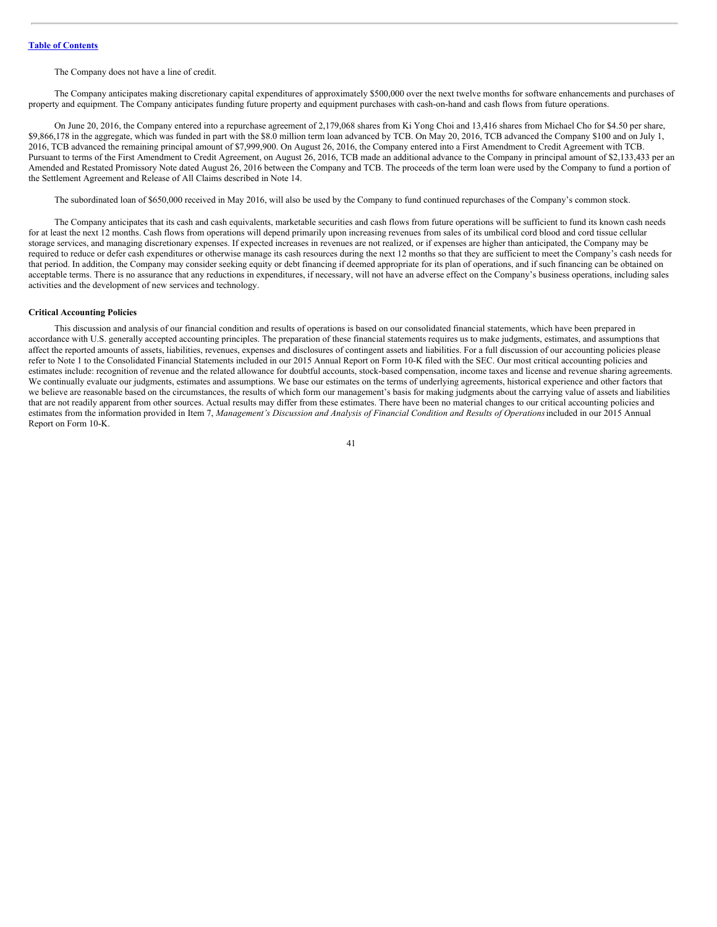#### The Company does not have a line of credit.

The Company anticipates making discretionary capital expenditures of approximately \$500,000 over the next twelve months for software enhancements and purchases of property and equipment. The Company anticipates funding future property and equipment purchases with cash-on-hand and cash flows from future operations.

On June 20, 2016, the Company entered into a repurchase agreement of 2,179,068 shares from Ki Yong Choi and 13,416 shares from Michael Cho for \$4.50 per share, \$9,866,178 in the aggregate, which was funded in part with the \$8.0 million term loan advanced by TCB. On May 20, 2016, TCB advanced the Company \$100 and on July 1, 2016, TCB advanced the remaining principal amount of \$7,999,900. On August 26, 2016, the Company entered into a First Amendment to Credit Agreement with TCB. Pursuant to terms of the First Amendment to Credit Agreement, on August 26, 2016, TCB made an additional advance to the Company in principal amount of \$2,133,433 per an Amended and Restated Promissory Note dated August 26, 2016 between the Company and TCB. The proceeds of the term loan were used by the Company to fund a portion of the Settlement Agreement and Release of All Claims described in Note 14.

The subordinated loan of \$650,000 received in May 2016, will also be used by the Company to fund continued repurchases of the Company's common stock.

The Company anticipates that its cash and cash equivalents, marketable securities and cash flows from future operations will be sufficient to fund its known cash needs for at least the next 12 months. Cash flows from operations will depend primarily upon increasing revenues from sales of its umbilical cord blood and cord tissue cellular storage services, and managing discretionary expenses. If expected increases in revenues are not realized, or if expenses are higher than anticipated, the Company may be required to reduce or defer cash expenditures or otherwise manage its cash resources during the next 12 months so that they are sufficient to meet the Company's cash needs for that period. In addition, the Company may consider seeking equity or debt financing if deemed appropriate for its plan of operations, and if such financing can be obtained on acceptable terms. There is no assurance that any reductions in expenditures, if necessary, will not have an adverse effect on the Company's business operations, including sales activities and the development of new services and technology.

## **Critical Accounting Policies**

This discussion and analysis of our financial condition and results of operations is based on our consolidated financial statements, which have been prepared in accordance with U.S. generally accepted accounting principles. The preparation of these financial statements requires us to make judgments, estimates, and assumptions that affect the reported amounts of assets, liabilities, revenues, expenses and disclosures of contingent assets and liabilities. For a full discussion of our accounting policies please refer to Note 1 to the Consolidated Financial Statements included in our 2015 Annual Report on Form 10-K filed with the SEC. Our most critical accounting policies and estimates include: recognition of revenue and the related allowance for doubtful accounts, stock-based compensation, income taxes and license and revenue sharing agreements. We continually evaluate our judgments, estimates and assumptions. We base our estimates on the terms of underlying agreements, historical experience and other factors that we believe are reasonable based on the circumstances, the results of which form our management's basis for making judgments about the carrying value of assets and liabilities that are not readily apparent from other sources. Actual results may differ from these estimates. There have been no material changes to our critical accounting policies and estimates from the information provided in Item 7, Management's Discussion and Analysis of Financial Condition and Results of Operations included in our 2015 Annual Report on Form 10-K.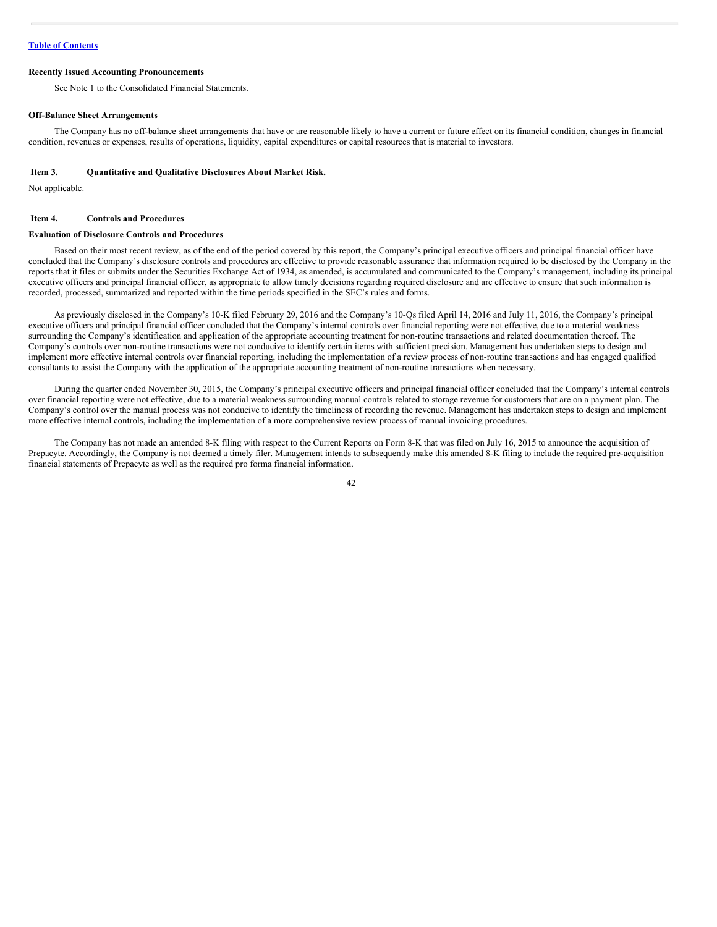## **Recently Issued Accounting Pronouncements**

See Note 1 to the Consolidated Financial Statements.

## **Off-Balance Sheet Arrangements**

The Company has no off-balance sheet arrangements that have or are reasonable likely to have a current or future effect on its financial condition, changes in financial condition, revenues or expenses, results of operations, liquidity, capital expenditures or capital resources that is material to investors.

#### <span id="page-41-0"></span>**Item 3. Quantitative and Qualitative Disclosures About Market Risk.**

Not applicable.

#### <span id="page-41-1"></span>**Item 4. Controls and Procedures**

#### **Evaluation of Disclosure Controls and Procedures**

Based on their most recent review, as of the end of the period covered by this report, the Company's principal executive officers and principal financial officer have concluded that the Company's disclosure controls and procedures are effective to provide reasonable assurance that information required to be disclosed by the Company in the reports that it files or submits under the Securities Exchange Act of 1934, as amended, is accumulated and communicated to the Company's management, including its principal executive officers and principal financial officer, as appropriate to allow timely decisions regarding required disclosure and are effective to ensure that such information is recorded, processed, summarized and reported within the time periods specified in the SEC's rules and forms.

As previously disclosed in the Company's 10-K filed February 29, 2016 and the Company's 10-Qs filed April 14, 2016 and July 11, 2016, the Company's principal executive officers and principal financial officer concluded that the Company's internal controls over financial reporting were not effective, due to a material weakness surrounding the Company's identification and application of the appropriate accounting treatment for non-routine transactions and related documentation thereof. The Company's controls over non-routine transactions were not conducive to identify certain items with sufficient precision. Management has undertaken steps to design and implement more effective internal controls over financial reporting, including the implementation of a review process of non-routine transactions and has engaged qualified consultants to assist the Company with the application of the appropriate accounting treatment of non-routine transactions when necessary.

During the quarter ended November 30, 2015, the Company's principal executive officers and principal financial officer concluded that the Company's internal controls over financial reporting were not effective, due to a material weakness surrounding manual controls related to storage revenue for customers that are on a payment plan. The Company's control over the manual process was not conducive to identify the timeliness of recording the revenue. Management has undertaken steps to design and implement more effective internal controls, including the implementation of a more comprehensive review process of manual invoicing procedures.

The Company has not made an amended 8-K filing with respect to the Current Reports on Form 8-K that was filed on July 16, 2015 to announce the acquisition of Prepacyte. Accordingly, the Company is not deemed a timely filer. Management intends to subsequently make this amended 8-K filing to include the required pre-acquisition financial statements of Prepacyte as well as the required pro forma financial information.

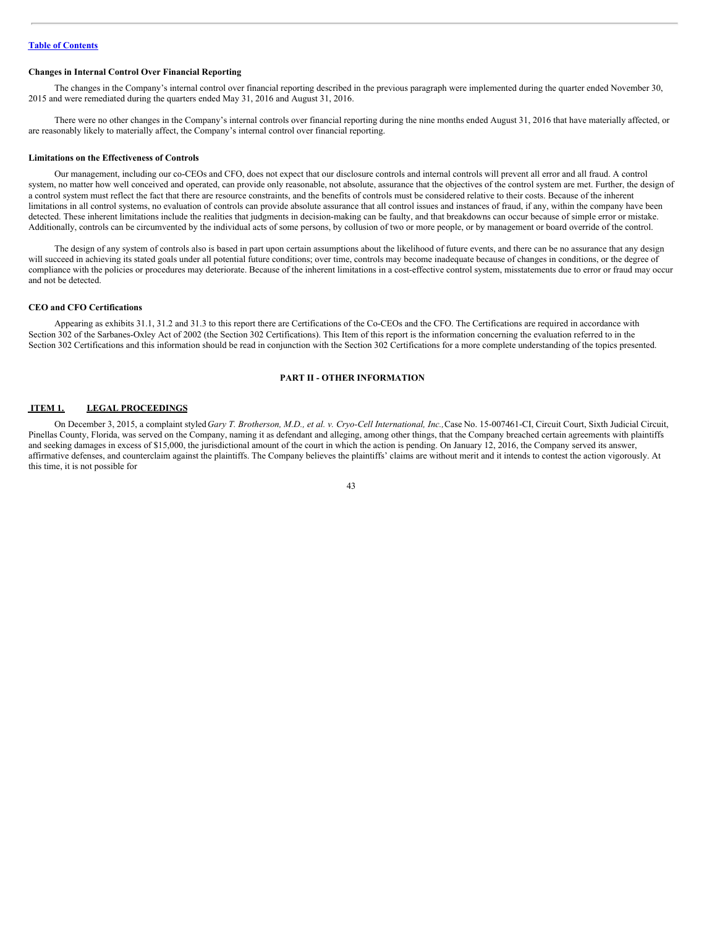## **Changes in Internal Control Over Financial Reporting**

The changes in the Company's internal control over financial reporting described in the previous paragraph were implemented during the quarter ended November 30, 2015 and were remediated during the quarters ended May 31, 2016 and August 31, 2016.

There were no other changes in the Company's internal controls over financial reporting during the nine months ended August 31, 2016 that have materially affected, or are reasonably likely to materially affect, the Company's internal control over financial reporting.

#### **Limitations on the Effectiveness of Controls**

Our management, including our co-CEOs and CFO, does not expect that our disclosure controls and internal controls will prevent all error and all fraud. A control system, no matter how well conceived and operated, can provide only reasonable, not absolute, assurance that the objectives of the control system are met. Further, the design of a control system must reflect the fact that there are resource constraints, and the benefits of controls must be considered relative to their costs. Because of the inherent limitations in all control systems, no evaluation of controls can provide absolute assurance that all control issues and instances of fraud, if any, within the company have been detected. These inherent limitations include the realities that judgments in decision-making can be faulty, and that breakdowns can occur because of simple error or mistake. Additionally, controls can be circumvented by the individual acts of some persons, by collusion of two or more people, or by management or board override of the control.

The design of any system of controls also is based in part upon certain assumptions about the likelihood of future events, and there can be no assurance that any design will succeed in achieving its stated goals under all potential future conditions; over time, controls may become inadequate because of changes in conditions, or the degree of compliance with the policies or procedures may deteriorate. Because of the inherent limitations in a cost-effective control system, misstatements due to error or fraud may occur and not be detected.

## **CEO and CFO Certifications**

Appearing as exhibits 31.1, 31.2 and 31.3 to this report there are Certifications of the Co-CEOs and the CFO. The Certifications are required in accordance with Section 302 of the Sarbanes-Oxley Act of 2002 (the Section 302 Certifications). This Item of this report is the information concerning the evaluation referred to in the Section 302 Certifications and this information should be read in conjunction with the Section 302 Certifications for a more complete understanding of the topics presented.

## <span id="page-42-0"></span>**PART II - OTHER INFORMATION**

#### <span id="page-42-1"></span>**ITEM 1. LEGAL PROCEEDINGS**

On December 3, 2015, a complaint styled Gary T. Brotherson, M.D., et al. v. Cryo-Cell International, Inc., Case No. 15-007461-CI, Circuit Court, Sixth Judicial Circuit, Pinellas County, Florida, was served on the Company, naming it as defendant and alleging, among other things, that the Company breached certain agreements with plaintiffs and seeking damages in excess of \$15,000, the jurisdictional amount of the court in which the action is pending. On January 12, 2016, the Company served its answer, affirmative defenses, and counterclaim against the plaintiffs. The Company believes the plaintiffs' claims are without merit and it intends to contest the action vigorously. At this time, it is not possible for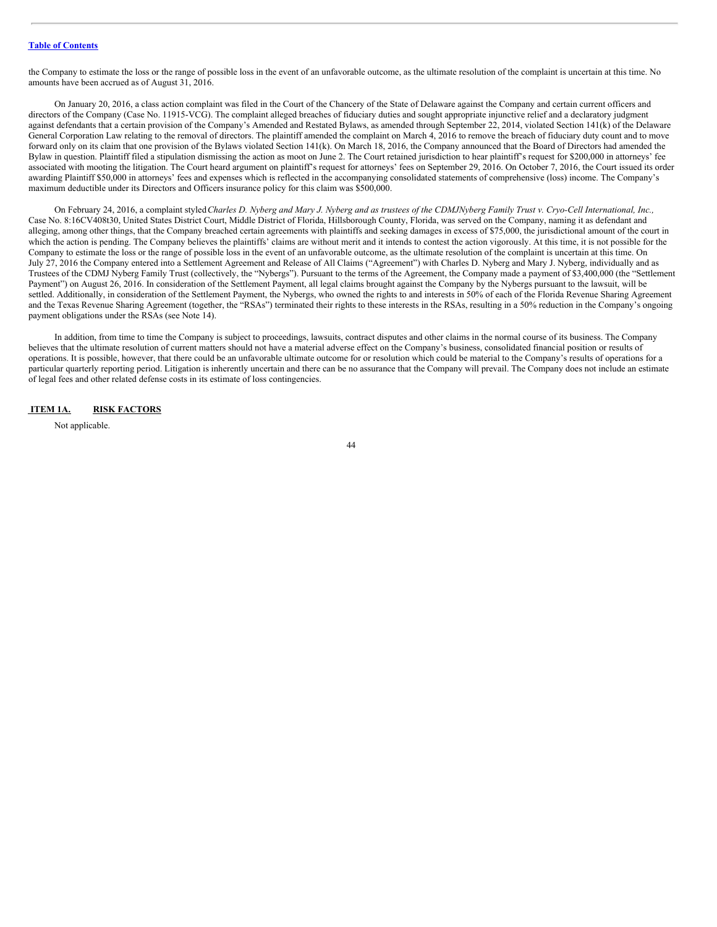the Company to estimate the loss or the range of possible loss in the event of an unfavorable outcome, as the ultimate resolution of the complaint is uncertain at this time. No amounts have been accrued as of August 31, 2016.

On January 20, 2016, a class action complaint was filed in the Court of the Chancery of the State of Delaware against the Company and certain current officers and directors of the Company (Case No. 11915-VCG). The complaint alleged breaches of fiduciary duties and sought appropriate injunctive relief and a declaratory judgment against defendants that a certain provision of the Company's Amended and Restated Bylaws, as amended through September 22, 2014, violated Section 141(k) of the Delaware General Corporation Law relating to the removal of directors. The plaintiff amended the complaint on March 4, 2016 to remove the breach of fiduciary duty count and to move forward only on its claim that one provision of the Bylaws violated Section 141(k). On March 18, 2016, the Company announced that the Board of Directors had amended the Bylaw in question. Plaintiff filed a stipulation dismissing the action as moot on June 2. The Court retained jurisdiction to hear plaintiff's request for \$200,000 in attorneys' fee associated with mooting the litigation. The Court heard argument on plaintiff's request for attorneys' fees on September 29, 2016. On October 7, 2016, the Court issued its order awarding Plaintiff \$50,000 in attorneys' fees and expenses which is reflected in the accompanying consolidated statements of comprehensive (loss) income. The Company's maximum deductible under its Directors and Officers insurance policy for this claim was \$500,000.

On February 24, 2016, a complaint styled Charles D. Nyberg and Mary J. Nyberg and as trustees of the CDMJNyberg Family Trust v. Cryo-Cell International, Inc., Case No. 8:16CV408t30, United States District Court, Middle District of Florida, Hillsborough County, Florida, was served on the Company, naming it as defendant and alleging, among other things, that the Company breached certain agreements with plaintiffs and seeking damages in excess of \$75,000, the jurisdictional amount of the court in which the action is pending. The Company believes the plaintiffs' claims are without merit and it intends to contest the action vigorously. At this time, it is not possible for the Company to estimate the loss or the range of possible loss in the event of an unfavorable outcome, as the ultimate resolution of the complaint is uncertain at this time. On July 27, 2016 the Company entered into a Settlement Agreement and Release of All Claims ("Agreement") with Charles D. Nyberg and Mary J. Nyberg, individually and as Trustees of the CDMJ Nyberg Family Trust (collectively, the "Nybergs"). Pursuant to the terms of the Agreement, the Company made a payment of \$3,400,000 (the "Settlement Payment") on August 26, 2016. In consideration of the Settlement Payment, all legal claims brought against the Company by the Nybergs pursuant to the lawsuit, will be settled. Additionally, in consideration of the Settlement Payment, the Nybergs, who owned the rights to and interests in 50% of each of the Florida Revenue Sharing Agreement and the Texas Revenue Sharing Agreement (together, the "RSAs") terminated their rights to these interests in the RSAs, resulting in a 50% reduction in the Company's ongoing payment obligations under the RSAs (see Note 14).

In addition, from time to time the Company is subject to proceedings, lawsuits, contract disputes and other claims in the normal course of its business. The Company believes that the ultimate resolution of current matters should not have a material adverse effect on the Company's business, consolidated financial position or results of operations. It is possible, however, that there could be an unfavorable ultimate outcome for or resolution which could be material to the Company's results of operations for a particular quarterly reporting period. Litigation is inherently uncertain and there can be no assurance that the Company will prevail. The Company does not include an estimate of legal fees and other related defense costs in its estimate of loss contingencies.

## <span id="page-43-0"></span>**ITEM 1A. RISK FACTORS**

Not applicable.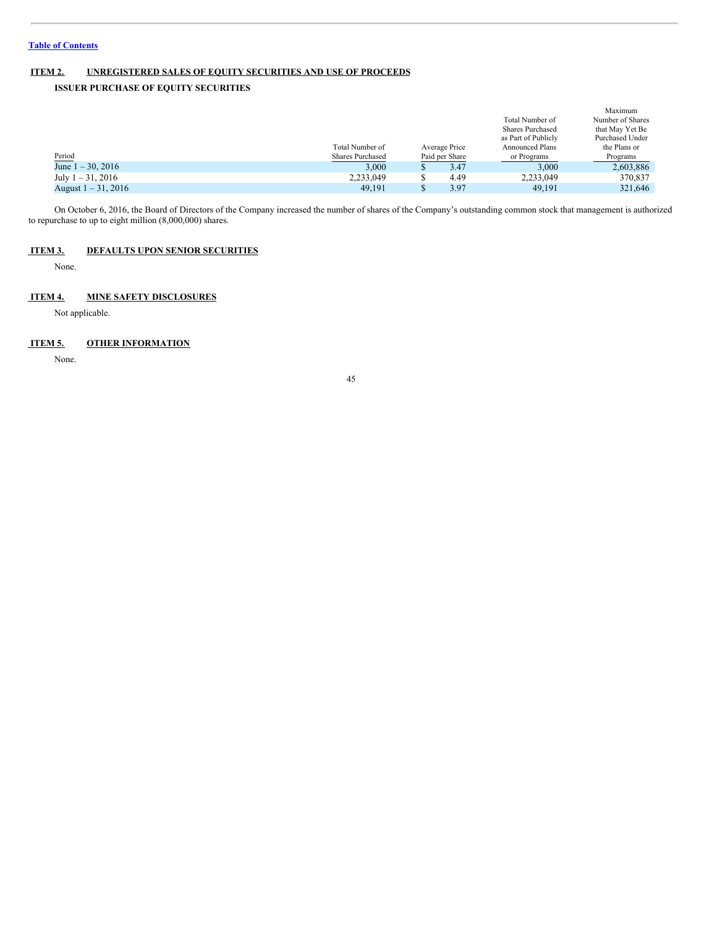## <span id="page-44-0"></span>**ITEM 2. UNREGISTERED SALES OF EQUITY SECURITIES AND USE OF PROCEEDS**

## **ISSUER PURCHASE OF EQUITY SECURITIES**

|                         |    |      |                                 | Maximum          |
|-------------------------|----|------|---------------------------------|------------------|
|                         |    |      | Total Number of                 | Number of Shares |
|                         |    |      | <b>Shares Purchased</b>         | that May Yet Be  |
|                         |    |      | as Part of Publicly             | Purchased Under  |
| Total Number of         |    |      | <b>Announced Plans</b>          | the Plans or     |
| <b>Shares Purchased</b> |    |      | or Programs                     | Programs         |
| 3.000                   | P. | 3.47 | 3.000                           | 2,603,886        |
| 2,233,049               |    | 4.49 | 2,233,049                       | 370,837          |
| 49,191                  | \$ | 3.97 | 49.191                          | 321,646          |
|                         |    |      | Average Price<br>Paid per Share |                  |

On October 6, 2016, the Board of Directors of the Company increased the number of shares of the Company's outstanding common stock that management is authorized to repurchase to up to eight million (8,000,000) shares.

## <span id="page-44-1"></span>**ITEM 3. DEFAULTS UPON SENIOR SECURITIES**

None.

## <span id="page-44-2"></span>**ITEM 4. MINE SAFETY DISCLOSURES**

Not applicable.

## <span id="page-44-3"></span>**ITEM 5. OTHER INFORMATION**

None.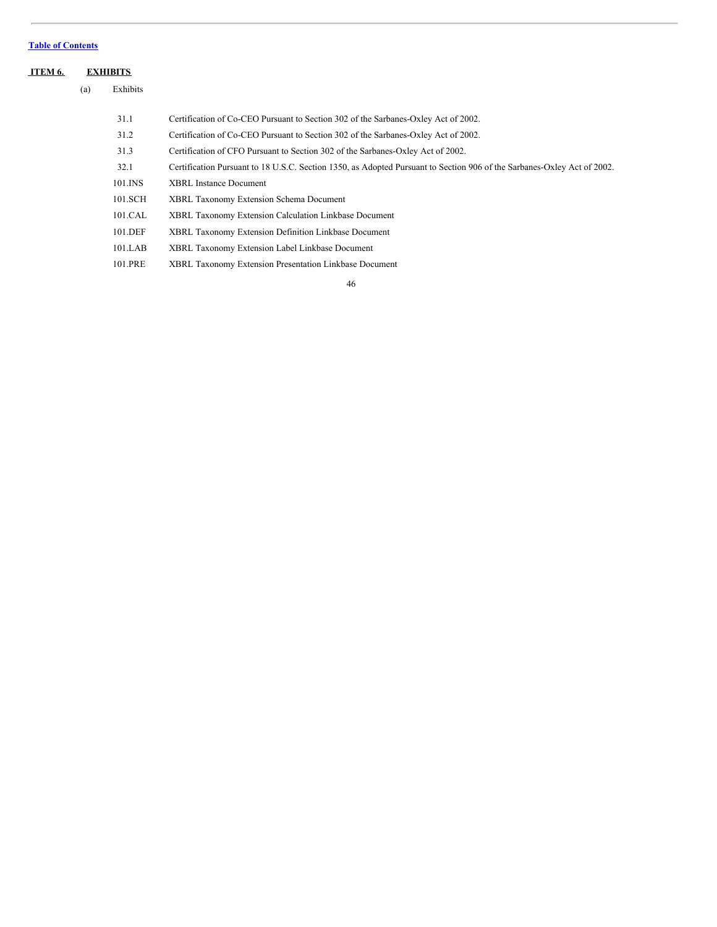<span id="page-45-0"></span>

| ITEM 6. | <b>EXHIBITS</b> |         |                                                                                                                         |
|---------|-----------------|---------|-------------------------------------------------------------------------------------------------------------------------|
|         | Exhibits<br>(a) |         |                                                                                                                         |
|         |                 | 31.1    | Certification of Co-CEO Pursuant to Section 302 of the Sarbanes-Oxley Act of 2002.                                      |
|         |                 | 31.2    | Certification of Co-CEO Pursuant to Section 302 of the Sarbanes-Oxley Act of 2002.                                      |
|         |                 | 31.3    | Certification of CFO Pursuant to Section 302 of the Sarbanes-Oxley Act of 2002.                                         |
|         |                 | 32.1    | Certification Pursuant to 18 U.S.C. Section 1350, as Adopted Pursuant to Section 906 of the Sarbanes-Oxley Act of 2002. |
|         |                 | 101.INS | <b>XBRL</b> Instance Document                                                                                           |
|         |                 | 101.SCH | <b>XBRL Taxonomy Extension Schema Document</b>                                                                          |
|         |                 | 101.CAL | XBRL Taxonomy Extension Calculation Linkbase Document                                                                   |
|         |                 | 101.DEF | XBRL Taxonomy Extension Definition Linkbase Document                                                                    |
|         |                 | 101.LAB | XBRL Taxonomy Extension Label Linkbase Document                                                                         |
|         |                 | 101.PRE | XBRL Taxonomy Extension Presentation Linkbase Document                                                                  |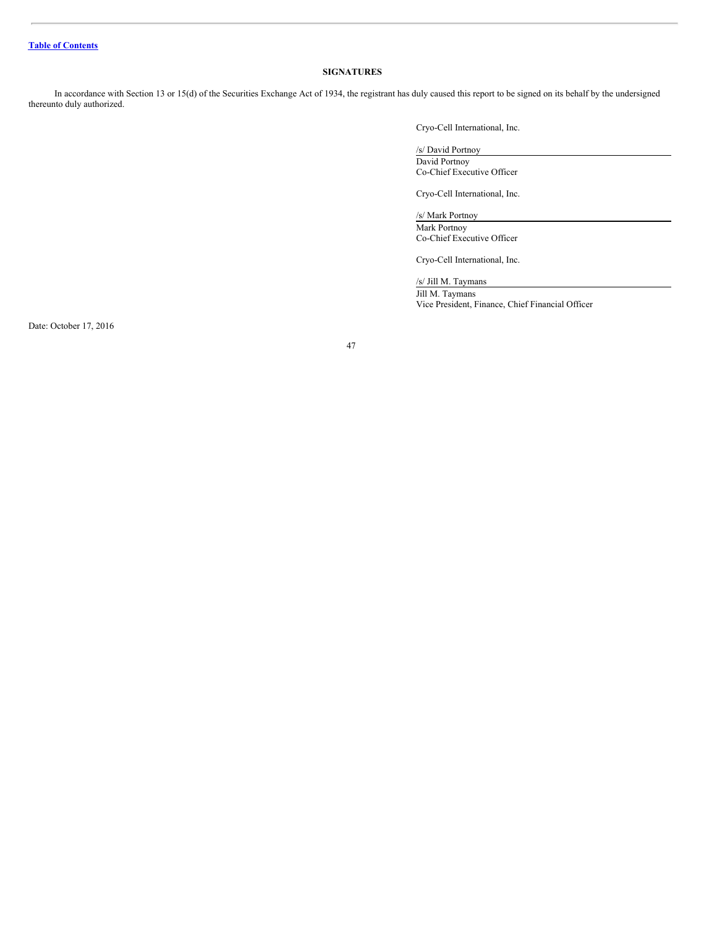## <span id="page-46-0"></span>**SIGNATURES**

In accordance with Section 13 or 15(d) of the Securities Exchange Act of 1934, the registrant has duly caused this report to be signed on its behalf by the undersigned thereunto duly authorized.

Cryo-Cell International, Inc.

/s/ David Portnoy David Portnoy

Co-Chief Executive Officer

Cryo-Cell International, Inc.

/s/ Mark Portnoy Mark Portnoy Co-Chief Executive Officer

Cryo-Cell International, Inc.

/s/ Jill M. Taymans

Jill M. Taymans Vice President, Finance, Chief Financial Officer

Date: October 17, 2016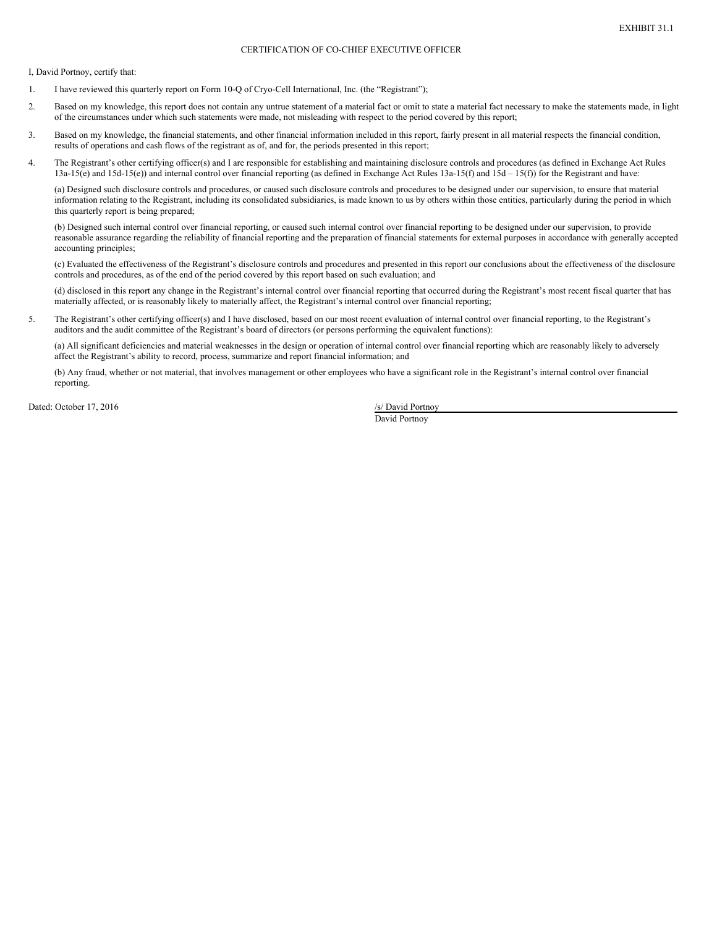## CERTIFICATION OF CO-CHIEF EXECUTIVE OFFICER

I, David Portnoy, certify that:

- 1. I have reviewed this quarterly report on Form 10-Q of Cryo-Cell International, Inc. (the "Registrant");
- 2. Based on my knowledge, this report does not contain any untrue statement of a material fact or omit to state a material fact necessary to make the statements made, in light of the circumstances under which such statements were made, not misleading with respect to the period covered by this report;
- 3. Based on my knowledge, the financial statements, and other financial information included in this report, fairly present in all material respects the financial condition, results of operations and cash flows of the registrant as of, and for, the periods presented in this report;
- 4. The Registrant's other certifying officer(s) and I are responsible for establishing and maintaining disclosure controls and procedures (as defined in Exchange Act Rules  $13a-15(e)$  and  $15d-15(e)$  and internal control over financial reporting (as defined in Exchange Act Rules  $13a-15(f)$  and  $15d-15(f)$ ) for the Registrant and have:

(a) Designed such disclosure controls and procedures, or caused such disclosure controls and procedures to be designed under our supervision, to ensure that material information relating to the Registrant, including its consolidated subsidiaries, is made known to us by others within those entities, particularly during the period in which this quarterly report is being prepared;

(b) Designed such internal control over financial reporting, or caused such internal control over financial reporting to be designed under our supervision, to provide reasonable assurance regarding the reliability of financial reporting and the preparation of financial statements for external purposes in accordance with generally accepted accounting principles;

(c) Evaluated the effectiveness of the Registrant's disclosure controls and procedures and presented in this report our conclusions about the effectiveness of the disclosure controls and procedures, as of the end of the period covered by this report based on such evaluation; and

(d) disclosed in this report any change in the Registrant's internal control over financial reporting that occurred during the Registrant's most recent fiscal quarter that has materially affected, or is reasonably likely to materially affect, the Registrant's internal control over financial reporting;

5. The Registrant's other certifying officer(s) and I have disclosed, based on our most recent evaluation of internal control over financial reporting, to the Registrant's auditors and the audit committee of the Registrant's board of directors (or persons performing the equivalent functions):

(a) All significant deficiencies and material weaknesses in the design or operation of internal control over financial reporting which are reasonably likely to adversely affect the Registrant's ability to record, process, summarize and report financial information; and

(b) Any fraud, whether or not material, that involves management or other employees who have a significant role in the Registrant's internal control over financial reporting.

Dated: October 17, 2016 *SI* David Portnoy *SI* David Portnoy

David Portnoy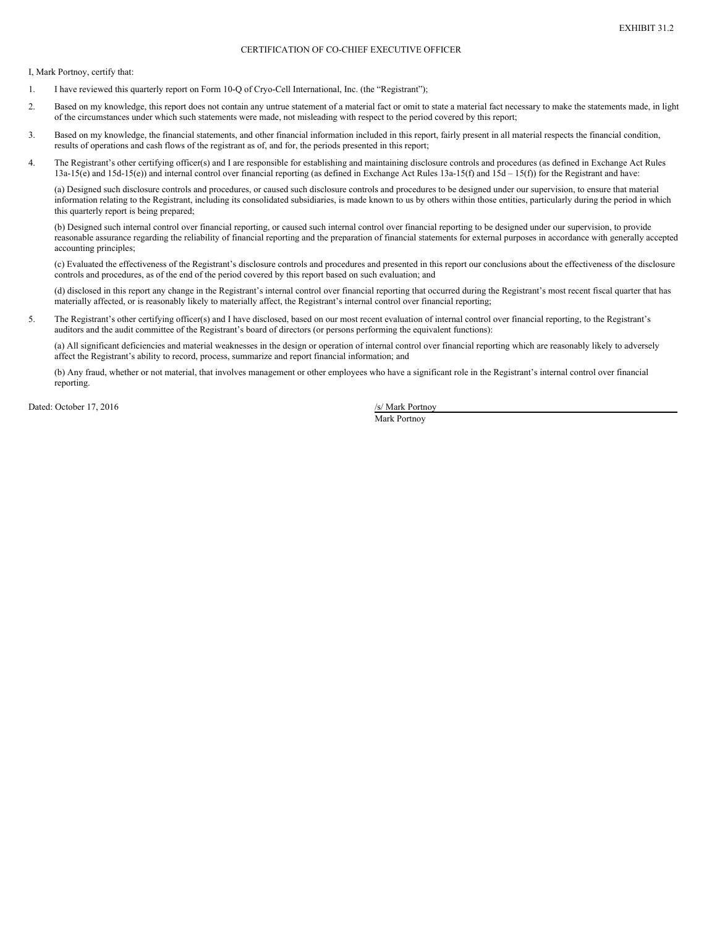## CERTIFICATION OF CO-CHIEF EXECUTIVE OFFICER

I, Mark Portnoy, certify that:

- 1. I have reviewed this quarterly report on Form 10-Q of Cryo-Cell International, Inc. (the "Registrant");
- 2. Based on my knowledge, this report does not contain any untrue statement of a material fact or omit to state a material fact necessary to make the statements made, in light of the circumstances under which such statements were made, not misleading with respect to the period covered by this report;
- 3. Based on my knowledge, the financial statements, and other financial information included in this report, fairly present in all material respects the financial condition, results of operations and cash flows of the registrant as of, and for, the periods presented in this report;
- 4. The Registrant's other certifying officer(s) and I are responsible for establishing and maintaining disclosure controls and procedures (as defined in Exchange Act Rules  $13a-15(e)$  and  $15d-15(e)$  and internal control over financial reporting (as defined in Exchange Act Rules  $13a-15(f)$  and  $15d-15(f)$ ) for the Registrant and have:

(a) Designed such disclosure controls and procedures, or caused such disclosure controls and procedures to be designed under our supervision, to ensure that material information relating to the Registrant, including its consolidated subsidiaries, is made known to us by others within those entities, particularly during the period in which this quarterly report is being prepared;

(b) Designed such internal control over financial reporting, or caused such internal control over financial reporting to be designed under our supervision, to provide reasonable assurance regarding the reliability of financial reporting and the preparation of financial statements for external purposes in accordance with generally accepted accounting principles;

(c) Evaluated the effectiveness of the Registrant's disclosure controls and procedures and presented in this report our conclusions about the effectiveness of the disclosure controls and procedures, as of the end of the period covered by this report based on such evaluation; and

(d) disclosed in this report any change in the Registrant's internal control over financial reporting that occurred during the Registrant's most recent fiscal quarter that has materially affected, or is reasonably likely to materially affect, the Registrant's internal control over financial reporting;

5. The Registrant's other certifying officer(s) and I have disclosed, based on our most recent evaluation of internal control over financial reporting, to the Registrant's auditors and the audit committee of the Registrant's board of directors (or persons performing the equivalent functions):

(a) All significant deficiencies and material weaknesses in the design or operation of internal control over financial reporting which are reasonably likely to adversely affect the Registrant's ability to record, process, summarize and report financial information; and

(b) Any fraud, whether or not material, that involves management or other employees who have a significant role in the Registrant's internal control over financial reporting.

Dated: October 17, 2016 /s/ Mark Portnoy

Mark Portnoy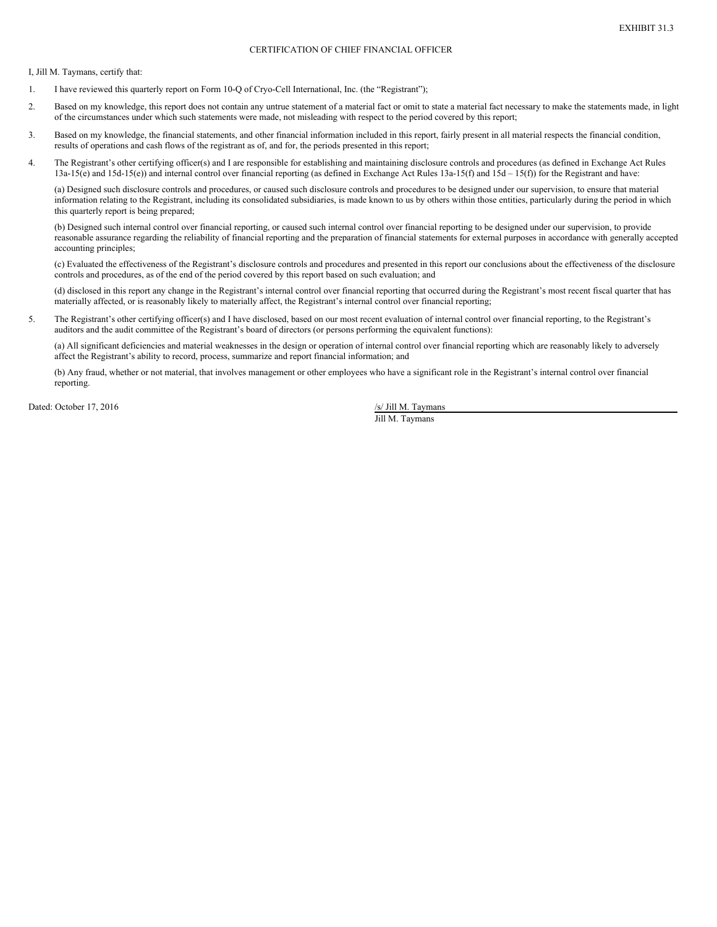## CERTIFICATION OF CHIEF FINANCIAL OFFICER

I, Jill M. Taymans, certify that:

- 1. I have reviewed this quarterly report on Form 10-Q of Cryo-Cell International, Inc. (the "Registrant");
- 2. Based on my knowledge, this report does not contain any untrue statement of a material fact or omit to state a material fact necessary to make the statements made, in light of the circumstances under which such statements were made, not misleading with respect to the period covered by this report;
- 3. Based on my knowledge, the financial statements, and other financial information included in this report, fairly present in all material respects the financial condition, results of operations and cash flows of the registrant as of, and for, the periods presented in this report;
- 4. The Registrant's other certifying officer(s) and I are responsible for establishing and maintaining disclosure controls and procedures (as defined in Exchange Act Rules  $13a-15(e)$  and  $15d-15(e)$  and internal control over financial reporting (as defined in Exchange Act Rules  $13a-15(f)$  and  $15d-15(f)$ ) for the Registrant and have:

(a) Designed such disclosure controls and procedures, or caused such disclosure controls and procedures to be designed under our supervision, to ensure that material information relating to the Registrant, including its consolidated subsidiaries, is made known to us by others within those entities, particularly during the period in which this quarterly report is being prepared;

(b) Designed such internal control over financial reporting, or caused such internal control over financial reporting to be designed under our supervision, to provide reasonable assurance regarding the reliability of financial reporting and the preparation of financial statements for external purposes in accordance with generally accepted accounting principles;

(c) Evaluated the effectiveness of the Registrant's disclosure controls and procedures and presented in this report our conclusions about the effectiveness of the disclosure controls and procedures, as of the end of the period covered by this report based on such evaluation; and

(d) disclosed in this report any change in the Registrant's internal control over financial reporting that occurred during the Registrant's most recent fiscal quarter that has materially affected, or is reasonably likely to materially affect, the Registrant's internal control over financial reporting;

5. The Registrant's other certifying officer(s) and I have disclosed, based on our most recent evaluation of internal control over financial reporting, to the Registrant's auditors and the audit committee of the Registrant's board of directors (or persons performing the equivalent functions):

(a) All significant deficiencies and material weaknesses in the design or operation of internal control over financial reporting which are reasonably likely to adversely affect the Registrant's ability to record, process, summarize and report financial information; and

(b) Any fraud, whether or not material, that involves management or other employees who have a significant role in the Registrant's internal control over financial reporting.

Dated: October 17, 2016 /s/ Jill M. Taymans

Jill M. Taymans